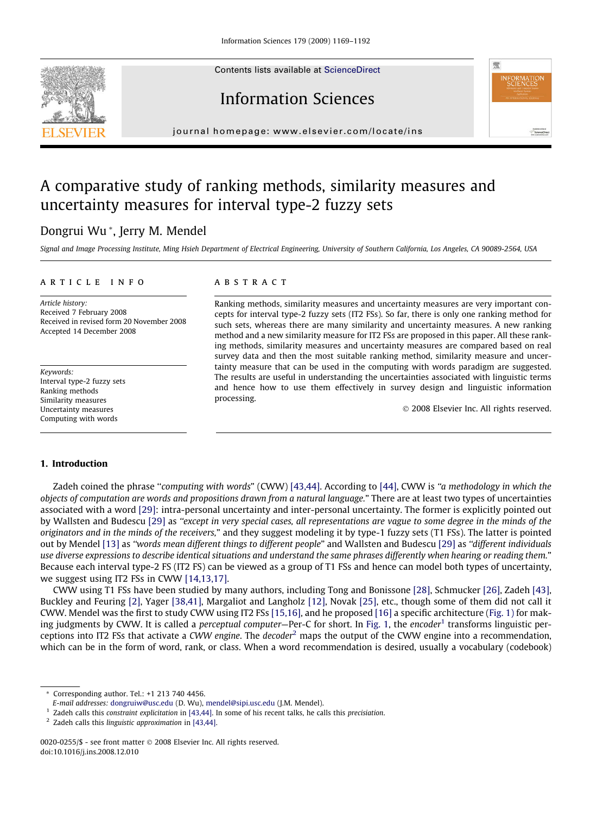Contents lists available at [ScienceDirect](http://www.sciencedirect.com/science/journal/00200255)







journal homepage: [www.elsevier.com/locate/ins](http://www.elsevier.com/locate/ins)

# A comparative study of ranking methods, similarity measures and uncertainty measures for interval type-2 fuzzy sets

# Dongrui Wu \*, Jerry M. Mendel

Signal and Image Processing Institute, Ming Hsieh Department of Electrical Engineering, University of Southern California, Los Angeles, CA 90089-2564, USA

#### article info

Article history: Received 7 February 2008 Received in revised form 20 November 2008 Accepted 14 December 2008

Keywords: Interval type-2 fuzzy sets Ranking methods Similarity measures Uncertainty measures Computing with words

### **ABSTRACT**

Ranking methods, similarity measures and uncertainty measures are very important concepts for interval type-2 fuzzy sets (IT2 FSs). So far, there is only one ranking method for such sets, whereas there are many similarity and uncertainty measures. A new ranking method and a new similarity measure for IT2 FSs are proposed in this paper. All these ranking methods, similarity measures and uncertainty measures are compared based on real survey data and then the most suitable ranking method, similarity measure and uncertainty measure that can be used in the computing with words paradigm are suggested. The results are useful in understanding the uncertainties associated with linguistic terms and hence how to use them effectively in survey design and linguistic information processing.

- 2008 Elsevier Inc. All rights reserved.

# 1. Introduction

Zadeh coined the phrase ''computing with words" (CWW) [\[43,44\].](#page-23-0) According to [\[44\],](#page-23-0) CWW is ''a methodology in which the objects of computation are words and propositions drawn from a natural language." There are at least two types of uncertainties associated with a word [\[29\]:](#page-22-0) intra-personal uncertainty and inter-personal uncertainty. The former is explicitly pointed out by Wallsten and Budescu [\[29\]](#page-22-0) as ''except in very special cases, all representations are vague to some degree in the minds of the originators and in the minds of the receivers," and they suggest modeling it by type-1 fuzzy sets (T1 FSs). The latter is pointed out by Mendel [\[13\]](#page-22-0) as ''words mean different things to different people" and Wallsten and Budescu [\[29\]](#page-22-0) as ''different individuals use diverse expressions to describe identical situations and understand the same phrases differently when hearing or reading them." Because each interval type-2 FS (IT2 FS) can be viewed as a group of T1 FSs and hence can model both types of uncertainty, we suggest using IT2 FSs in CWW [\[14,13,17\]](#page-22-0).

CWW using T1 FSs have been studied by many authors, including Tong and Bonissone [\[28\]](#page-22-0), Schmucker [\[26\]](#page-22-0), Zadeh [\[43\]](#page-23-0), Buckley and Feuring [\[2\]](#page-22-0), Yager [\[38,41\],](#page-23-0) Margaliot and Langholz [\[12\],](#page-22-0) Novak [\[25\]](#page-22-0), etc., though some of them did not call it CWW. Mendel was the first to study CWW using IT2 FSs [\[15,16\]](#page-22-0), and he proposed [\[16\]](#page-22-0) a specific architecture [\(Fig. 1\)](#page-2-0) for making judgments by CWW. It is called a *perceptual computer*—Per-C for short. In [Fig. 1,](#page-2-0) the *encoder*<sup>1</sup> transforms linguistic perceptions into IT2 FSs that activate a CWW engine. The decoder<sup>2</sup> maps the output of the CWW engine into a recommendation, which can be in the form of word, rank, or class. When a word recommendation is desired, usually a vocabulary (codebook)

<sup>\*</sup> Corresponding author. Tel.: +1 213 740 4456.

E-mail addresses: [dongruiw@usc.edu](mailto:dongruiw@usc.edu) (D. Wu), [mendel@sipi.usc.edu](mailto:mendel@sipi.usc.edu) (J.M. Mendel).

 $1$  Zadeh calls this constraint explicitation in [\[43,44\]](#page-23-0). In some of his recent talks, he calls this precisiation.

 $2$  Zadeh calls this linguistic approximation in [\[43,44\].](#page-23-0)

<sup>0020-0255/\$ -</sup> see front matter © 2008 Elsevier Inc. All rights reserved. doi:10.1016/j.ins.2008.12.010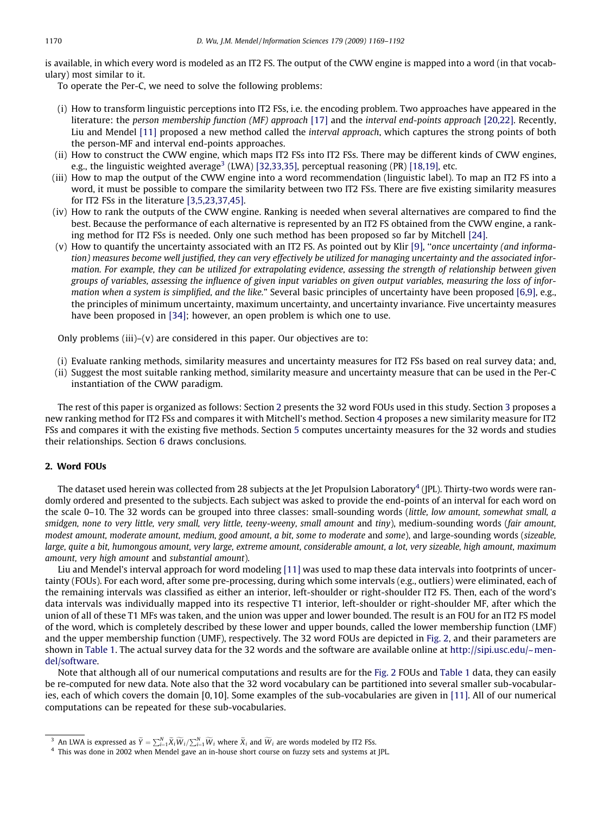is available, in which every word is modeled as an IT2 FS. The output of the CWW engine is mapped into a word (in that vocabulary) most similar to it.

To operate the Per-C, we need to solve the following problems:

- (i) How to transform linguistic perceptions into IT2 FSs, i.e. the encoding problem. Two approaches have appeared in the literature: the person membership function (MF) approach [\[17\]](#page-22-0) and the interval end-points approach [\[20,22\]](#page-22-0). Recently, Liu and Mendel [\[11\]](#page-22-0) proposed a new method called the *interval approach*, which captures the strong points of both the person-MF and interval end-points approaches.
- (ii) How to construct the CWW engine, which maps IT2 FSs into IT2 FSs. There may be different kinds of CWW engines, e.g., the linguistic weighted average<sup>3</sup> (LWA) [\[32,33,35\],](#page-23-0) perceptual reasoning (PR) [\[18,19\],](#page-22-0) etc.
- (iii) How to map the output of the CWW engine into a word recommendation (linguistic label). To map an IT2 FS into a word, it must be possible to compare the similarity between two IT2 FSs. There are five existing similarity measures for IT2 FSs in the literature [\[3,5,23,37,45\]](#page-22-0).
- (iv) How to rank the outputs of the CWW engine. Ranking is needed when several alternatives are compared to find the best. Because the performance of each alternative is represented by an IT2 FS obtained from the CWW engine, a ranking method for IT2 FSs is needed. Only one such method has been proposed so far by Mitchell [\[24\].](#page-22-0)
- (v) How to quantify the uncertainty associated with an IT2 FS. As pointed out by Klir [\[9\],](#page-22-0) ''once uncertainty (and information) measures become well justified, they can very effectively be utilized for managing uncertainty and the associated information. For example, they can be utilized for extrapolating evidence, assessing the strength of relationship between given groups of variables, assessing the influence of given input variables on given output variables, measuring the loss of information when a system is simplified, and the like." Several basic principles of uncertainty have been proposed [\[6,9\],](#page-22-0) e.g., the principles of minimum uncertainty, maximum uncertainty, and uncertainty invariance. Five uncertainty measures have been proposed in [\[34\];](#page-23-0) however, an open problem is which one to use.

Only problems (iii)–( $v$ ) are considered in this paper. Our objectives are to:

- (i) Evaluate ranking methods, similarity measures and uncertainty measures for IT2 FSs based on real survey data; and,
- (ii) Suggest the most suitable ranking method, similarity measure and uncertainty measure that can be used in the Per-C instantiation of the CWW paradigm.

The rest of this paper is organized as follows: Section 2 presents the 32 word FOUs used in this study. Section 3 proposes a new ranking method for IT2 FSs and compares it with Mitchell's method. Section 4 proposes a new similarity measure for IT2 FSs and compares it with the existing five methods. Section 5 computes uncertainty measures for the 32 words and studies their relationships. Section 6 draws conclusions.

#### 2. Word FOUs

The dataset used herein was collected from 28 subjects at the Jet Propulsion Laboratory<sup>4</sup> (JPL). Thirty-two words were randomly ordered and presented to the subjects. Each subject was asked to provide the end-points of an interval for each word on the scale 0–10. The 32 words can be grouped into three classes: small-sounding words (little, low amount, somewhat small, a smidgen, none to very little, very small, very little, teeny-weeny, small amount and tiny), medium-sounding words (fair amount, modest amount, moderate amount, medium, good amount, a bit, some to moderate and some), and large-sounding words (sizeable, large, quite a bit, humongous amount, very large, extreme amount, considerable amount, a lot, very sizeable, high amount, maximum amount, very high amount and substantial amount).

Liu and Mendel's interval approach for word modeling [\[11\]](#page-22-0) was used to map these data intervals into footprints of uncertainty (FOUs). For each word, after some pre-processing, during which some intervals (e.g., outliers) were eliminated, each of the remaining intervals was classified as either an interior, left-shoulder or right-shoulder IT2 FS. Then, each of the word's data intervals was individually mapped into its respective T1 interior, left-shoulder or right-shoulder MF, after which the union of all of these T1 MFs was taken, and the union was upper and lower bounded. The result is an FOU for an IT2 FS model of the word, which is completely described by these lower and upper bounds, called the lower membership function (LMF) and the upper membership function (UMF), respectively. The 32 word FOUs are depicted in [Fig. 2](#page-2-0), and their parameters are shown in [Table 1](#page-3-0). The actual survey data for the 32 words and the software are available online at http://sipi.usc.edu/ $\sim$ men[del/software](http://sipi.usc.edu/~mendel/software).

Note that although all of our numerical computations and results are for the [Fig. 2](#page-2-0) FOUs and [Table 1](#page-3-0) data, they can easily be re-computed for new data. Note also that the 32 word vocabulary can be partitioned into several smaller sub-vocabularies, each of which covers the domain [0,10]. Some examples of the sub-vocabularies are given in [\[11\].](#page-22-0) All of our numerical computations can be repeated for these sub-vocabularies.

 $^3$  An LWA is expressed as  $\widetilde{Y}=\sum_{i=1}^N \widetilde{X}_i \widetilde{W}_i/\sum_{i=1}^N \widetilde{W}_i$  where  $\widetilde{X}_i$  and  $\widetilde{W}_i$  are words modeled by IT2 FSs.

<sup>4</sup> This was done in 2002 when Mendel gave an in-house short course on fuzzy sets and systems at JPL.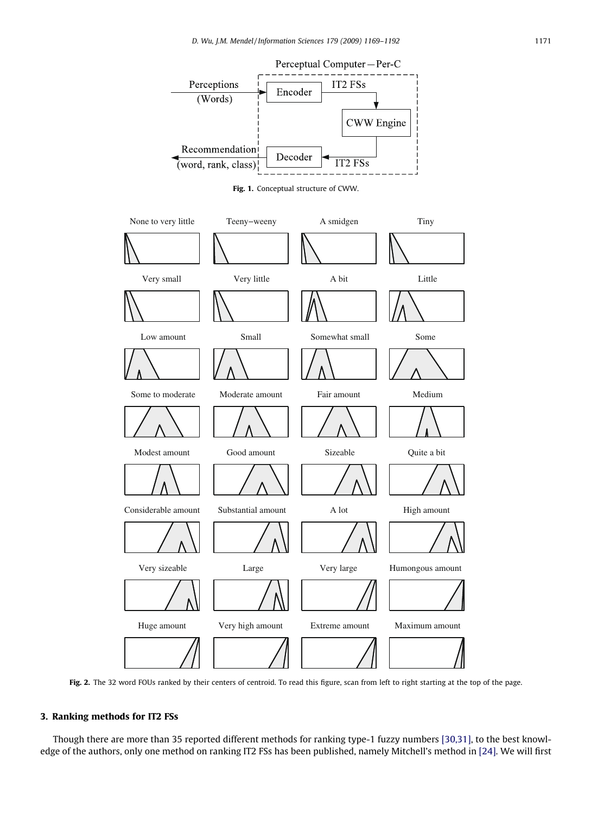<span id="page-2-0"></span>

Fig. 1. Conceptual structure of CWW.



Fig. 2. The 32 word FOUs ranked by their centers of centroid. To read this figure, scan from left to right starting at the top of the page.

## 3. Ranking methods for IT2 FSs

Though there are more than 35 reported different methods for ranking type-1 fuzzy numbers [\[30,31\],](#page-22-0) to the best knowledge of the authors, only one method on ranking IT2 FSs has been published, namely Mitchell's method in [\[24\]](#page-22-0). We will first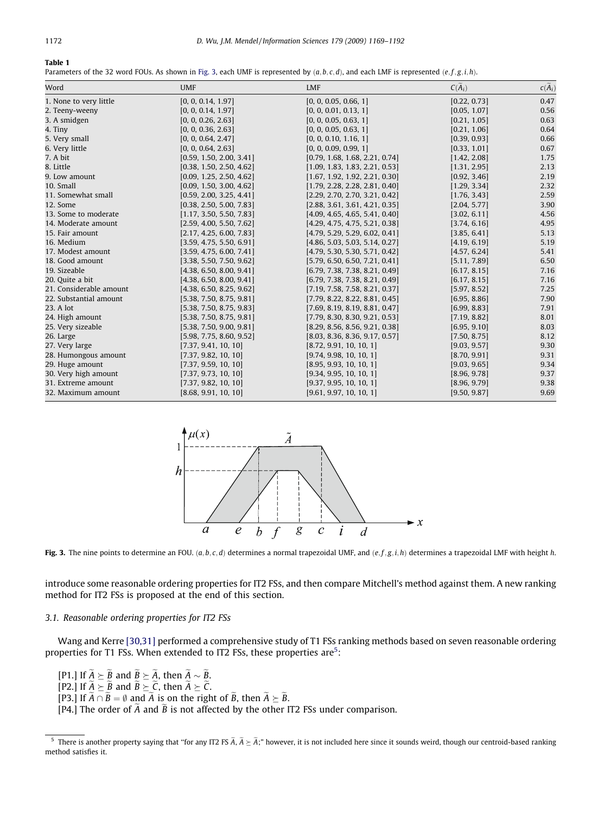<span id="page-3-0"></span>Parameters of the 32 word FOUs. As shown in Fig. 3, each UMF is represented by  $(a, b, c, d)$ , and each LMF is represented  $(e, f, g, i, h)$ .

| Word                    | <b>UMF</b>               | <b>LMF</b>                     | $C(A_i)$     | $c(\widetilde{A}_i)$ |
|-------------------------|--------------------------|--------------------------------|--------------|----------------------|
| 1. None to very little  | [0, 0, 0.14, 1.97]       | [0, 0, 0.05, 0.66, 1]          | [0.22, 0.73] | 0.47                 |
| 2. Teeny-weeny          | [0, 0, 0.14, 1.97]       | [0, 0, 0.01, 0.13, 1]          | [0.05, 1.07] | 0.56                 |
| 3. A smidgen            | [0, 0, 0.26, 2.63]       | [0, 0, 0.05, 0.63, 1]          | [0.21, 1.05] | 0.63                 |
| 4. Tiny                 | [0, 0, 0.36, 2.63]       | [0, 0, 0.05, 0.63, 1]          | [0.21, 1.06] | 0.64                 |
| 5. Very small           | [0, 0, 0.64, 2.47]       | [0, 0, 0.10, 1.16, 1]          | [0.39, 0.93] | 0.66                 |
| 6. Very little          | [0, 0, 0.64, 2.63]       | [0, 0, 0.09, 0.99, 1]          | [0.33, 1.01] | 0.67                 |
| 7. A bit                | [0.59, 1.50, 2.00, 3.41] | [0.79, 1.68, 1.68, 2.21, 0.74] | [1.42, 2.08] | 1.75                 |
| 8. Little               | [0.38, 1.50, 2.50, 4.62] | [1.09, 1.83, 1.83, 2.21, 0.53] | [1.31, 2.95] | 2.13                 |
| 9. Low amount           | [0.09, 1.25, 2.50, 4.62] | [1.67, 1.92, 1.92, 2.21, 0.30] | [0.92, 3.46] | 2.19                 |
| 10. Small               | [0.09, 1.50, 3.00, 4.62] | [1.79, 2.28, 2.28, 2.81, 0.40] | [1.29, 3.34] | 2.32                 |
| 11. Somewhat small      | [0.59, 2.00, 3.25, 4.41] | [2.29, 2.70, 2.70, 3.21, 0.42] | [1.76, 3.43] | 2.59                 |
| 12. Some                | [0.38, 2.50, 5.00, 7.83] | [2.88, 3.61, 3.61, 4.21, 0.35] | [2.04, 5.77] | 3.90                 |
| 13. Some to moderate    | [1.17, 3.50, 5.50, 7.83] | [4.09, 4.65, 4.65, 5.41, 0.40] | [3.02, 6.11] | 4.56                 |
| 14. Moderate amount     | [2.59, 4.00, 5.50, 7.62] | [4.29, 4.75, 4.75, 5.21, 0.38] | [3.74, 6.16] | 4.95                 |
| 15. Fair amount         | [2.17, 4.25, 6.00, 7.83] | [4.79, 5.29, 5.29, 6.02, 0.41] | [3.85, 6.41] | 5.13                 |
| 16. Medium              | [3.59, 4.75, 5.50, 6.91] | [4.86, 5.03, 5.03, 5.14, 0.27] | [4.19, 6.19] | 5.19                 |
| 17. Modest amount       | [3.59, 4.75, 6.00, 7.41] | [4.79, 5.30, 5.30, 5.71, 0.42] | [4.57, 6.24] | 5.41                 |
| 18. Good amount         | [3.38, 5.50, 7.50, 9.62] | [5.79, 6.50, 6.50, 7.21, 0.41] | [5.11, 7.89] | 6.50                 |
| 19. Sizeable            | [4.38, 6.50, 8.00, 9.41] | [6.79, 7.38, 7.38, 8.21, 0.49] | [6.17, 8.15] | 7.16                 |
| 20. Quite a bit         | [4.38, 6.50, 8.00, 9.41] | [6.79, 7.38, 7.38, 8.21, 0.49] | [6.17, 8.15] | 7.16                 |
| 21. Considerable amount | [4.38, 6.50, 8.25, 9.62] | [7.19, 7.58, 7.58, 8.21, 0.37] | [5.97, 8.52] | 7.25                 |
| 22. Substantial amount  | [5.38, 7.50, 8.75, 9.81] | [7.79, 8.22, 8.22, 8.81, 0.45] | [6.95, 8.86] | 7.90                 |
| 23. A lot               | [5.38, 7.50, 8.75, 9.83] | [7.69, 8.19, 8.19, 8.81, 0.47] | [6.99, 8.83] | 7.91                 |
| 24. High amount         | [5.38, 7.50, 8.75, 9.81] | [7.79, 8.30, 8.30, 9.21, 0.53] | [7.19, 8.82] | 8.01                 |
| 25. Very sizeable       | [5.38, 7.50, 9.00, 9.81] | [8.29, 8.56, 8.56, 9.21, 0.38] | [6.95, 9.10] | 8.03                 |
| 26. Large               | [5.98, 7.75, 8.60, 9.52] | [8.03, 8.36, 8.36, 9.17, 0.57] | [7.50, 8.75] | 8.12                 |
| 27. Very large          | [7.37, 9.41, 10, 10]     | [8.72, 9.91, 10, 10, 1]        | [9.03, 9.57] | 9.30                 |
| 28. Humongous amount    | [7.37, 9.82, 10, 10]     | [9.74, 9.98, 10, 10, 1]        | [8.70, 9.91] | 9.31                 |
| 29. Huge amount         | [7.37, 9.59, 10, 10]     | [8.95, 9.93, 10, 10, 1]        | [9.03, 9.65] | 9.34                 |
| 30. Very high amount    | [7.37, 9.73, 10, 10]     | [9.34, 9.95, 10, 10, 1]        | [8.96, 9.78] | 9.37                 |
| 31. Extreme amount      | [7.37, 9.82, 10, 10]     | [9.37, 9.95, 10, 10, 1]        | [8.96, 9.79] | 9.38                 |
| 32. Maximum amount      | [8.68, 9.91, 10, 10]     | [9.61, 9.97, 10, 10, 1]        | [9.50, 9.87] | 9.69                 |



Fig. 3. The nine points to determine an FOU.  $(a, b, c, d)$  determines a normal trapezoidal UMF, and  $(e, f, g, i, h)$  determines a trapezoidal LMF with height h.

introduce some reasonable ordering properties for IT2 FSs, and then compare Mitchell's method against them. A new ranking method for IT2 FSs is proposed at the end of this section.

## 3.1. Reasonable ordering properties for IT2 FSs

Wang and Kerre [\[30,31\]](#page-22-0) performed a comprehensive study of T1 FSs ranking methods based on seven reasonable ordering properties for T1 FSs. When extended to IT2 FSs, these properties are<sup>5</sup>:

[P1.] If  $A \succeq B$  and  $B \succeq A$ , then  $A \sim B$ . [P2.] If  $A \succeq B$  and  $B \succeq C$ , then  $A \succeq C$ . [P3.] If  $A \cap B = \emptyset$  and A is on the right of B, then  $A \succeq B$ .

[P4.] The order of A and B is not affected by the other IT2 FSs under comparison.

 $^5$  There is another property saying that ''for any IT2 FS  $\widetilde{A}$ ,  $\widetilde{A} \succeq \widetilde{A}$ ," however, it is not included here since it sounds weird, though our centroid-based ranking method satisfies it.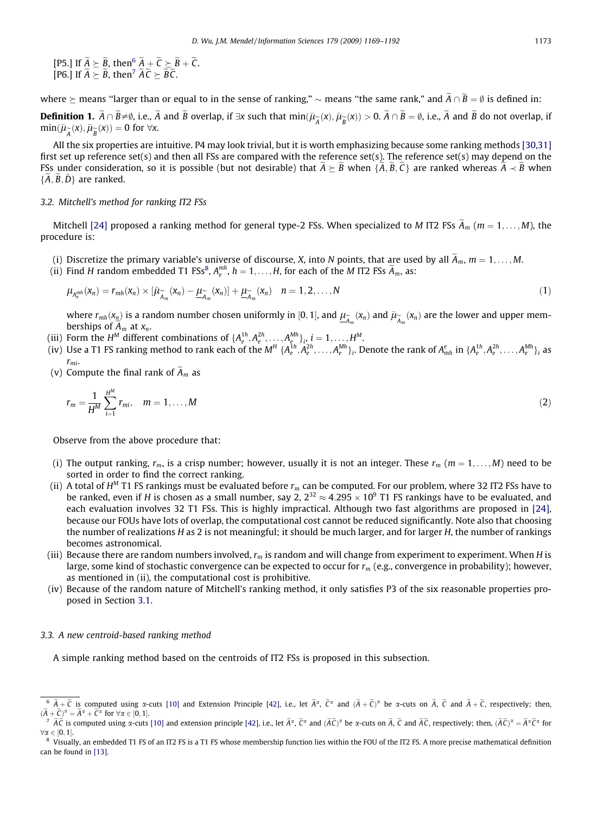<span id="page-4-0"></span>[P5.] If  $\widetilde{A} \succeq \widetilde{B}$ , then<sup>6</sup>  $\widetilde{A} + \widetilde{C} \succeq \widetilde{B} + \widetilde{C}$ . [P6.] If  $\widetilde{A} \succeq \widetilde{B}$ , then<sup>7</sup>  $\widetilde{A}\widetilde{C} \succeq \widetilde{B}\widetilde{C}$ .

where  $\succeq$  means "larger than or equal to in the sense of ranking,"  $\sim$  means "the same rank," and A  $\cap$  B = Ø is defined in: **Definition 1.**  $\tilde{A} \cap \tilde{B} \neq \emptyset$ , i.e.,  $\tilde{A}$  and  $\tilde{B}$  overlap, if  $\exists x$  such that  $\min(\bar{\mu}_{\widetilde{A}}(x), \bar{\mu}_{\widetilde{B}}(x)) > 0$ .  $\tilde{A} \cap \tilde{B} = \emptyset$ , i.e.,  $\tilde{A}$  and  $\tilde{B}$  do not overlap, if  $\min(\bar{\mu}_{\widetilde{A}}(x), \bar{\mu}_{\widetilde{B}}(x)) = 0$  for  $\forall x$ .

All the six properties are intuitive. P4 may look trivial, but it is worth emphasizing because some ranking methods [\[30,31\]](#page-22-0) first set up reference set(s) and then all FSs are compared with the reference set(s). The reference set(s) may depend on the FSs under consideration, so it is possible (but not desirable) that  $A \succeq B$  when  $\{A, B, C\}$  are ranked whereas  $A \prec B$  when  $\{\widetilde{A},\widetilde{B},\widetilde{D}\}$  are ranked.

### 3.2. Mitchell's method for ranking IT2 FSs

Mitchell [\[24\]](#page-22-0) proposed a ranking method for general type-2 FSs. When specialized to M IT2 FSs  $A_m$   $(m=1,\ldots,M)$ , the procedure is:

- (i) Discretize the primary variable's universe of discourse, X, into N points, that are used by all  $A_m$ ,  $m=1,\ldots,M$ .
- (ii) Find H random embedded T1 FSs $^8$ , A $_e^{mh}$ ,  $h=1,\ldots,H$ , for each of the M IT2 FSs  $\widetilde{A}_m$ , as:

$$
\mu_{A_{\epsilon}^{mh}}(x_n) = r_{mh}(x_n) \times [\bar{\mu}_{\widetilde{A}_m}(x_n) - \underline{\mu}_{\widetilde{A}_m}(x_n)] + \underline{\mu}_{\widetilde{A}_m}(x_n) \quad n = 1, 2, ..., N
$$
\n(1)

where  $r_{mh}(x_n)$  is a random number chosen uniformly in [0, 1], and  $\underline{\mu}_{\widetilde{A}_m}(x_n)$  and  $\overline{\mu}_{\widetilde{A}_m}(x_n)$  are the lower and upper memberships of  $A_m$  at  $x_n$ .

- (iii) Form the  $H^M$  different combinations of  $\{A^{1h}_e,A^{2h}_e,\ldots,A^{Mh}_{e_1}\}_i$   $i=1,\ldots,H^M$ .
- (iv) Use a T1 FS ranking method to rank each of the  $M^H$   $\{A^{1h}_e,A^{2h}_e,\ldots,A^{Mh}_e\}_i$ . Denote the rank of  $A^e_m$  in  $\{A^{1h}_e,A^{2h}_e,\ldots,A^{Mh}_e\}_i$  as  $r_{\rm mi}$ .
- (v) Compute the final rank of  $A_m$  as

$$
r_m = \frac{1}{H^M} \sum_{i=1}^{H^M} r_{mi}, \quad m = 1, \dots, M
$$
 (2)

Observe from the above procedure that:

- (i) The output ranking,  $r_m$ , is a crisp number; however, usually it is not an integer. These  $r_m$  ( $m = 1, \ldots, M$ ) need to be sorted in order to find the correct ranking.
- (ii) A total of  $H^M$  T1 FS rankings must be evaluated before  $r_m$  can be computed. For our problem, where 32 IT2 FSs have to be ranked, even if H is chosen as a small number, say 2,  $2^{32} \approx 4.295 \times 10^9$  T1 FS rankings have to be evaluated, and each evaluation involves 32 T1 FSs. This is highly impractical. Although two fast algorithms are proposed in [\[24\]](#page-22-0), because our FOUs have lots of overlap, the computational cost cannot be reduced significantly. Note also that choosing the number of realizations  $H$  as  $2$  is not meaningful; it should be much larger, and for larger  $H$ , the number of rankings becomes astronomical.
- (iii) Because there are random numbers involved,  $r_m$  is random and will change from experiment to experiment. When H is large, some kind of stochastic convergence can be expected to occur for  $r_m$  (e.g., convergence in probability); however, as mentioned in (ii), the computational cost is prohibitive.
- (iv) Because of the random nature of Mitchell's ranking method, it only satisfies P3 of the six reasonable properties proposed in Section 3.1.

#### 3.3. A new centroid-based ranking method

A simple ranking method based on the centroids of IT2 FSs is proposed in this subsection.

 $^6$   $\widetilde{A} + \widetilde{C}$  is computed using  $\alpha$ -cuts [\[10\]](#page-22-0) and Extension Principle [\[42\]](#page-23-0), i.e., let  $\widetilde{A}^{\alpha}$ ,  $\widetilde{C}^{\alpha}$  and  $(\widetilde{A} + \widetilde{C})^{\alpha}$  be  $\alpha$ -cuts on  $\widetilde{A}$ ,  $\widetilde{C}$  and  $\widetilde{A} + \widetilde{C}$ , respective  $(\widetilde{A} + \widetilde{C})^{\alpha} = \widetilde{A}^{\alpha} + \widetilde{C}^{\alpha}$  for  $\forall \alpha \in [0, 1].$ 

 $\tilde{A}$   $\tilde{A}$  is computed using  $\alpha$ -cuts [\[10\]](#page-22-0) and extension principle [\[42\],](#page-23-0) i.e., let  $\tilde{A}^{\alpha}$ ,  $\tilde{C}^{\alpha}$  and  $(\tilde{A}\tilde{C})^{\alpha}$  be  $\alpha$ -cuts on  $\tilde{A}$ ,  $\tilde{C}$  and  $\tilde{A}\tilde{C}$ , respectively; then,  $(\tilde{A}\$  $\forall \alpha \in [0, 1].$ 

<sup>&</sup>lt;sup>8</sup> Visually, an embedded T1 FS of an IT2 FS is a T1 FS whose membership function lies within the FOU of the IT2 FS. A more precise mathematical definition can be found in [\[13\].](#page-22-0)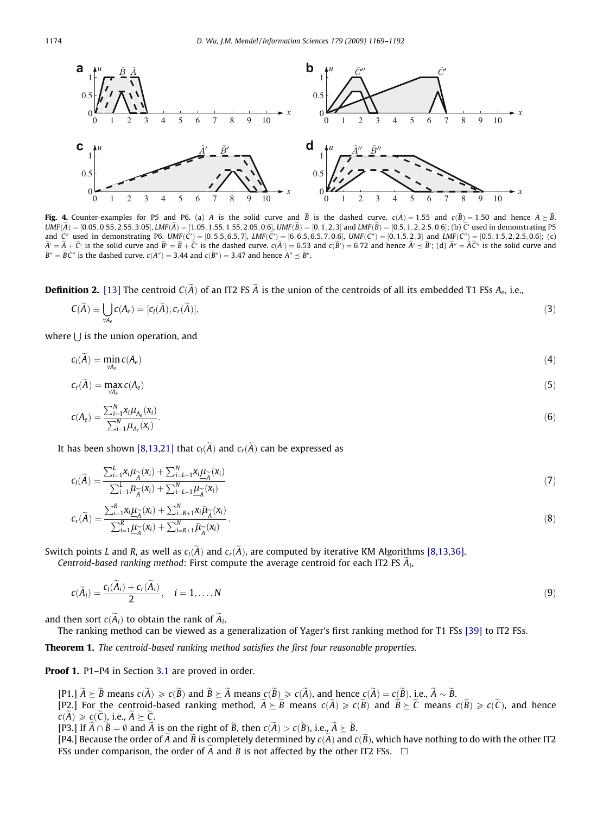<span id="page-5-0"></span>

**Fig. 4.** Counter-examples for P5 and P6. (a) A is the solid curve and B is the dashed curve.  $c(A) = 1.55$  and  $c(B) = 1.50$  and hence  $A \succeq B$ .  $\textit{UMF}(A) = [0.05, 0.55, 2.55, 3.05], \textit{LMF}(A) = [1.05, 1.55, 1.55, 2.05, 0.6], \textit{UMF}(B) = [0, 1, 2, 3]$  and  $\textit{LMF}(B) = [0.5, 1, 2, 2.5, 0.6]$ ; (b) C' used in demonstrating P5 and C" used in demonstrating P6.  $UMF(C') = [0, 5.5, 6.5, 7]$ ,  $LMF(C') = [6, 6.5, 6.5, 7, 0.6]$ ,  $UMF(C'') = [0, 1.5, 2, 3]$  and  $LMF(C'') = [0.5, 1.5, 2, 2.5, 0.6]$ ; (c)  $A' = A + C'$  is the solid curve and  $B' = B + C'$  is the dashed curve.  $c(A') = 6.53$  and  $c(B') = 6.72$  and hence  $A' \preceq B'$ ; (d)  $A'' = AC''$  is the solid curve and  $B'' = BC''$  is the dashed curve.  $c(A'') = 3.44$  and  $c(B'') = 3.47$  and hence  $A'' \preceq B''$ .

**Definition 2.** [\[13\]](#page-22-0) The centroid  $C(A)$  of an IT2 FS A is the union of the centroids of all its embedded T1 FSs  $A_e$ , i.e.,

$$
C(\widetilde{A}) \equiv \bigcup_{\forall A_e} c(A_e) = [c_I(\widetilde{A}), c_r(\widetilde{A})],
$$
\n(3)

where  $| \cdot |$  is the union operation, and

 $c_l(A) = \min$  $\forall A_e$  $c(A_e)$  (4)

$$
c_r(\widetilde{A}) = \max_{\forall A} c(A_e) \tag{5}
$$

$$
c(A_e) = \frac{\sum_{i=1}^{N} x_i \mu_{A_e}(x_i)}{\sum_{i=1}^{N} \mu_{A_e}(x_i)}.
$$
 (6)

It has been shown [\[8,13,21\]](#page-22-0) that  $c_l(A)$  and  $c_r(A)$  can be expressed as

$$
c_l(\widetilde{A}) = \frac{\sum_{i=1}^L x_i \overline{\mu}_{\widetilde{A}}(x_i) + \sum_{i=L+1}^N x_i \underline{\mu}_{\widetilde{A}}(x_i)}{\sum_{i=1}^L \overline{\mu}_{\widetilde{A}}(x_i) + \sum_{i=L+1}^N \underline{\mu}_{\widetilde{A}}(x_i)}
$$
(7)

$$
c_r(\widetilde{A}) = \frac{\sum_{i=1}^R x_i \underline{\mu}_{\widetilde{A}}(x_i) + \sum_{i=R+1}^N x_i \overline{\mu}_{\widetilde{A}}(x_i)}{\sum_{i=1}^R \underline{\mu}_{\widetilde{A}}(x_i) + \sum_{i=R+1}^N \overline{\mu}_{\widetilde{A}}(x_i)}.
$$
(8)

Switch points L and R, as well as  $c_l(A)$  and  $c_r(A)$ , are computed by iterative KM Algorithms [\[8,13,36\]](#page-22-0).

Centroid-based ranking method: First compute the average centroid for each IT2 FS  $A_i$ ,

$$
c(\widetilde{A}_i) = \frac{c_l(A_i) + c_r(A_i)}{2}, \quad i = 1, \dots, N
$$
\n(9)

and then sort  $c(A_i)$  to obtain the rank of  $A_i$ .

The ranking method can be viewed as a generalization of Yager's first ranking method for T1 FSs [\[39\]](#page-23-0) to IT2 FSs.

**Theorem 1.** The centroid-based ranking method satisfies the first four reasonable properties.

Proof 1. P1-P4 in Section 3.1 are proved in order.

[P1.]  $A \succeq B$  means  $c(A) \geq c(B)$  and  $B \succeq A$  means  $c(B) \geq c(A)$ , and hence  $c(A) = c(B)$ , i.e.,  $A \sim B$ .

[P2.] For the centroid-based ranking method,  $A \succeq B$  means  $c(A) \geq c(B)$  and  $B \succeq C$  means  $c(B) \geq c(C)$ , and hence  $c(A) \geqslant c(C)$ , i.e.,  $A \succeq C$ .

[P3.] If  $A \cap B = \emptyset$  and A is on the right of B, then  $c(A) > c(B)$ , i.e.,  $A \succeq B$ .

[P4.] Because the order of A and B is completely determined by  $c(A)$  and  $c(B)$ , which have nothing to do with the other IT2 FSs under comparison, the order of  $\widetilde{A}$  and  $\widetilde{B}$  is not affected by the other IT2 FSs.  $\Box$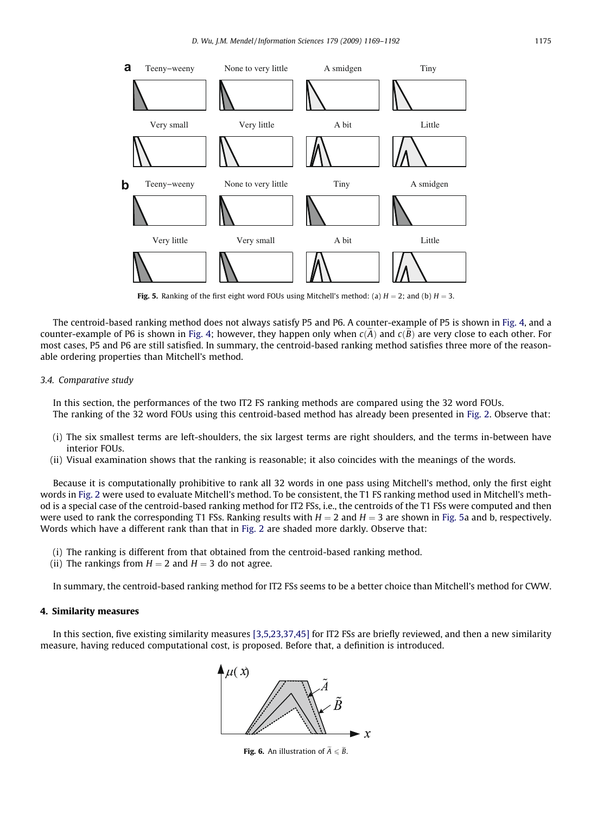<span id="page-6-0"></span>

Fig. 5. Ranking of the first eight word FOUs using Mitchell's method: (a)  $H = 2$ ; and (b)  $H = 3$ .

The centroid-based ranking method does not always satisfy P5 and P6. A counter-example of P5 is shown in [Fig. 4](#page-5-0), and a counter-example of P6 is shown in [Fig. 4](#page-5-0); however, they happen only when  $c(A)$  and  $c(B)$  are very close to each other. For most cases, P5 and P6 are still satisfied. In summary, the centroid-based ranking method satisfies three more of the reasonable ordering properties than Mitchell's method.

3.4. Comparative study

In this section, the performances of the two IT2 FS ranking methods are compared using the 32 word FOUs. The ranking of the 32 word FOUs using this centroid-based method has already been presented in [Fig. 2.](#page-2-0) Observe that:

- (i) The six smallest terms are left-shoulders, the six largest terms are right shoulders, and the terms in-between have interior FOUs.
- (ii) Visual examination shows that the ranking is reasonable; it also coincides with the meanings of the words.

Because it is computationally prohibitive to rank all 32 words in one pass using Mitchell's method, only the first eight words in [Fig. 2](#page-2-0) were used to evaluate Mitchell's method. To be consistent, the T1 FS ranking method used in Mitchell's method is a special case of the centroid-based ranking method for IT2 FSs, i.e., the centroids of the T1 FSs were computed and then were used to rank the corresponding T1 FSs. Ranking results with  $H = 2$  and  $H = 3$  are shown in Fig. 5a and b, respectively. Words which have a different rank than that in [Fig. 2](#page-2-0) are shaded more darkly. Observe that:

- (i) The ranking is different from that obtained from the centroid-based ranking method.
- (ii) The rankings from  $H = 2$  and  $H = 3$  do not agree.

In summary, the centroid-based ranking method for IT2 FSs seems to be a better choice than Mitchell's method for CWW.

## 4. Similarity measures

In this section, five existing similarity measures [\[3,5,23,37,45\]](#page-22-0) for IT2 FSs are briefly reviewed, and then a new similarity measure, having reduced computational cost, is proposed. Before that, a definition is introduced.



**Fig. 6.** An illustration of  $\widetilde{A} \leq \widetilde{B}$ .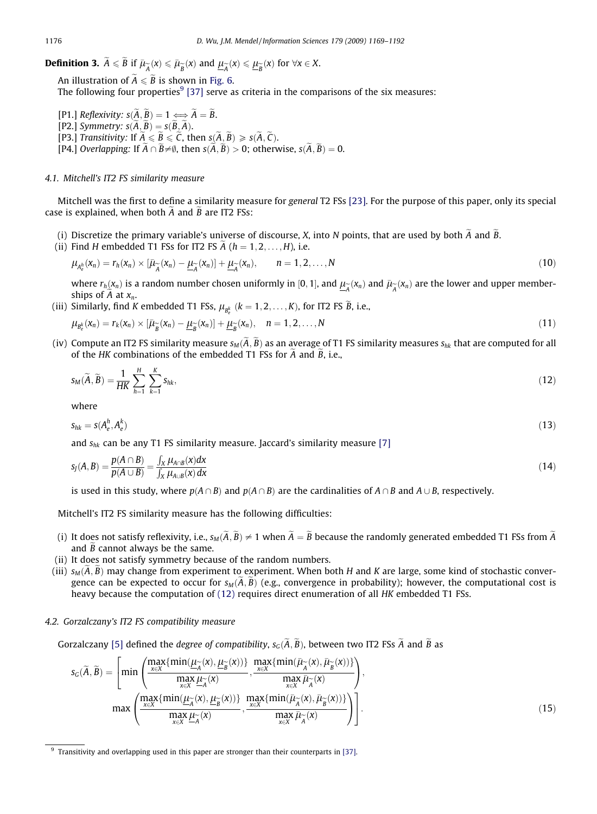<span id="page-7-0"></span>**Definition 3.**  $\tilde{A} \leqslant \tilde{B}$  if  $\bar{\mu}_{\widetilde{A}}(x) \leqslant \bar{\mu}_{\widetilde{B}}(x)$  and  $\underline{\mu}_{\widetilde{A}}(x) \leqslant \underline{\mu}_{\widetilde{B}}(x)$  for  $\forall x \in X$ .

An illustration of  $\overline{A} \leqslant \overline{B}$  is shown in [Fig. 6.](#page-6-0) The following four properties<sup>9</sup> [\[37\]](#page-23-0) serve as criteria in the comparisons of the six measures:

[P1.] Reflexivity:  $s(A, B) = 1 \Longleftrightarrow A = B$ . [P2.] Symmetry:  $s(A, B) = s(B, A)$ . [P3.] Transitivity: If  $A \le \widetilde{B} \le \widetilde{C}$ , then  $s(A, \widetilde{B}) \ge s(A, \widetilde{C})$ . [P4.] Overlapping: If  $A \cap B \neq \emptyset$ , then  $s(A, B) > 0$ ; otherwise,  $s(A, B) = 0$ .

#### 4.1. Mitchell's IT2 FS similarity measure

Mitchell was the first to define a similarity measure for general T2 FSs [\[23\].](#page-22-0) For the purpose of this paper, only its special case is explained, when both  $A$  and  $B$  are IT2 FSs:

- (i) Discretize the primary variable's universe of discourse,  $X$ , into  $N$  points, that are used by both  $A$  and  $B$ .
- (ii) Find H embedded T1 FSs for IT2 FS A  $(h = 1, 2, \ldots, H)$ , i.e.

$$
\mu_{A_e^h}(x_n) = r_h(x_n) \times \left[\bar{\mu}_{\widetilde{A}}(x_n) - \underline{\mu}_{\widetilde{A}}(x_n)\right] + \underline{\mu}_{\widetilde{A}}(x_n), \qquad n = 1, 2, \dots, N \tag{10}
$$

where  $r_h(x_n)$  is a random number chosen uniformly in [0, 1], and  $\underline{\mu}_{\widetilde{A}}(x_n)$  and  $\overline{\mu}_{\widetilde{A}}(x_n)$  are the lower and upper member-<br>shine of  $\widetilde{A}$  at u ships of  $A$  at  $x_n$ .

(iii) Similarly, find K embedded T1 FSs,  $\mu_{B_e^k}$   $(k = 1, 2, \ldots, K)$ , for IT2 FS  $\widetilde{B}$ , i.e.,

$$
\mu_{B_e^k}(x_n) = r_k(x_n) \times [\bar{\mu}_{\widetilde{B}}(x_n) - \underline{\mu}_{\widetilde{B}}(x_n)] + \underline{\mu}_{\widetilde{B}}(x_n), \quad n = 1, 2, ..., N
$$
\n(11)

(iv) Compute an IT2 FS similarity measure  $s_M(A,B)$  as an average of T1 FS similarity measures  $s_{hk}$  that are computed for all of the HK combinations of the embedded T1 FSs for A and B, i.e.,

$$
s_M(\widetilde{A}, \widetilde{B}) = \frac{1}{HK} \sum_{h=1}^H \sum_{k=1}^K s_{hk},\tag{12}
$$

where

$$
s_{hk} = s(A_e^h, A_e^k) \tag{13}
$$

and  $s_{hk}$  can be any T1 FS similarity measure. Jaccard's similarity measure [\[7\]](#page-22-0)

$$
s_J(A, B) = \frac{p(A \cap B)}{p(A \cup B)} = \frac{\int_X \mu_{A \cap B}(x) dx}{\int_X \mu_{A \cup B}(x) dx}
$$
\n(14)

is used in this study, where  $p(A \cap B)$  and  $p(A \cap B)$  are the cardinalities of  $A \cap B$  and  $A \cup B$ , respectively.

Mitchell's IT2 FS similarity measure has the following difficulties:

- (i) It does not satisfy reflexivity, i.e.,  $s_M(A,B)\neq 1$  when  $A=B$  because the randomly generated embedded T1 FSs from A and  $B$  cannot always be the same.
- (ii) It does not satisfy symmetry because of the random numbers.
- (iii)  $s_M(A, B)$  may change from experiment to experiment. When both H and K are large, some kind of stochastic convergence can be expected to occur for  $s_M(A, B)$  (e.g., convergence in probability); however, the computational cost is heavy because the computation of (12) requires direct enumeration of all HK embedded T1 FSs.

#### 4.2. Gorzalczany's IT2 FS compatibility measure

Gorzalczany [\[5\]](#page-22-0) defined the *degree of compatibility*,  $s_G(A, B)$ , between two IT2 FSs A and B as

$$
s_{G}(\widetilde{A}, \widetilde{B}) = \left[ \min \left( \frac{\max_{x \in X} \{ \min(\underline{\mu}_{\widetilde{A}}(x), \underline{\mu}_{\widetilde{B}}(x)) \}}{\max_{x \in X} \underline{\mu}_{\widetilde{A}}(x)}, \frac{\max_{x \in X} \{ \min(\overline{\mu}_{\widetilde{A}}(x), \overline{\mu}_{\widetilde{B}}(x)) \}}{\max_{x \in X} \overline{\mu}_{\widetilde{A}}(x)} \right), \max \left( \frac{\max_{x \in X} \{ \min(\underline{\mu}_{\widetilde{A}}(x), \underline{\mu}_{\widetilde{B}}(x)) \}}{\max_{x \in X} \{\min(\underline{\mu}_{\widetilde{A}}(x), \overline{\mu}_{\widetilde{B}}(x)) \}}, \frac{\max_{x \in X} \{\min(\overline{\mu}_{\widetilde{A}}(x), \overline{\mu}_{\widetilde{B}}(x)) \}}{\max_{x \in X} \overline{\mu}_{\widetilde{A}}(x)} \right) \right].
$$
\n(15)

 $9$  Transitivity and overlapping used in this paper are stronger than their counterparts in [\[37\].](#page-23-0)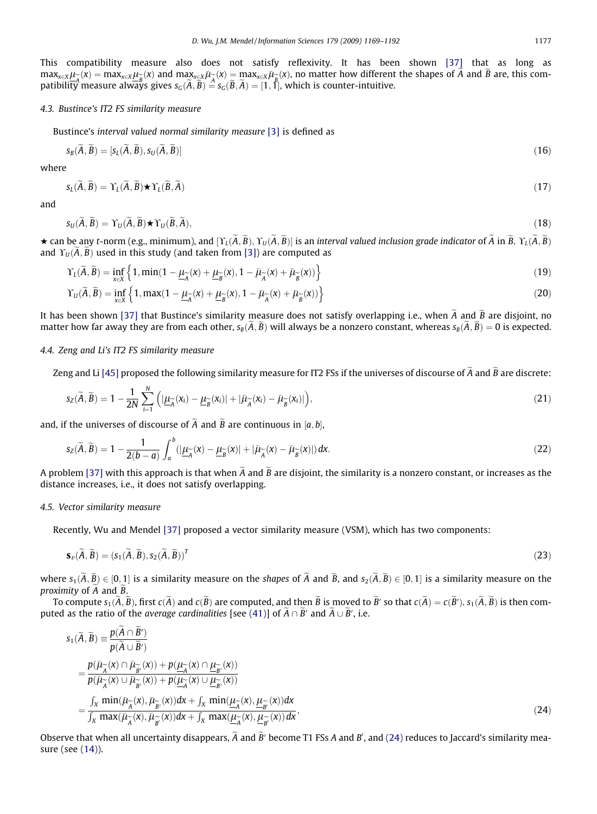#### <span id="page-8-0"></span>4.3. Bustince's IT2 FS similarity measure

Bustince's interval valued normal similarity measure [\[3\]](#page-22-0) is defined as

$$
s_B(A, B) = [s_L(A, B), s_U(A, B)] \tag{16}
$$

where

$$
s_{L}(\widetilde{A}, \widetilde{B}) = \Upsilon_{L}(\widetilde{A}, \widetilde{B}) \star \Upsilon_{L}(\widetilde{B}, \widetilde{A})
$$
\n(17)

and

$$
s_{U}(\widetilde{A}, \widetilde{B}) = \Upsilon_{U}(\widetilde{A}, \widetilde{B}) \star \Upsilon_{U}(\widetilde{B}, \widetilde{A}), \tag{18}
$$

 $\star$  can be any t-norm (e.g., minimum), and  $[\Upsilon_L(\tilde{A}, \tilde{B}), \Upsilon_U(\tilde{A}, \tilde{B})]$  is an interval valued inclusion grade indicator of  $\tilde{A}$  in  $\tilde{B}$ .  $\Upsilon_L(\tilde{A}, \tilde{B})$ and  $\Upsilon_U(A,B)$  used in this study (and taken from [\[3\]\)](#page-22-0) are computed as

$$
\Upsilon_L(\widetilde{A}, \widetilde{B}) = \inf_{x \in X} \left\{ 1, \min(1 - \underline{\mu}_{\widetilde{A}}(x) + \underline{\mu}_{\widetilde{B}}(x), 1 - \bar{\mu}_{\widetilde{A}}(x) + \bar{\mu}_{\widetilde{B}}(x)) \right\}
$$
(19)

$$
\Upsilon_U(\widetilde{A}, \widetilde{B}) = \inf_{x \in X} \left\{ 1, \max(1 - \underline{\mu}_{\widetilde{A}}(x) + \underline{\mu}_{\widetilde{B}}(x), 1 - \bar{\mu}_{\widetilde{A}}(x) + \bar{\mu}_{\widetilde{B}}(x)) \right\}
$$
(20)

It has been shown [\[37\]](#page-23-0) that Bustince's similarity measure does not satisfy overlapping i.e., when A and B are disjoint, no matter how far away they are from each other,  $s_{\rm B}(A,B)$  will always be a nonzero constant, whereas  $s_{\rm B}(A,B)=0$  is expected.

#### 4.4. Zeng and Li's IT2 FS similarity measure

Zeng and Li [\[45\]](#page-23-0) proposed the following similarity measure for IT2 FSs if the universes of discourse of A and B are discrete:

$$
s_Z(\widetilde{A}, \widetilde{B}) = 1 - \frac{1}{2N} \sum_{i=1}^N \left( \left| \underline{\mu}_{\widetilde{A}}(x_i) - \underline{\mu}_{\widetilde{B}}(x_i) \right| + \left| \bar{\mu}_{\widetilde{A}}(x_i) - \bar{\mu}_{\widetilde{B}}(x_i) \right| \right),\tag{21}
$$

and, if the universes of discourse of A and B are continuous in  $[a,b],$ 

$$
s_Z(\widetilde{A}, \widetilde{B}) = 1 - \frac{1}{2(b-a)} \int_a^b (|\underline{\mu}_{\widetilde{A}}(x) - \underline{\mu}_{\widetilde{B}}(x)| + |\bar{\mu}_{\widetilde{A}}(x) - \bar{\mu}_{\widetilde{B}}(x)|) dx.
$$
 (22)

A problem [\[37\]](#page-23-0) with this approach is that when A and B are disjoint, the similarity is a nonzero constant, or increases as the distance increases, i.e., it does not satisfy overlapping.

#### 4.5. Vector similarity measure

Recently, Wu and Mendel [\[37\]](#page-23-0) proposed a vector similarity measure (VSM), which has two components:

$$
\mathbf{S}_{\nu}(\widetilde{A}, \widetilde{B}) = (\mathbf{S}_1(\widetilde{A}, \widetilde{B}), \mathbf{S}_2(\widetilde{A}, \widetilde{B}))^T
$$
(23)

where  $s_1(A,B) \in [0,1]$  is a similarity measure on the shapes of A and B, and  $s_2(A,B) \in [0,1]$  is a similarity measure on the proximity of A and B.

To compute  $s_1(A, B)$ , first  $c(A)$  and  $c(B)$  are computed, and then B is moved to B' so that  $c(A) = c(B')$ .  $s_1(A, B)$  is then com-puted as the ratio of the average cardinalities [see [\(41\)\]](#page-18-0) of  $A \cap B'$  and  $A \cup B'$ , i.e.

$$
s_1(\widetilde{A}, \widetilde{B}) = \frac{p(\widetilde{A} \cap \widetilde{B}')}{p(\widetilde{A} \cup \widetilde{B}')}
$$
  
\n
$$
= \frac{p(\widetilde{\mu}_{\widetilde{A}}(x) \cap \widetilde{\mu}_{\widetilde{B}'}(x)) + p(\mu_{\widetilde{A}}(x) \cap \mu_{\widetilde{B}'}(x))}{p(\mu_{\widetilde{A}}(x) \cup \mu_{\widetilde{B}'}(x)) + p(\mu_{\widetilde{A}}(x) \cup \mu_{\widetilde{B}'}(x))}
$$
  
\n
$$
= \frac{\int_X \min(\widetilde{\mu}_{\widetilde{A}}(x), \widetilde{\mu}_{\widetilde{B}'}(x))dx + \int_X \min(\mu_{\widetilde{A}}(x), \mu_{\widetilde{B}'}(x))dx}{\int_X \max(\widetilde{\mu}_{\widetilde{A}}(x), \widetilde{\mu}_{\widetilde{B}'}(x))dx + \int_X \max(\mu_{\widetilde{A}}(x), \mu_{\widetilde{B}'}(x))dx},
$$
\n(24)

Observe that when all uncertainty disappears,  $\tilde{A}$  and  $\tilde{B}'$  become T1 FSs A and B', and (24) reduces to Jaccard's similarity measure (see [\(14\)](#page-7-0)).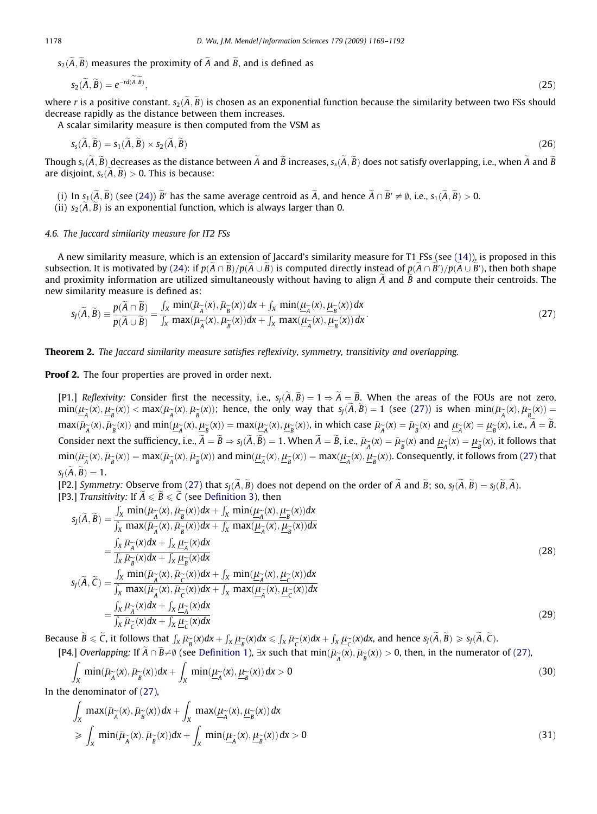<span id="page-9-0"></span> $s_2(A, B)$  measures the proximity of A and B, and is defined as

$$
s_2(\widetilde{A}, \widetilde{B}) = e^{-rd(A,B)},\tag{25}
$$

where r is a positive constant.  $s_2(A, B)$  is chosen as an exponential function because the similarity between two FSs should decrease rapidly as the distance between them increases.

A scalar similarity measure is then computed from the VSM as

$$
s_{s}(\tilde{A}, \tilde{B}) = s_{1}(\tilde{A}, \tilde{B}) \times s_{2}(\tilde{A}, \tilde{B})
$$
\n<sup>(26)</sup>

Though  $s_{\rm s}(A,B)$  decreases as the distance between A and B increases,  $s_{\rm s}(A,B)$  does not satisfy overlapping, i.e., when A and B are disjoint,  $s_s(A, B) > 0$ . This is because:

(i) In  $s_1(A, B)$  (see [\(24\)](#page-8-0)) B' has the same average centroid as A, and hence  $A \cap B' \neq \emptyset$ , i.e.,  $s_1(A, B) > 0$ .

(ii)  $s_2(A, B)$  is an exponential function, which is always larger than 0.

## 4.6. The Jaccard similarity measure for IT2 FSs

A new similarity measure, which is an extension of Jaccard's similarity measure for T1 FSs (see [\(14\)](#page-7-0)), is proposed in this subsection. It is motivated by [\(24\):](#page-8-0) if  $p(A \cap B)/p(A \cup B)$  is computed directly instead of  $p(A \cap B')/p(A \cup B')$ , then both shape and proximity information are utilized simultaneously without having to align  $A$  and  $B$  and compute their centroids. The new similarity measure is defined as:

$$
s_{J}(\widetilde{A}, \widetilde{B}) \equiv \frac{p(\widetilde{A} \cap \widetilde{B})}{p(\widetilde{A} \cup \widetilde{B})} = \frac{\int_{X} \min(\overline{\mu}_{\widetilde{A}}(x), \overline{\mu}_{\widetilde{B}}(x)) dx + \int_{X} \min(\underline{\mu}_{\widetilde{A}}(x), \underline{\mu}_{\widetilde{B}}(x)) dx}{\int_{X} \max(\overline{\mu}_{\widetilde{A}}(x), \overline{\mu}_{\widetilde{B}}(x)) dx + \int_{X} \max(\underline{\mu}_{\widetilde{A}}(x), \underline{\mu}_{\widetilde{B}}(x)) dx}.
$$
\n(27)

**Theorem 2.** The Jaccard similarity measure satisfies reflexivity, symmetry, transitivity and overlapping.

Proof 2. The four properties are proved in order next.

[P1.] Reflexivity: Consider first the necessity, i.e.,  $s_j(A, B) = 1 \Rightarrow A = B$ . When the areas of the FOUs are not zero,  $\min(\underline{\mu}_{\widetilde{A}}(x), \underline{\mu}_{\widetilde{B}}(x)) < \max(\overline{\mu}_{\widetilde{A}}(x), \overline{\mu}_{\widetilde{B}}(x))$ ; hence, the only way that  $s_j(\widetilde{A}, \widetilde{B}) = 1$  (see (27)) is when  $\min(\overline{\mu}_{\widetilde{A}}(x), \overline{\mu}_{\widetilde{B}}(x)) =$  $\max(\bar{\mu}_{\widetilde{A}}(x), \bar{\mu}_{\widetilde{B}}(x))$  and  $\min(\underline{\mu}_{\widetilde{A}}(x), \underline{\mu}_{\widetilde{B}}(x)) = \max(\underline{\mu}_{\widetilde{A}}(x), \underline{\mu}_{\widetilde{B}}(x))$ , in which case  $\bar{\mu}_{\widetilde{A}}(x) = \bar{\mu}_{\widetilde{B}}(x)$  and  $\underline{\mu}_{\widetilde{A}}(x) = \underline{\mu}_{\widetilde{B}}(x)$ , i.e.,  $\widetilde{A} = \widetilde{B}$ . Consider next the sufficiency, i.e.,  $\tilde{A} = \tilde{B} \Rightarrow s_j(\tilde{A}, \tilde{B}) = 1$ . When  $\tilde{A} = \tilde{B}$ , i.e.,  $\bar{\mu}_{\tilde{A}}(x) = \bar{\mu}_{\tilde{B}}(x)$  and  $\underline{\mu}_{\tilde{A}}(x) = \underline{\mu}_{\tilde{B}}(x)$ , it follows that  $\min(\bar{\mu}_{\widetilde{A}}(x),\bar{\mu}_{\widetilde{B}}(x)) = \max(\bar{\mu}_{\widetilde{A}}(x),\bar{\mu}_{\widetilde{B}}(x))$  and  $\min(\underline{\mu}_{\widetilde{A}}(x),\underline{\mu}_{\widetilde{B}}(x)) = \max(\underline{\mu}_{\widetilde{A}}(x),\underline{\mu}_{\widetilde{B}}(x))$ . Consequently, it follows from (27) that  $s_J(A, B) = 1.$ 

[P2.] Symmetry: Observe from (27) that  $s_j(A, B)$  does not depend on the order of A and B; so,  $s_j(A, B) = s_j(B, A)$ . [P3.] Transitivity: If  $\widetilde{A} \le \widetilde{B} \le \widetilde{C}$  (see [Definition 3\)](#page-7-0), then

$$
s_{J}(\widetilde{A}, \widetilde{B}) = \frac{\int_{X} \min(\overline{\mu}_{\widetilde{A}}(x), \overline{\mu}_{\widetilde{B}}(x))dx + \int_{X} \min(\underline{\mu}_{\widetilde{A}}(x), \underline{\mu}_{\widetilde{B}}(x))dx}{\int_{X} \max(\overline{\mu}_{\widetilde{A}}(x), \overline{\mu}_{\widetilde{B}}(x))dx + \int_{X} \max(\underline{\mu}_{\widetilde{A}}(x), \underline{\mu}_{\widetilde{B}}(x))dx}
$$
\n
$$
= \frac{\int_{X} \overline{\mu}_{\widetilde{A}}(x)dx + \int_{X} \underline{\mu}_{\widetilde{A}}(x)dx}{\int_{X} \overline{\mu}_{\widetilde{B}}(x)dx + \int_{X} \underline{\mu}_{\widetilde{B}}(x)dx}
$$
\n
$$
s_{J}(\widetilde{A}, \widetilde{C}) = \frac{\int_{X} \min(\overline{\mu}_{\widetilde{A}}(x), \overline{\mu}_{\widetilde{C}}(x))dx + \int_{X} \min(\underline{\mu}_{\widetilde{A}}(x), \underline{\mu}_{\widetilde{C}}(x))dx}{\int_{X} \max(\overline{\mu}_{\widetilde{A}}(x), \overline{\mu}_{\widetilde{C}}(x))dx + \int_{X} \max(\underline{\mu}_{\widetilde{A}}(x), \underline{\mu}_{\widetilde{C}}(x))dx}
$$
\n
$$
= \frac{\int_{X} \overline{\mu}_{\widetilde{A}}(x)dx + \int_{X} \underline{\mu}_{\widetilde{A}}(x)dx}{\int_{X} \overline{\mu}_{\widetilde{C}}(x)dx + \int_{X} \underline{\mu}_{\widetilde{C}}(x)dx}
$$
\n(29)

Because  $\widetilde{B} \leq \widetilde{C}$ , it follows that  $\int_{X} \overline{\mu}_{\widetilde{B}}(x) dx + \int_{X} \underline{\mu}_{\widetilde{B}}(x) dx \leq \int_{X} \overline{\mu}_{\widetilde{C}}(x) dx + \int_{X} \underline{\mu}_{\widetilde{C}}(x) dx$ , and hence  $s_j(\widetilde{A}, \widetilde{B}) \geq s_j(\widetilde{A}, \widetilde{C})$ .

[P4.] Overlapping: If  $\widetilde{A} \cap \widetilde{B} \neq \emptyset$  (see [Definition 1\)](#page-4-0),  $\exists x$  such that  $\min(\overline{\mu}_{\widetilde{A}}(x), \overline{\mu}_{\widetilde{B}}(x)) > 0$ , then, in the numerator of (27),

$$
\int_{X} \min(\bar{\mu}_{\widetilde{A}}(x), \bar{\mu}_{\widetilde{B}}(x))dx + \int_{X} \min(\underline{\mu}_{\widetilde{A}}(x), \underline{\mu}_{\widetilde{B}}(x))dx > 0
$$
\n(30)

In the denominator of  $(27)$ ,

$$
\int_{X} \max(\bar{\mu}_{\widetilde{A}}(x), \bar{\mu}_{\widetilde{B}}(x)) dx + \int_{X} \max(\underline{\mu}_{\widetilde{A}}(x), \underline{\mu}_{\widetilde{B}}(x)) dx
$$
\n
$$
\geq \int_{X} \min(\bar{\mu}_{\widetilde{A}}(x), \bar{\mu}_{\widetilde{B}}(x)) dx + \int_{X} \min(\underline{\mu}_{\widetilde{A}}(x), \underline{\mu}_{\widetilde{B}}(x)) dx > 0
$$
\n(31)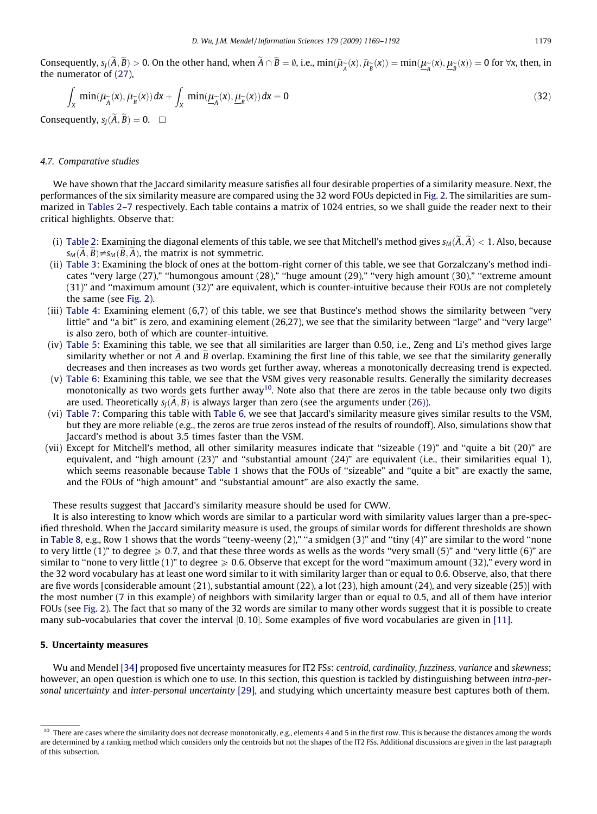Consequently,  $s_j(\tilde{A}, \tilde{B}) > 0$ . On the other hand, when  $\tilde{A} \cap \tilde{B} = \emptyset$ , i.e.,  $\min(\bar{\mu}_{\tilde{A}}(x), \bar{\mu}_{\tilde{B}}(x)) = \min(\underline{\mu}_{\tilde{A}}(x), \underline{\mu}_{\tilde{B}}(x)) = 0$  for  $\forall x$ , then, in the numerator of [\(27\)](#page-9-0),

$$
\int_{X} \min(\bar{\mu}_{\widetilde{A}}(x), \bar{\mu}_{\widetilde{B}}(x)) dx + \int_{X} \min(\underline{\mu}_{\widetilde{A}}(x), \underline{\mu}_{\widetilde{B}}(x)) dx = 0
$$
\n(32)

Consequently,  $s_j(\tilde{A}, \tilde{B}) = 0$ .  $\Box$ 

#### 4.7. Comparative studies

We have shown that the Jaccard similarity measure satisfies all four desirable properties of a similarity measure. Next, the performances of the six similarity measure are compared using the 32 word FOUs depicted in [Fig. 2](#page-2-0). The similarities are summarized in [Tables 2–7](#page-11-0) respectively. Each table contains a matrix of 1024 entries, so we shall guide the reader next to their critical highlights. Observe that:

- (i) [Table 2:](#page-11-0) Examining the diagonal elements of this table, we see that Mitchell's method gives  $s_{M}(A,A)< 1.$  Also, because  $s_M(A, B) \neq s_M(B, A)$ , the matrix is not symmetric.
- (ii) [Table 3](#page-12-0): Examining the block of ones at the bottom-right corner of this table, we see that Gorzalczany's method indicates ''very large (27)," ''humongous amount (28)," ''huge amount (29)," ''very high amount (30)," ''extreme amount (31)" and ''maximum amount (32)" are equivalent, which is counter-intuitive because their FOUs are not completely the same (see [Fig. 2](#page-2-0)).
- (iii) [Table 4:](#page-13-0) Examining element (6,7) of this table, we see that Bustince's method shows the similarity between ''very little" and "a bit" is zero, and examining element (26,27), we see that the similarity between "large" and "very large" is also zero, both of which are counter-intuitive.
- (iv) [Table 5:](#page-14-0) Examining this table, we see that all similarities are larger than 0.50, i.e., Zeng and Li's method gives large similarity whether or not A and B overlap. Examining the first line of this table, we see that the similarity generally decreases and then increases as two words get further away, whereas a monotonically decreasing trend is expected.
- (v) [Table 6:](#page-15-0) Examining this table, we see that the VSM gives very reasonable results. Generally the similarity decreases monotonically as two words gets further away<sup>10</sup>. Note also that there are zeros in the table because only two digits are used. Theoretically  $s_j(A, B)$  is always larger than zero (see the arguments under [\(26\)\)](#page-9-0).
- (vi) [Table 7](#page-16-0): Comparing this table with [Table 6,](#page-15-0) we see that Jaccard's similarity measure gives similar results to the VSM, but they are more reliable (e.g., the zeros are true zeros instead of the results of roundoff). Also, simulations show that Jaccard's method is about 3.5 times faster than the VSM.
- (vii) Except for Mitchell's method, all other similarity measures indicate that ''sizeable (19)" and ''quite a bit (20)" are equivalent, and ''high amount (23)" and ''substantial amount (24)" are equivalent (i.e., their similarities equal 1), which seems reasonable because [Table 1](#page-3-0) shows that the FOUs of "sizeable" and "quite a bit" are exactly the same, and the FOUs of ''high amount" and ''substantial amount" are also exactly the same.

These results suggest that Jaccard's similarity measure should be used for CWW.

It is also interesting to know which words are similar to a particular word with similarity values larger than a pre-specified threshold. When the Jaccard similarity measure is used, the groups of similar words for different thresholds are shown in [Table 8,](#page-17-0) e.g., Row 1 shows that the words "teeny-weeny (2)," "a smidgen (3)" and "tiny (4)" are similar to the word "none to very little  $(1)$ " to degree  $\geq 0.7$ , and that these three words as wells as the words "very small  $(5)$ " and "very little  $(6)$ " are similar to "none to very little  $(1)$ " to degree  $\geqslant 0.6$ . Observe that except for the word "maximum amount  $(32)$ ," every word in the 32 word vocabulary has at least one word similar to it with similarity larger than or equal to 0.6. Observe, also, that there are five words [considerable amount (21), substantial amount (22), a lot (23), high amount (24), and very sizeable (25)] with the most number (7 in this example) of neighbors with similarity larger than or equal to 0.5, and all of them have interior FOUs (see [Fig. 2](#page-2-0)). The fact that so many of the 32 words are similar to many other words suggest that it is possible to create many sub-vocabularies that cover the interval  $[0, 10]$ . Some examples of five word vocabularies are given in [\[11\].](#page-22-0)

#### 5. Uncertainty measures

Wu and Mendel [\[34\]](#page-23-0) proposed five uncertainty measures for IT2 FSs: centroid, cardinality, fuzziness, variance and skewness; however, an open question is which one to use. In this section, this question is tackled by distinguishing between intra-personal uncertainty and inter-personal uncertainty [\[29\]](#page-22-0), and studying which uncertainty measure best captures both of them.

 $10$  There are cases where the similarity does not decrease monotonically, e.g., elements 4 and 5 in the first row. This is because the distances among the words are determined by a ranking method which considers only the centroids but not the shapes of the IT2 FSs. Additional discussions are given in the last paragraph of this subsection.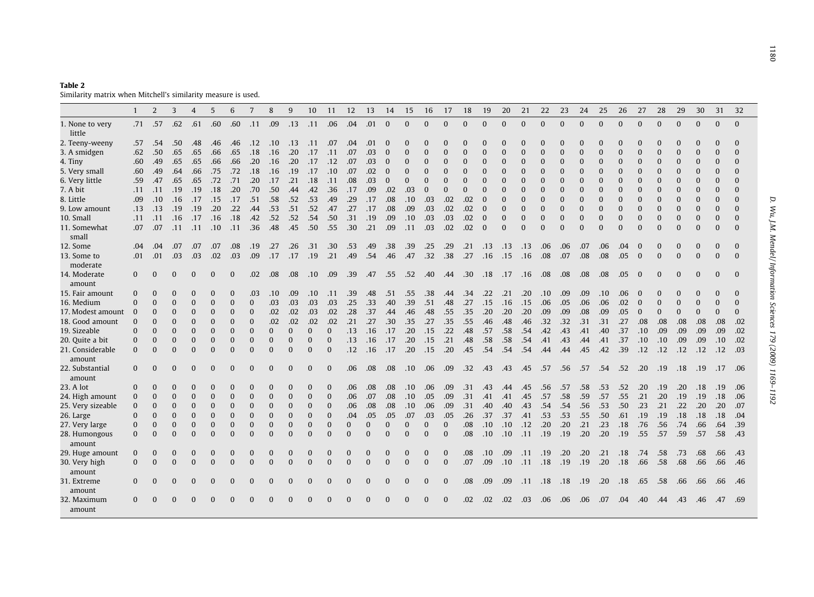<span id="page-11-0"></span>

| Table 2                                                       |  |  |
|---------------------------------------------------------------|--|--|
| Similarity matrix when Mitchell's similarity measure is used. |  |  |

|                            | $\mathbf{1}$ | 2            | 3              | 4              | 5              | 6            | $7\overline{ }$ | 8            | 9            | 10       | 11           | 12           | 13             | 14           | 15       | 16           | 17           | 18           | 19           | 20             | 21           | 22       | 23             | 24           | 25             | 26           | 27           | 28       | 29       | 30             | 31               | 32             |
|----------------------------|--------------|--------------|----------------|----------------|----------------|--------------|-----------------|--------------|--------------|----------|--------------|--------------|----------------|--------------|----------|--------------|--------------|--------------|--------------|----------------|--------------|----------|----------------|--------------|----------------|--------------|--------------|----------|----------|----------------|------------------|----------------|
| 1. None to very<br>little  |              | $.71$ .57    | .62            | .61            | .60            | .60          | .11             | .09          | .13          | .11      | .06          | .04          | .01            | $\mathbf{0}$ | $\Omega$ | $\mathbf{0}$ | $\Omega$     | $\mathbf{0}$ | $\Omega$     | $\Omega$       | $\mathbf{0}$ | $\Omega$ | $\mathbf{0}$   | $\mathbf{0}$ | $\Omega$       | $\mathbf{0}$ | $\mathbf{0}$ | $\Omega$ | $\Omega$ | $\mathbf{0}$   | $\mathbf{0}$     | $\mathbf{0}$   |
| 2. Teeny-weeny             | .57          | .54          | .50            | .48            | .46            | .46          | .12             | .10          | .13          | .11      | .07          | .04          | .01            |              |          | $\Omega$     | $\Omega$     | $\Omega$     |              | C              | $\Omega$     |          | 0              | 0            | $\Omega$       | $\Omega$     |              | $\Omega$ |          | 0              | $\bf{0}$         | $\Omega$       |
| 3. A smidgen               | .62          | .50          | .65            | .65            | .66            | .65          | .18             | .16          | .20          | .17      | .11          | .07          | .03            | $\Omega$     |          | $\mathbf{0}$ | $\mathbf{0}$ | $\mathbf{0}$ | $\Omega$     | $\overline{0}$ | $\Omega$     | $\Omega$ | 0              | $\mathbf{0}$ | $\mathbf{0}$   | $\mathbf{0}$ | $\mathbf{0}$ | $\Omega$ | $\Omega$ | $\overline{0}$ | $\mathbf{0}$     | $\overline{0}$ |
| 4. Tiny                    | .60          | .49          | .65            | .65            | .66            | .66          | .20             | .16          | .20          | .17      | .12          | .07          | .03            | $\Omega$     |          | $\Omega$     | $\Omega$     | $\Omega$     | $\Omega$     | $\Omega$       | $\Omega$     | $\Omega$ | $\Omega$       | $\mathbf{0}$ | $\Omega$       | $\Omega$     | $\Omega$     | $\Omega$ | $\Omega$ | $\Omega$       | $\mathbf{0}$     | $\Omega$       |
| 5. Very small              | .60          | .49          | .64            | .66            | .75            | .72          | .18             | .16          | .19          | .17      | .10          | .07          | .02            | $\Omega$     |          | $\Omega$     | $\Omega$     | $\Omega$     | $\Omega$     | $\mathbf 0$    | $\Omega$     | $\Omega$ | $\Omega$       | $\mathbf{0}$ | $\Omega$       | $\bf{0}$     | $\Omega$     | $\Omega$ | $\Omega$ | $\Omega$       | $\mathbf{0}$     | $\Omega$       |
| 6. Very little             | .59          | .47          | .65            | .65            | .72            | .71          | .20             | .17          | .21          | .18      | .11          | .08          | .03            | $\mathbf{0}$ |          | $\Omega$     | $\Omega$     | $\Omega$     | $\Omega$     | $\Omega$       | $\Omega$     | $\Omega$ | $\Omega$       | $\mathbf{0}$ | $\Omega$       | $\mathbf{0}$ | $\Omega$     | $\Omega$ | $\Omega$ | $\Omega$       | $\mathbf{0}$     | $\Omega$       |
| 7. A bit                   | .11          | .11          | .19            | .19            | .18            | .20          | .70             | .50          | .44          | .42      | .36          | .17          | .09            | .02          | .03      | $\mathbf{0}$ | $\mathbf{0}$ | $\mathbf{0}$ | $\Omega$     | $\Omega$       | $\Omega$     | $\Omega$ | $\overline{0}$ | $\mathbf{0}$ | $\Omega$       | $\Omega$     | $\Omega$     | $\Omega$ | $\Omega$ | $\Omega$       | $\boldsymbol{0}$ | $\Omega$       |
| 8. Little                  | .09          | .10          | .16            | .17            | .15            | .17          | .51             | .58          | .52          | .53      | .49          | .29          | .17            | .08          | .10      | .03          | .02          | .02          | $\mathbf{0}$ | $\overline{0}$ | $\mathbf{0}$ | $\Omega$ | 0              | $\bf{0}$     | $\Omega$       | $\Omega$     | $\Omega$     | $\Omega$ | $\Omega$ | $\Omega$       | $\overline{0}$   | $\Omega$       |
| 9. Low amount              | .13          | .13          | .19            | .19            | .20            | .22          | .44             | .53          | .51          | .52      | .47          | .27          | .17            | .08          | .09      | .03          | .02          | .02          | $\mathbf{0}$ | $\Omega$       | $\mathbf{0}$ | $\Omega$ | $\Omega$       | $\mathbf{0}$ | $\Omega$       | $\mathbf{0}$ | $\Omega$     | $\Omega$ | $\Omega$ | $\Omega$       | $\mathbf{0}$     | $\Omega$       |
| 10. Small                  | .11          | .11          | .16            | .17            | .16            | .18          | .42             | .52          | .52          | .54      | .50          | .31          | .19            | .09          | .10      | .03          | .03          | .02          | $\mathbf{0}$ | $\overline{0}$ | $\mathbf{0}$ | $\Omega$ | $\bf{0}$       | $\mathbf{0}$ | $\overline{0}$ | $\mathbf{0}$ | $\Omega$     | $\Omega$ | $\bf{0}$ | $\overline{0}$ | $\mathbf{0}$     | $\overline{0}$ |
| 11. Somewhat<br>small      | .07          | .07          | .11            | .11            | .10            | .11          | .36             | .48          | .45          | .50      | .55          | .30          | .21            | .09          | .11      | .03          | .02          | .02          | $\Omega$     | $\Omega$       | $\Omega$     |          | $\Omega$       | $\mathbf{0}$ | $\Omega$       | $\Omega$     | $\Omega$     | $\Omega$ | $\Omega$ | $\Omega$       | $\mathbf{0}$     | $\Omega$       |
| 12. Some                   | .04          | .04          | .07            | .07            | .07            | .08          | .19             | .27          | .26          | .31      | .30          | .53          | .49            | .38          | .39      | .25          | .29          | .21          | .13          | .13            | .13          | .06      | .06            | .07          | .06            | .04          | $\mathbf 0$  | $\Omega$ | $\Omega$ | 0              | $\bf{0}$         | $\mathbf 0$    |
| 13. Some to<br>moderate    | .01          | .01          | .03            | .03            | .02            | .03          | .09             | .17          | .17          | .19      | .21          | .49          | .54            | .46          | .47      | .32          | .38          | .27          | .16          | .15            | .16          | .08      | .07            | .08          | .08            | .05          | $\mathbf{0}$ | $\Omega$ | $\Omega$ | $\Omega$       | $\mathbf{0}$     | $\Omega$       |
| 14. Moderate<br>amount     | $\mathbf{0}$ | $\bf{0}$     | $\Omega$       | $\mathbf{0}$   | $\Omega$       | $\Omega$     | .02             | .08          | .08          | .10      | .09          | .39          | .47            | .55          | .52      | .40          | .44          | .30          | .18          | .17            | .16          | .08      | .08            | .08          | .08            | .05          | $\sqrt{ }$   | $\Omega$ | $\Omega$ | $\Omega$       | $\mathbf{0}$     | $\Omega$       |
| 15. Fair amount            | $\mathbf{0}$ | $\Omega$     | 0              | $\Omega$       | $\Omega$       | $\bf{0}$     | .03             | .10          | .09          | .10      | .11          | .39          | .48            | .51          | .55      | .38          | .44          | .34          | .22          | .21            | .20          | .10      | .09            | .09          | .10            | .06          |              | $\Omega$ | 0        | 0              | $\Omega$         | $\Omega$       |
| 16. Medium                 | $\Omega$     | $\Omega$     | $\Omega$       | $\mathbf{0}$   | $\Omega$       | $\bf{0}$     | $\Omega$        | .03          | .03          | .03      | .03          | .25          | .33            | .40          | .39      | .51          | .48          | .27          | .15          | .16            | .15          | .06      | .05            | .06          | .06            | .02          | $\Omega$     | $\Omega$ | $\Omega$ | $\Omega$       | $\mathbf{0}$     | $\Omega$       |
| 17. Modest amount          | $\Omega$     | $\Omega$     | $\Omega$       | $\Omega$       | $\Omega$       | $\Omega$     | $\Omega$        | .02          | .02          | .03      | .02          | .28          | .37            | .44          | .46      | .48          | .55          | .35          | .20          | .20            | .20          | .09      | .09            | .08          | .09            | .05          | $\Omega$     | $\Omega$ | $\Omega$ | $\Omega$       | $\mathbf{0}$     | $\Omega$       |
| 18. Good amount            | $\Omega$     | $\Omega$     | $\Omega$       | $\Omega$       | $\Omega$       | $\Omega$     | $\Omega$        | .02          | .02          | .02      | .02          | .21          | .27            | .30          | .35      | .27          | .35          | .55          | .46          | .48            | .46          | .32      | .32            | .31          | .31            | .27          | .08          | .08      | .08      | .08            | .08              | .02            |
| 19. Sizeable               | $\Omega$     | $\mathbf{0}$ | $\Omega$       | $\mathbf{0}$   | $\Omega$       | $\bf{0}$     | $\bf{0}$        | $\mathbf{0}$ | $\mathbf{0}$ | $\Omega$ | $\mathbf{0}$ | .13          | .16            | .17          | .20      | .15          | .22          | .48          | .57          | .58            | .54          | .42      | .43            | .41          | .40            | .37          | .10          | .09      | .09      | .09            | .09              | .02            |
| 20. Quite a bit            | $\bf{0}$     | $\Omega$     | $\Omega$       | $\bf{0}$       | $\overline{0}$ | $\mathbf{0}$ | $\mathbf{0}$    | $\Omega$     | $\mathbf{0}$ | $\Omega$ | $\Omega$     | .13          | .16            | .17          | .20      | .15          | .21          | .48          | .58          | .58            | .54          | .41      | .43            | .44          | .41            | .37          | .10          | .10      | .09      | .09            | .10              | .02            |
| 21. Considerable<br>amount | $\mathbf{0}$ | $\Omega$     | $\Omega$       | $\mathbf{0}$   | $\Omega$       | $\Omega$     | $\Omega$        | $\Omega$     | $\Omega$     | $\Omega$ | $\Omega$     | .12          | .16            | .17          | .20      | .15          | .20          | .45          | .54          | .54            | .54          | .44      | .44            | .45          | .42            | .39          | .12          | .12      | .12      | .12            | .12              | .03            |
| 22. Substantial<br>amount  | $\mathbf{0}$ |              | 0              | 0              | $\Omega$       | $\Omega$     | 0               | $\Omega$     | $\Omega$     | $\Omega$ | $\mathbf{0}$ | .06          | .08            | .08          | .10      | .06          | .09          | .32          | .43          | .43            | .45          | .57      | .56            | .57          | .54            | .52          | .20          | .19      | .18      | .19            | .17              | .06            |
| 23. A lot                  | $\Omega$     | $\Omega$     | $\Omega$       | $\Omega$       | $\Omega$       | $\Omega$     | O               | $\Omega$     | $\Omega$     | $\Omega$ | $\Omega$     | .06          | .08            | .08          | .10      | .06          | .09          | .31          | .43          | .44            | .45          | .56      | .57            | .58          | .53            | .52          | .20          | .19      | .20      | .18            | .19              | .06            |
| 24. High amount            | $\bf{0}$     | $\mathbf 0$  | $\overline{0}$ | $\bf{0}$       | $\mathbf{0}$   | $\Omega$     | $\mathbf 0$     | $\Omega$     | $\Omega$     | $\Omega$ | $\mathbf{0}$ | .06          | .07            | .08          | .10      | .05          | .09          | .31          | .41          | .41            | .45          | .57      | .58            | .59          | .57            | .55          | .21          | .20      | .19      | .19            | .18              | .06            |
| 25. Very sizeable          | $\mathbf{0}$ | $\Omega$     | $\Omega$       | $\Omega$       | $\Omega$       | $\Omega$     | $\Omega$        | $\Omega$     | $\Omega$     | $\Omega$ | $\mathbf{0}$ | .06          | .08            | .08          | .10      | .06          | .09          | .31          | .40          | .40            | .43          | .54      | .54            | .56          | .53            | .50          | .23          | .21      | .22      | .20            | .20              | .07            |
| 26. Large                  | $\Omega$     | $\Omega$     | $\Omega$       | $\mathbf{0}$   | $\Omega$       | $\Omega$     | $\mathbf 0$     | $\Omega$     | $\Omega$     | $\Omega$ | $\mathbf{0}$ | .04          | .05            | .05          | .07      | .03          | .05          | .26          | .37          | .37            | .41          | .53      | .53            | .55          | .50            | .61          | .19          | .19      | .18      | .18            | .18              | .04            |
| 27. Very large             | $\mathbf{0}$ | $\mathbf 0$  | $\bf{0}$       | $\mathbf{0}$   | $\bf{0}$       | $\mathbf 0$  | $\mathbf 0$     | $\Omega$     | $\Omega$     | $\Omega$ | $\mathbf{0}$ | $\mathbf{0}$ | $\overline{0}$ | $\mathbf{0}$ | $\Omega$ | $\Omega$     | $\mathbf{0}$ | .08          | .10          | .10            | .12          | .20      | .20            | .21          | .23            | .18          | .76          | .56      | .74      | .66            | .64              | .39            |
| 28. Humongous<br>amount    | $\Omega$     | $\Omega$     | $\Omega$       | $\Omega$       | $\Omega$       | $\Omega$     | $\Omega$        | $\Omega$     | $\Omega$     | $\Omega$ | $\Omega$     | $\Omega$     | $\Omega$       | $\Omega$     | $\Omega$ | $\Omega$     | $\Omega$     | .08          | .10          | .10            | .11          | .19      | .19            | .20          | .20            | .19          | .55          | .57      | .59      | .57            | .58              | .43            |
| 29. Huge amount            | $\bf{0}$     | $\Omega$     | 0              | 0              | 0              | $\Omega$     | 0               | $\Omega$     | $\Omega$     | $\Omega$ | $\Omega$     | $\Omega$     | $\bf{0}$       | $\Omega$     | $\Omega$ | $\mathbf{0}$ | $\bf{0}$     | .08          | .10          | .09            | .11          | .19      | .20            | .20          | .21            | .18          | .74          | .58      | .73      | .68            | .66              | .43            |
| 30. Very high<br>amount    | $\Omega$     | $\Omega$     | $\Omega$       | $\overline{0}$ | $\Omega$       | $\Omega$     | $\Omega$        | $\Omega$     | $\Omega$     | $\Omega$ | $\mathbf{0}$ | $\Omega$     | $\Omega$       | $\Omega$     | $\Omega$ | $\mathbf{0}$ | $\mathbf{0}$ | .07          | .09          | .10            | .11          | .18      | .19            | .19          | .20            | .18          | .66          | .58      | .68      | .66            | .66              | .46            |
| 31. Extreme<br>amount      | 0            |              | 0              | $\bf{0}$       | $\Omega$       | $\Omega$     | 0               | $\Omega$     | $\Omega$     | $\Omega$ | 0            | $\Omega$     | $\bf{0}$       | $\Omega$     | $\Omega$ | $\mathbf{0}$ | $\bf{0}$     | .08          | .09          | .09            | .11          | .18      | .18            | .19          | .20            | .18          | .65          | .58      | .66      | .66            | .66              | .46            |
| 32. Maximum<br>amount      | $\Omega$     |              | $\Omega$       | $\Omega$       | $\Omega$       | $\Omega$     |                 |              |              | 0        | $\Omega$     | $\Omega$     | $\Omega$       |              |          | $\Omega$     | $\Omega$     | .02          | .02          | .02            | .03          | .06      | .06            | .06          | .07            | .04          | .40          | .44      | .43      | .46            | .47              | .69            |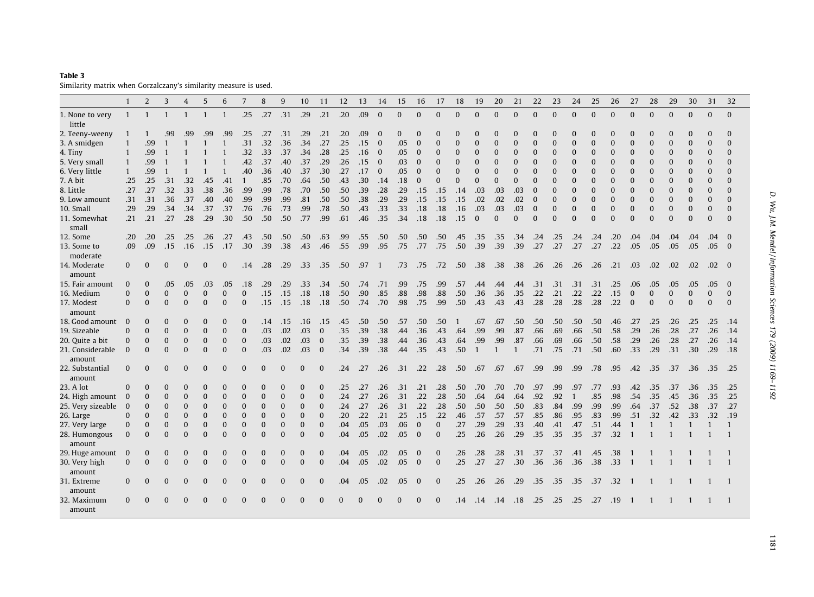<span id="page-12-0"></span>Similarity matrix when Gorzalczany's similarity measure is used.

|                           | $\mathbf{1}$   | 2            | 3            | $\overline{4}$ | 5            | 6              | 7            | 8        | 9        | 10           | 11             | 12       | 13  | 14           | 15           | 16             | 17           | 18       | 19           | 20           | 21           | 22             | 23           | 24             | 25             | 26       | 27           | 28           | 29           | 30           | 31               | 32                       |
|---------------------------|----------------|--------------|--------------|----------------|--------------|----------------|--------------|----------|----------|--------------|----------------|----------|-----|--------------|--------------|----------------|--------------|----------|--------------|--------------|--------------|----------------|--------------|----------------|----------------|----------|--------------|--------------|--------------|--------------|------------------|--------------------------|
| 1. None to very<br>little | -1             | $\mathbf{1}$ | $\mathbf{1}$ | 1              | 1            | 1              | .25          | .27      | .31      | .29          | .21            | .20      | .09 | $\mathbf{0}$ | $\mathbf{0}$ | $\Omega$       | $\Omega$     | $\Omega$ | $\Omega$     | $\Omega$     | $\Omega$     | $\Omega$       | $\Omega$     | $\Omega$       | $\overline{0}$ | $\Omega$ | $\mathbf{0}$ | $\Omega$     | $\Omega$     | $\Omega$     | $\mathbf{0}$     | $\mathbf{0}$             |
| 2. Teeny-weeny            |                | -1           | .99          | .99            | .99          | .99            | .25          | .27      | .31      | .29          | .21            | .20      | .09 | $\Omega$     | 0            | $\Omega$       | $\Omega$     | $\Omega$ | $\Omega$     | $\Omega$     | $\Omega$     | $\Omega$       | 0            | $\Omega$       | $\Omega$       | $\Omega$ | $\Omega$     | 0            |              | 0            | $\Omega$         | $\bf{0}$                 |
| 3. A smidgen              | $\mathbf{1}$   | .99          | $\mathbf{1}$ |                | $\mathbf{1}$ | $\mathbf{1}$   | .31          | .32      | .36      | .34          | .27            | .25      | .15 | $\mathbf{0}$ | .05          | $\Omega$       | $\Omega$     | $\Omega$ | $\Omega$     | $\Omega$     | $\Omega$     | $\Omega$       | $\Omega$     | $\mathbf{0}$   | $\Omega$       | $\Omega$ | $\Omega$     | $\Omega$     |              | $\Omega$     | $\mathbf{0}$     | $\mathbf{0}$             |
| 4. Tiny                   | $\mathbf{1}$   | .99          |              |                | $\mathbf{1}$ | $\mathbf{1}$   | .32          | .33      | .37      | .34          | .28            | .25      | .16 | $\Omega$     | .05          | $\Omega$       | $\Omega$     | $\Omega$ | $\Omega$     | $\Omega$     | $\Omega$     | $\Omega$       | $\mathbf{0}$ | $\Omega$       | $\Omega$       | $\Omega$ | $\Omega$     | $\Omega$     |              | $\Omega$     | $\mathbf{0}$     | $\Omega$                 |
| 5. Very small             | 1              | .99          |              |                |              |                | .42          | .37      | .40      | .37          | .29            | .26      | .15 | $\Omega$     | .03          | $\overline{0}$ | $\Omega$     | $\Omega$ | $\Omega$     | $\Omega$     | $\Omega$     | $\overline{0}$ | $\bf{0}$     | $\Omega$       | $\Omega$       | $\Omega$ | $\Omega$     | O            |              | $\Omega$     | $\bf{0}$         | $\bf{0}$                 |
| 6. Very little            | $\mathbf{1}$   | .99          | $\mathbf{1}$ | $\mathbf{1}$   | $\mathbf{1}$ | $\overline{1}$ | .40          | .36      | .40      | .37          | .30            | .27      | .17 | $\mathbf{0}$ | .05          | $\Omega$       | $\Omega$     | $\Omega$ | $\Omega$     | $\Omega$     | $\Omega$     | $\Omega$       | $\Omega$     | $\mathbf{0}$   | $\Omega$       | $\Omega$ | $\Omega$     | $\Omega$     |              | $\Omega$     | $\Omega$         | $\Omega$                 |
| 7. A bit                  | .25            | .25          | .31          | .32            | .45          | .41            | -1           | .85      | .70      | .64          | .50            | .43      | .30 | .14          | .18          | $\Omega$       | $\Omega$     | $\Omega$ | $\Omega$     | $\mathbf{0}$ | $\Omega$     | $\mathbf{0}$   | $\mathbf{0}$ | $\Omega$       | $\Omega$       | $\Omega$ | $\Omega$     | $\Omega$     | $\Omega$     | $\Omega$     | $\mathbf{0}$     | $\Omega$                 |
| 8. Little                 | .27            | .27          | .32          | .33            | .38          | .36            | .99          | .99      | .78      | .70          | .50            | .50      | .39 | .28          | .29          | .15            | .15          | .14      | .03          | .03          | .03          | $\bf{0}$       | $\mathbf{0}$ | $\mathbf{0}$   | $\Omega$       | $\Omega$ | $\Omega$     | $\Omega$     | $\Omega$     | $\Omega$     | $\mathbf{0}$     | $\Omega$                 |
| 9. Low amount             | .31            | .31          | .36          | .37            | .40          | .40            | .99          | .99      | .99      | .81          | .50            | .50      | .38 | .29          | .29          | .15            | .15          | .15      | .02          | .02          | .02          | $\mathbf{0}$   | $\Omega$     | $\mathbf{0}$   | $\Omega$       | $\Omega$ | $\Omega$     | $\Omega$     | $\Omega$     | $\Omega$     | $\Omega$         | $\Omega$                 |
| 10. Small                 | .29            | .29          | .34          | .34            | .37          | .37            | .76          | .76      | .73      | .99          | .78            | .50      | .43 | .33          | .33          | .18            | .18          | .16      | .03          | .03          | .03          | $\mathbf{0}$   | $\mathbf{0}$ | $\mathbf{0}$   | $\Omega$       | $\Omega$ | $\Omega$     | $\mathbf{0}$ | $\Omega$     | 0            | $\mathbf{0}$     | $\mathbf{0}$             |
| 11. Somewhat              | .21            | .21          | .27          | .28            | .29          | .30            | .50          | .50      | .50      | .77          | .99            | .61      | .46 | .35          | .34          | .18            | .18          | .15      | $\mathbf{0}$ | $\mathbf{0}$ | $\Omega$     | $\mathbf{0}$   | $\mathbf{0}$ | $\mathbf{0}$   | $\Omega$       | $\Omega$ | $\Omega$     | $\Omega$     | $\Omega$     | $\Omega$     | $\mathbf{0}$     | $\mathbf{0}$             |
| small                     |                |              |              |                |              |                |              |          |          |              |                |          |     |              |              |                |              |          |              |              |              |                |              |                |                |          |              |              |              |              |                  |                          |
| 12. Some                  | .20            | .20          | .25          | .25            | .26          | .27            | .43          | .50      | .50      | .50          | .63            | .99      | .55 | .50          | .50          | .50            | .50          | .45      | .35          | .35          | .34          | .24            | .25          | .24            | .24            | .20      | .04          | .04          | .04          | .04          | .04              | $\overline{\mathbf{0}}$  |
| 13. Some to<br>moderate   | .09            | .09          | .15          | .16            | .15          | .17            | .30          | .39      | .38      | .43          | .46            | .55      | .99 | .95          | .75          | .77            | .75          | .50      | .39          | .39          | .39          | .27            | .27          | .27            | .27            | .22      | .05          | .05          | .05          | .05          | .05              | $\overline{\mathbf{0}}$  |
| 14. Moderate<br>amount    | $\mathbf{0}$   | $\bf{0}$     | $\bf{0}$     | $\mathbf{0}$   | 0            | $\bf{0}$       | .14          | .28      | .29      | .33          | .35            | .50      | .97 | -1           | .73          | .75            | .72          | .50      | .38          | .38          | .38          | .26            | .26          | .26            | .26            | .21      | .03          | .02          | .02          | .02          | .02              | $\overline{\phantom{0}}$ |
| 15. Fair amount           | $\bf{0}$       | $\mathbf{0}$ | .05          | .05            | .03          | .05            | .18          | .29      | .29      | .33          | .34            | .50      | .74 | .71          | .99          | .75            | .99          | .57      | .44          | .44          | .44          | .31            | .31          | .31            | .31            | .25      | .06          | .05          | .05          | .05          | .05              | $\bf{0}$                 |
| 16. Medium                | $\mathbf{0}$   | $\mathbf{0}$ | $\mathbf{0}$ | $\mathbf{0}$   | $\mathbf{0}$ | $\mathbf{0}$   | $\mathbf{0}$ | .15      | .15      | .18          | .18            | .50      | .90 | .85          | .88          | .98            | .88          | .50      | .36          | .36          | .35          | .22            | .21          | .22            | .22            | .15      | $\bf{0}$     | $\mathbf{0}$ | $\mathbf{0}$ | $\mathbf{0}$ | $\boldsymbol{0}$ | $\bf{0}$                 |
| 17. Modest<br>amount      | $\Omega$       | $\Omega$     | $\Omega$     | $\Omega$       | $\Omega$     | $\Omega$       | $\Omega$     | .15      | .15      | .18          | .18            | .50      | .74 | .70          | .98          | .75            | .99          | .50      | .43          | .43          | .43          | .28            | .28          | .28            | .28            | .22      | $\Omega$     | $\Omega$     | $\Omega$     | $\Omega$     | $\Omega$         | $\Omega$                 |
| 18. Good amount           | $\bf{0}$       | $\Omega$     | $\Omega$     | 0              | $\bf{0}$     | $\Omega$       | $\bf{0}$     | .14      | .15      | .16          | .15            | .45      | .50 | .50          | .57          | .50            | .50          |          | .67          | .67          | .50          | .50            | .50          | .50            | .50            | .46      | .27          | .25          | .26          | .25          | .25              | .14                      |
| 19. Sizeable              | $\Omega$       | $\Omega$     | $\Omega$     | $\Omega$       | $\mathbf{0}$ | $\Omega$       | $\Omega$     | .03      | .02      | .03          | $\mathbf{0}$   | .35      | .39 | .38          | .44          | .36            | .43          | .64      | .99          | .99          | .87          | .66            | .69          | .66            | .50            | .58      | .29          | .26          | .28          | .27          | .26              | .14                      |
| 20. Quite a bit           | $\mathbf{0}$   | $\bf{0}$     | $\mathbf{0}$ | $\bf{0}$       | $\mathbf{0}$ | $\mathbf 0$    | $\mathbf{0}$ | .03      | .02      | .03          | $\mathbf{0}$   | .35      | .39 | .38          | .44          | .36            | .43          | .64      | .99          | .99          | .87          | .66            | .69          | .66            | .50            | .58      | .29          | .26          | .28          | .27          | .26              | .14                      |
| 21. Considerable          | $\Omega$       | $\mathbf{0}$ | $\Omega$     | $\Omega$       | $\mathbf{0}$ | $\mathbf{0}$   | $\Omega$     | .03      | .02      | .03          | $\overline{0}$ | .34      | .39 | .38          | .44          | .35            | .43          | .50      | $\mathbf{1}$ | $\mathbf{1}$ | $\mathbf{1}$ | .71            | .75          | .71            | .50            | .60      | .33          | .29          | .31          | .30          | .29              | .18                      |
| amount                    |                |              |              |                |              |                |              |          |          |              |                |          |     |              |              |                |              |          |              |              |              |                |              |                |                |          |              |              |              |              |                  |                          |
| 22. Substantial           | $\mathbf{0}$   | $\mathbf{0}$ | $\Omega$     | $\bf{0}$       | 0            | $\overline{0}$ | $\Omega$     | $\Omega$ | $\Omega$ | 0            | $\bf{0}$       | .24      | .27 | .26          | .31          | .22            | .28          | .50      | .67          | .67          | .67          | .99            | .99          | .99            | .78            | .95      | .42          | .35          | .37          | .36          | .35              | .25                      |
| amount                    |                |              |              |                |              |                |              |          |          |              |                |          |     |              |              |                |              |          |              |              |              |                |              |                |                |          |              |              |              |              |                  |                          |
| 23. A lot                 | $\Omega$       | $\Omega$     | $\Omega$     | 0              | $\mathbf{0}$ | $\Omega$       | $\Omega$     | $\Omega$ | $\Omega$ | $\Omega$     | $\Omega$       | .25      | .27 | .26          | .31          | .21            | .28          | .50      | .70          | .70          | .70          | .97            | .99          | .97            | .77            | .93      | .42          | .35          | .37          | .36          | .35              | .25                      |
| 24. High amount           | $\overline{0}$ | $\mathbf{0}$ | $\Omega$     | $\Omega$       | $\mathbf{0}$ | $\Omega$       | $\Omega$     | $\Omega$ | $\Omega$ | $\bf{0}$     | $\mathbf{0}$   | .24      | .27 | .26          | .31          | .22            | .28          | .50      | .64          | .64          | .64          | .92            | .92          | $\overline{1}$ | .85            | .98      | .54          | .35          | .45          | .36          | .35              | .25                      |
| 25. Very sizeable         | $\bf{0}$       | $\bf{0}$     | $\bf{0}$     | $\Omega$       | $\mathbf{0}$ | $\Omega$       | $\Omega$     | $\Omega$ | $\Omega$ | $\bf{0}$     | $\mathbf{0}$   | .24      | .27 | .26          | .31          | .22            | .28          | .50      | .50          | .50          | .50          | .83            | .84          | .99            | .99            | .99      | .64          | .37          | .52          | .38          | .37              | .27                      |
| 26. Large                 | $\mathbf{0}$   | $\Omega$     | $\Omega$     | $\Omega$       | $\Omega$     | $\Omega$       | $\Omega$     | $\Omega$ | $\Omega$ | $\mathbf{0}$ | $\Omega$       | .20      | .22 | .21          | .25          | .15            | .22          | .46      | .57          | .57          | .57          | .85            | .86          | .95            | .83            | .99      | .51          | .32          | .42          | .33          | .32              | .19                      |
| 27. Very large            | $\bf{0}$       | $\mathbf{0}$ | $\Omega$     | $\Omega$       | $\mathbf{0}$ | $\Omega$       | $\Omega$     | $\Omega$ | $\Omega$ | $\pmb{0}$    | $\mathbf{0}$   | .04      | .05 | .03          | .06          | $\Omega$       | $\mathbf{0}$ | .27      | .29          | .29          | .33          | .40            | .41          | .47            | .51            | .44      | $\mathbf{1}$ |              |              |              | $\mathbf{1}$     | $\overline{1}$           |
| 28. Humongous             | $\mathbf{0}$   | $\mathbf{0}$ | $\Omega$     | $\Omega$       | $\mathbf{0}$ | $\Omega$       | $\Omega$     | $\Omega$ | $\Omega$ | $\mathbf{0}$ | $\Omega$       | .04      | .05 | .02          | .05          | $\Omega$       | $\Omega$     | .25      | .26          | .26          | .29          | .35            | .35          | .35            | .37            | .32      | $\mathbf{1}$ |              |              |              |                  | $\mathbf{1}$             |
| amount                    |                |              |              |                |              |                |              |          |          |              |                |          |     |              |              |                |              |          |              |              |              |                |              |                |                |          |              |              |              |              |                  |                          |
| 29. Huge amount           | $\mathbf{0}$   | $\Omega$     | $\Omega$     | 0              | 0            | $\Omega$       | 0            | $\Omega$ | $\Omega$ | 0            | $\Omega$       | .04      | .05 | .02          | .05          | $\Omega$       | $\Omega$     | .26      | .28          | .28          | .31          | .37            | .37          | .41            | .45            | .38      |              |              |              |              |                  |                          |
| 30. Very high<br>amount   | $\mathbf{0}$   | $\Omega$     | $\Omega$     | $\Omega$       | $\mathbf{0}$ | $\Omega$       | $\Omega$     | $\Omega$ | $\Omega$ | $\mathbf{0}$ | $\mathbf{0}$   | .04      | .05 | .02          | .05          | $\mathbf{0}$   | $\Omega$     | .25      | .27          | .27          | .30          | .36            | .36          | .36            | .38            | .33      |              |              |              |              |                  | $\mathbf{1}$             |
| 31. Extreme               | $\Omega$       | $\mathbf{0}$ | $\mathbf{0}$ | $\bf{0}$       | 0            | $\Omega$       | $\Omega$     | $\Omega$ | $\Omega$ | $\bf{0}$     | $\bf{0}$       | .04      | .05 | .02          | .05          | $\bf{0}$       | $\mathbf{0}$ | .25      | .26          | .26          | .29          | .35            | .35          | .35            | .37            | .32      |              |              |              |              | 1                | $\overline{1}$           |
| amount                    |                |              |              |                |              |                |              |          |          |              |                |          |     |              |              |                |              |          |              |              |              |                |              |                |                |          |              |              |              |              |                  |                          |
| 32. Maximum<br>amount     | $\mathbf{0}$   | $\Omega$     | $\Omega$     | $\bf{0}$       | $\mathbf{0}$ | $\mathbf 0$    | $\Omega$     | $\Omega$ | $\Omega$ | $\mathbf{0}$ | $\Omega$       | $\Omega$ | 0   | $\mathbf{0}$ | $\mathbf{0}$ | $\bf{0}$       | $\mathbf 0$  | .14      | .14          | .14          | .18          | .25            | .25          | .25            | .27            | .19      |              |              |              |              |                  | -1                       |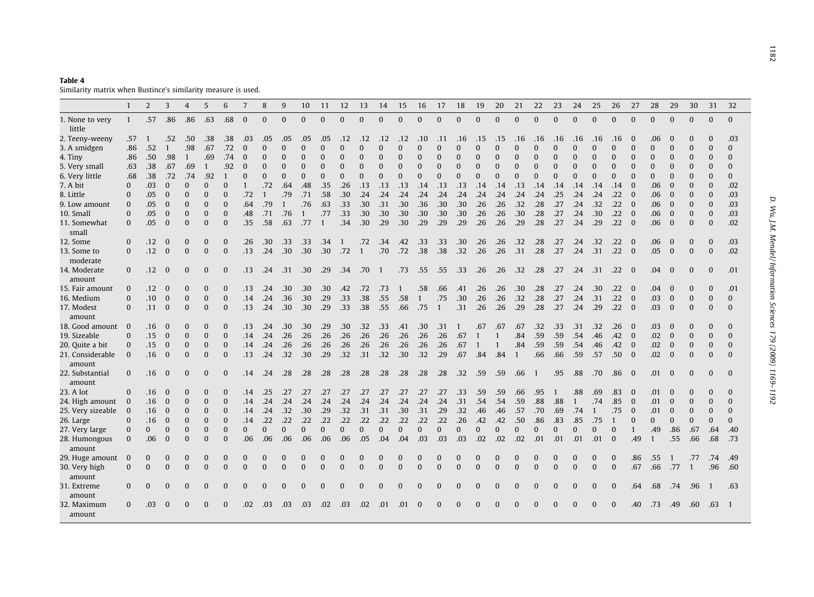<span id="page-13-0"></span>Similarity matrix when Bustince's similarity measure is used.

|                           | $\mathbf{1}$ | $\overline{2}$ | 3              | $\overline{4}$ | 5            | 6            | $\overline{7}$ | 8            | 9            | 10           | 11           | 12           | 13           | 14             | 15           | 16           | 17       | 18       | 19           | 20             | 21             | 22           | 23             | 24             | 25           | 26           | 27           | 28           | 29           | 30               | 31               | 32             |
|---------------------------|--------------|----------------|----------------|----------------|--------------|--------------|----------------|--------------|--------------|--------------|--------------|--------------|--------------|----------------|--------------|--------------|----------|----------|--------------|----------------|----------------|--------------|----------------|----------------|--------------|--------------|--------------|--------------|--------------|------------------|------------------|----------------|
| 1. None to very<br>little | $\mathbf{1}$ | .57            | .86            | .86            | .63          | .68          | $\mathbf{0}$   | $\Omega$     | $\mathbf{0}$ | $\mathbf{0}$ | $\mathbf{0}$ | $\mathbf{0}$ | $\Omega$     | $\mathbf{0}$   | $\mathbf{0}$ | $\Omega$     | $\Omega$ | $\Omega$ | $\mathbf{0}$ | $\Omega$       | $\Omega$       | $\mathbf{0}$ | $\Omega$       | $\overline{0}$ | $\mathbf{0}$ | $\Omega$     | $\mathbf{0}$ | $\Omega$     | $\mathbf{0}$ | $\mathbf{0}$     | $\mathbf{0}$     | $\Omega$       |
| 2. Teeny-weeny            | .57          | -1             | .52            | .50            | .38          | .38          | .03            | .05          | .05          | .05          | .05          | .12          | .12          | .12            | .12          | .10          | .11      | .16      | .15          | .15            | .16            | .16          | .16            | .16            | .16          | .16          | $\Omega$     | .06          | $\Omega$     | $\Omega$         | $\Omega$         | .03            |
| 3. A smidgen              | .86          | .52            | $\mathbf{1}$   | .98            | .67          | .72          | $\Omega$       | $\Omega$     | $\Omega$     | $\Omega$     | $\Omega$     | $\Omega$     | $\Omega$     | $\Omega$       | $\Omega$     | $\Omega$     | $\Omega$ | $\Omega$ | $\Omega$     | $\Omega$       | $\Omega$       | $\Omega$     | $\Omega$       | $\Omega$       | $\Omega$     | $\Omega$     | $\Omega$     | $\Omega$     | $\Omega$     | $\Omega$         | $\Omega$         | $\mathbf{0}$   |
| 4. Tiny                   | .86          | .50            | .98            | 1              | .69          | .74          | $\bf{0}$       | $\Omega$     | $\bf{0}$     | $\Omega$     | $\Omega$     | $\Omega$     | $\Omega$     | 0              | $\Omega$     | $\Omega$     | $\Omega$ | $\Omega$ | $\mathbf{0}$ | $\Omega$       | $\overline{0}$ | $\Omega$     | $\Omega$       | $\Omega$       | $\mathbf{0}$ | $\mathbf{0}$ | $\Omega$     | $\Omega$     | $\Omega$     | $\mathbf{0}$     | $\bf{0}$         | $\Omega$       |
| 5. Very small             | .63          | .38            | .67            | .69            | $\mathbf{1}$ | .92          | $\Omega$       | $\Omega$     | $\mathbf{0}$ | $\Omega$     | $\Omega$     | $\Omega$     | $\Omega$     | $\overline{0}$ | $\Omega$     | $\Omega$     | $\Omega$ | $\Omega$ | $\mathbf{0}$ | $\Omega$       | $\Omega$       | $\mathbf{0}$ | $\Omega$       | $\Omega$       | $\Omega$     | $\mathbf{0}$ | $\Omega$     | $\Omega$     | $\Omega$     | $\Omega$         | $\mathbf{0}$     | $\Omega$       |
| 6. Very little            | .68          | .38            | .72            | .74            | .92          |              | $\Omega$       | $\Omega$     | $\mathbf{0}$ | $\Omega$     | $\Omega$     | $\Omega$     | $\mathbf{0}$ | $\mathbf{0}$   | $\mathbf{0}$ | $\Omega$     | $\Omega$ | $\Omega$ | $\mathbf{0}$ | $\Omega$       | $\Omega$       | $\mathbf{0}$ | $\mathbf{0}$   | $\overline{0}$ | $\Omega$     | $\Omega$     | $\Omega$     | $\Omega$     | $\Omega$     | $\Omega$         | $\mathbf{0}$     | $\mathbf{0}$   |
| 7. A bit                  | $\Omega$     | .03            | $\Omega$       | $\mathbf{0}$   | $\Omega$     | $\Omega$     |                | .72          | .64          | .48          | .35          | .26          | .13          | .13            | .13          | .14          | .13      | .13      | .14          | .14            | .13            | .14          | .14            | .14            | .14          | .14          | $\bf{0}$     | .06          | $\Omega$     | $\Omega$         | $\bf{0}$         | .02            |
| 8. Little                 | $\mathbf{0}$ | .05            | $\Omega$       | $\mathbf{0}$   | $\Omega$     | $\Omega$     | .72            | $\mathbf{1}$ | .79          | .71          | .58          | .30          | .24          | .24            | .24          | .24          | .24      | .24      | .24          | .24            | .24            | .24          | .25            | .24            | .24          | .22          | $\bf{0}$     | .06          | $\mathbf{0}$ | $\bf{0}$         | $\mathbf{0}$     | .03            |
| 9. Low amount             | $\mathbf{0}$ | .05            | $\Omega$       | $\mathbf{0}$   | $\Omega$     | $\Omega$     | .64            | .79          | $\mathbf{1}$ | .76          | .63          | .33          | .30          | .31            | .30          | .36          | .30      | .30      | .26          | .26            | .32            | .28          | .27            | .24            | .32          | .22          | $\mathbf{0}$ | .06          | $\mathbf{0}$ | $\Omega$         | $\mathbf{0}$     | .03            |
| 10. Small                 | $\mathbf{0}$ | .05            | $\Omega$       | $\mathbf{0}$   | $\mathbf{0}$ | $\mathbf{0}$ | .48            | .71          | .76          | $\mathbf{1}$ | .77          | .33          | .30          | .30            | .30          | .30          | .30      | .30      | .26          | .26            | .30            | .28          | .27            | .24            | .30          | .22          | $\mathbf{0}$ | .06          | $\mathbf{0}$ | $\mathbf{0}$     | $\mathbf{0}$     | .03            |
| 11. Somewhat              | $\mathbf{0}$ | .05            | $\mathbf{0}$   | $\mathbf{0}$   | $\mathbf{0}$ | $\mathbf{0}$ | .35            | .58          | .63          | .77          |              | .34          | .30          | .29            | .30          | .29          | .29      | .29      | .26          | .26            | .29            | .28          | .27            | .24            | .29          | .22          | $\mathbf{0}$ | .06          | $\mathbf{0}$ | $\mathbf{0}$     | $\mathbf{0}$     | .02            |
| small                     |              |                |                |                |              |              |                |              |              |              |              |              |              |                |              |              |          |          |              |                |                |              |                |                |              |              |              |              |              |                  |                  |                |
| 12. Some                  | $\mathbf{0}$ | .12            | $\Omega$       | $\Omega$       | $\mathbf 0$  | $\bf{0}$     | .26            | .30          | .33          | .33          | .34          |              | .72          | .34            | .42          | .33          | .33      | .30      | .26          | .26            | .32            | .28          | .27            | .24            | .32          | .22          | $\mathbf{0}$ | .06          | $\mathbf{0}$ | $\Omega$         | $\mathbf{0}$     | .03            |
| 13. Some to               | $\Omega$     | .12            | $\Omega$       | $\mathbf{0}$   | $\mathbf{0}$ | $\mathbf{0}$ | .13            | .24          | .30          | .30          | .30          | .72          |              | .70            | .72          | .38          | .38      | .32      | .26          | .26            | .31            | .28          | .27            | .24            | .31          | .22          | $\mathbf{0}$ | .05          | $\Omega$     | $\mathbf{0}$     | $\mathbf{0}$     | .02            |
| moderate                  |              |                |                |                |              |              |                |              |              |              |              |              |              |                |              |              |          |          |              |                |                |              |                |                |              |              |              |              |              |                  |                  |                |
| 14. Moderate<br>amount    | $\Omega$     | .12            | $\mathbf{0}$   | $\bf{0}$       | $\bf{0}$     | $\bf{0}$     | .13            | .24          | .31          | .30          | .29          | .34          | .70          | $\overline{1}$ | .73          | .55          | .55      | .33      | .26          | .26            | .32            | .28          | .27            | .24            | .31          | .22          | $\Omega$     | .04          | $\Omega$     | $\Omega$         | $\Omega$         | .01            |
| 15. Fair amount           | $\bf{0}$     | .12            | $\bf{0}$       | $\bf{0}$       | $\bf{0}$     | $\bf{0}$     | .13            | .24          | .30          | .30          | .30          | .42          | .72          | .73            |              | .58          | .66      | .41      | .26          | .26            | .30            | .28          | .27            | .24            | .30          | .22          | $\mathbf{0}$ | .04          | $\mathbf{0}$ | $\Omega$         | $\mathbf{0}$     | .01            |
| 16. Medium                | $\mathbf{0}$ | .10            | $\mathbf{0}$   | $\mathbf{0}$   | $\mathbf{0}$ | $\mathbf{0}$ | .14            | .24          | .36          | .30          | .29          | .33          | .38          | .55            | .58          | $\mathbf{1}$ | .75      | .30      | .26          | .26            | .32            | .28          | .27            | .24            | .31          | .22          | $\mathbf{0}$ | .03          | $\mathbf{0}$ | $\overline{0}$   | $\mathbf{0}$     | $\mathbf{0}$   |
| 17. Modest<br>amount      | $\Omega$     | .11            | $\mathbf{0}$   | $\mathbf{0}$   | $\mathbf{0}$ | $\Omega$     | .13            | .24          | .30          | .30          | .29          | .33          | .38          | .55            | .66          | .75          |          | .31      | .26          | .26            | .29            | .28          | .27            | .24            | .29          | .22          | $\mathbf{0}$ | .03          | $\mathbf{0}$ | $\mathbf{0}$     | $\mathbf{0}$     | $\mathbf{0}$   |
| 18. Good amount           | $\bf{0}$     | .16            | 0              | $\Omega$       | $\mathbf{0}$ | $\bf{0}$     | .13            | .24          | .30          | .30          | .29          | .30          | .32          | .33            | .41          | .30          | .31      |          | .67          | .67            | .67            | .32          | .33            | .31            | .32          | .26          | $\bf{0}$     | .03          | $\Omega$     | $\Omega$         | $\Omega$         | $\bf{0}$       |
| 19. Sizeable              | $\Omega$     | .15            | $\Omega$       | $\Omega$       | $\Omega$     | $\Omega$     | .14            | .24          | .26          | .26          | .26          | .26          | .26          | .26            | .26          | .26          | .26      | .67      | $\mathbf{1}$ | $\mathbf{1}$   | .84            | .59          | .59            | .54            | .46          | .42          | $\Omega$     | .02          | $\mathbf{0}$ | $\Omega$         | $\Omega$         | $\Omega$       |
| 20. Quite a bit           | $\mathbf{0}$ | .15            | $\bf{0}$       | $\mathbf{0}$   | $\mathbf{0}$ | $\Omega$     | .14            | .24          | .26          | .26          | .26          | .26          | .26          | .26            | .26          | .26          | .26      | .67      | $\mathbf{1}$ | $\mathbf{1}$   | .84            | .59          | .59            | .54            | .46          | .42          | $\bf{0}$     | .02          | $\bf{0}$     | $\boldsymbol{0}$ | $\boldsymbol{0}$ | $\bf{0}$       |
| 21. Considerable          | $\mathbf{0}$ | .16            | $\mathbf{0}$   | $\Omega$       | $\mathbf{0}$ | $\Omega$     | .13            | .24          | .32          | .30          | .29          | .32          | .31          | .32            | .30          | .32          | .29      | .67      | .84          | .84            | $\mathbf{1}$   | .66          | .66            | .59            | .57          | .50          | $\mathbf{0}$ | .02          | $\mathbf{0}$ | $\mathbf{0}$     | $\Omega$         | $\Omega$       |
| amount                    |              |                |                |                |              |              |                |              |              |              |              |              |              |                |              |              |          |          |              |                |                |              |                |                |              |              |              |              |              |                  |                  |                |
| 22. Substantial           | $\mathbf{0}$ | .16            | $\bf{0}$       | $\bf{0}$       | $\bf{0}$     | $\mathbf{0}$ | .14            | .24          | .28          | .28          | .28          | .28          | .28          | .28            | .28          | .28          | .28      | .32      | .59          | .59            | .66            |              | .95            | .88            | .70          | .86          | $\mathbf{0}$ | .01          | $\Omega$     | $\Omega$         | $\mathbf{0}$     | $\mathbf{0}$   |
| amount<br>23. A lot       | $\Omega$     | .16            | $\mathbf{0}$   | $\Omega$       | $\mathbf{0}$ | $\Omega$     | .14            | .25          | .27          | .27          | .27          | .27          | .27          | .27            | .27          | .27          | .27      | .33      | .59          | .59            | .66            | .95          | $\overline{1}$ | .88            | .69          | .83          | $\Omega$     | .01          | $\Omega$     | $\Omega$         | $\bf{0}$         | $\mathbf{0}$   |
| 24. High amount           | $\bf{0}$     | .16            | $\mathbf{0}$   | $\mathbf{0}$   | $\mathbf{0}$ | $\mathbf{0}$ | .14            | .24          | .24          | .24          | .24          | .24          | .24          | .24            | .24          | .24          | .24      | .31      | .54          | .54            | .59            | .88          | .88            | 1              | .74          | .85          | $\bf{0}$     | .01          | $\bf{0}$     | $\Omega$         | $\mathbf{0}$     | $\mathbf{0}$   |
| 25. Very sizeable         | $\bf{0}$     | .16            | $\Omega$       | $\Omega$       | $\mathbf{0}$ | $\mathbf{0}$ | .14            | .24          | .32          | .30          | .29          | .32          | .31          | .31            | .30          | .31          | .29      | .32      | .46          | .46            | .57            | .70          | .69            | .74            | $\mathbf{1}$ | .75          | $\mathbf{0}$ | .01          | $\bf{0}$     | $\bf{0}$         | $\bf{0}$         | $\mathbf{0}$   |
| 26. Large                 | $\mathbf{0}$ | .16            | $\mathbf 0$    | $\mathbf{0}$   | $\mathbf{0}$ | $\Omega$     | .14            | .22          | .22          | .22          | .22          | .22          | .22          | .22            | .22          | .22          | .22      | .26      | .42          | .42            | .50            | .86          | .83            | .85            | .75          | $\mathbf{1}$ | $\Omega$     | $\mathbf{0}$ | $\mathbf{0}$ | $\mathbf{0}$     | $\mathbf{0}$     | $\mathbf{0}$   |
| 27. Very large            | $\bf{0}$     | $\mathbf{0}$   | $\Omega$       | $\mathbf{0}$   | $\mathbf{0}$ | $\mathbf{0}$ | $\Omega$       | $\Omega$     | $\mathbf{0}$ | $\Omega$     | $\Omega$     | $\Omega$     | $\Omega$     | $\mathbf{0}$   | $\Omega$     | $\Omega$     | $\Omega$ | $\Omega$ | $\mathbf{0}$ | $\overline{0}$ | $\mathbf{0}$   | $\mathbf{0}$ | $\Omega$       | $\overline{0}$ | $\mathbf{0}$ | $\Omega$     | $\mathbf{1}$ | .49          | .86          | .67              | .64              | .40            |
| 28. Humongous             | $\mathbf{0}$ | .06            | $\mathbf{0}$   | $\mathbf{0}$   | $\Omega$     | $\Omega$     | .06            | .06          | .06          | .06          | .06          | .06          | .05          | .04            | .04          | .03          | .03      | .03      | .02          | .02            | .02            | .01          | .01            | .01            | .01          | $\bf{0}$     | .49          | $\mathbf{1}$ | .55          | .66              | .68              | .73            |
| amount                    |              |                |                |                |              |              |                |              |              |              |              |              |              |                |              |              |          |          |              |                |                |              |                |                |              |              |              |              |              |                  |                  |                |
| 29. Huge amount           | $\mathbf{0}$ | $\Omega$       | 0              | $\Omega$       | $\Omega$     | 0            | $\Omega$       | $\Omega$     | $\mathbf{0}$ | $\Omega$     | 0            | $\Omega$     | $\Omega$     | $\mathbf{0}$   | $\Omega$     | $\Omega$     | $\Omega$ | $\Omega$ | $\Omega$     | $\Omega$       | $\Omega$       | 0            | $\Omega$       | $\Omega$       | $\Omega$     | $\mathbf{0}$ | .86          | .55          |              | .77              | .74              | .49            |
| 30. Very high<br>amount   | $\mathbf{0}$ | $\Omega$       | $\overline{0}$ | $\mathbf{0}$   | $\Omega$     | $\Omega$     | $\Omega$       | $\mathbf{0}$ | $\mathbf{0}$ | $\Omega$     | $\Omega$     | $\Omega$     | $\Omega$     | $\overline{0}$ | $\Omega$     | $\Omega$     | $\Omega$ | $\Omega$ | $\mathbf{0}$ | $\Omega$       | $\Omega$       | $\mathbf{0}$ | $\Omega$       | $\overline{0}$ | $\mathbf{0}$ | $\mathbf{0}$ | .67          | .66          | .77          | $\mathbf{1}$     | .96              | .60            |
| 31. Extreme<br>amount     | $\bf{0}$     | $\Omega$       | $\bf{0}$       | $\bf{0}$       | $\Omega$     | $\Omega$     | $\Omega$       | $\Omega$     | $\mathbf{0}$ | $\Omega$     | $\Omega$     | $\bf{0}$     | $\mathbf{0}$ | 0              | $\Omega$     | $\Omega$     | $\Omega$ | $\bf{0}$ | 0            | $\Omega$       | $\Omega$       | $\Omega$     | $\bf{0}$       | 0              | $\mathbf{0}$ | $\bf{0}$     | .64          | .68          | .74          | .96              | 1                | .63            |
| 32. Maximum<br>amount     | $\bf{0}$     | .03            | $\bf{0}$       | $\bf{0}$       | $\bf{0}$     | $\bf{0}$     | .02            | .03          | .03          | .03          | .02          | .03          | .02          | .01            | .01          | $\sqrt{ }$   | 0        | 0        | 0            | $\Omega$       | O              | $\Omega$     |                | 0              | $\mathbf{0}$ | $\bf{0}$     | .40          | .73          | .49          | .60              | .63              | $\overline{1}$ |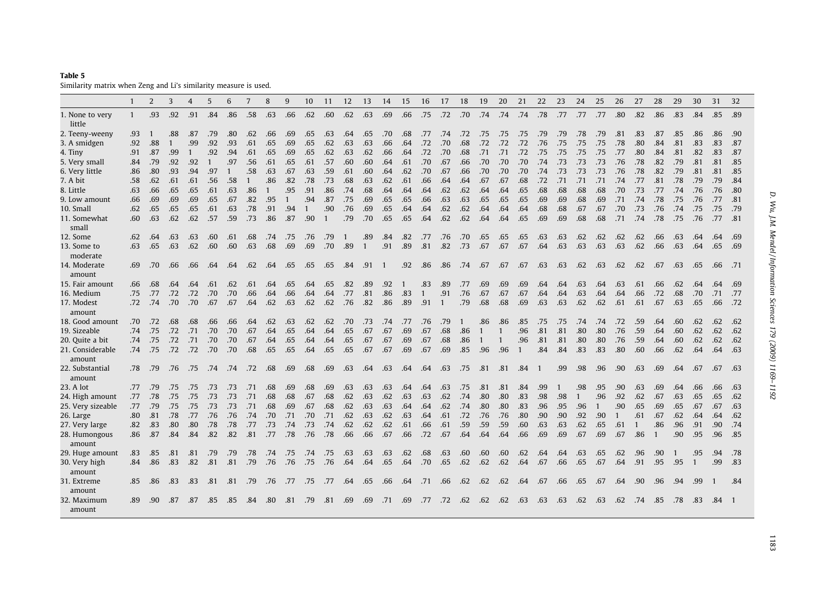<span id="page-14-0"></span>Similarity matrix when Zeng and Li's similarity measure is used.

|                           | $\mathbf{1}$ | 2   | 3   | $\overline{4}$ | 5            | 6   | $\overline{7}$ | $\mathbf{8}$ | $\mathbf{q}$ | 10           | 11           | 12  | 13           | 14             | 15  | 16           | 17  | 18  | 19           | 20           | 21  | 22  | 23  | 24           | 25  | 26           | 27           | 28  | 29  | 30  | 31  | 32             |
|---------------------------|--------------|-----|-----|----------------|--------------|-----|----------------|--------------|--------------|--------------|--------------|-----|--------------|----------------|-----|--------------|-----|-----|--------------|--------------|-----|-----|-----|--------------|-----|--------------|--------------|-----|-----|-----|-----|----------------|
| 1. None to very<br>little | $\mathbf{1}$ | .93 | .92 | .91            | .84          | .86 | .58            | .63          | .66          | .62          | .60          | .62 | .63          | .69            | .66 | .75          | .72 | .70 | .74          | .74          | .74 | .78 | .77 | .77          | .77 | .80          | .82          | .86 | .83 | .84 | .85 | .89            |
| 2. Teeny-weeny            | .93          | 1   | .88 | .87            | .79          | .80 | .62            | .66          | .69          | .65          | .63          | .64 | .65          | .70            | .68 | .77          | .74 | .72 | .75          | .75          | .75 | .79 | .79 | .78          | .79 | .81          | .83          | .87 | .85 | .86 | .86 | .90            |
| 3. A smidgen              | .92          | .88 | 1   | .99            | .92          | .93 | .61            | .65          | .69          | .65          | .62          | .63 | .63          | .66            | .64 | .72          | .70 | .68 | .72          | .72          | .72 | .76 | .75 | .75          | .75 | .78          | .80          | .84 | .81 | .83 | .83 | .87            |
| 4. Tiny                   | .91          | .87 | .99 | 1              | .92          | .94 | .61            | .65          | .69          | .65          | .62          | .63 | .62          | .66            | .64 | .72          | .70 | .68 | .71          | .71          | .72 | .75 | .75 | .75          | .75 | .77          | .80          | .84 | .81 | .82 | .83 | .87            |
| 5. Very small             | .84          | .79 | .92 | .92            | $\mathbf{1}$ | .97 | .56            | .61          | .65          | .61          | .57          | .60 | .60          | .64            | .61 | .70          | .67 | .66 | .70          | .70          | .70 | .74 | .73 | .73          | .73 | .76          | .78          | .82 | .79 | .81 | .81 | .85            |
| 6. Very little            | .86          | .80 | .93 | .94            | .97          | 1   | .58            | .63          | .67          | .63          | .59          | .61 | .60          | .64            | .62 | .70          | .67 | .66 | .70          | .70          | .70 | .74 | .73 | .73          | .73 | .76          | .78          | .82 | .79 | .81 | .81 | .85            |
| 7. A bit                  | .58          | .62 | .61 | .61            | .56          | .58 | $\mathbf{1}$   | .86          | .82          | .78          | .73          | .68 | .63          | .62            | .61 | .66          | .64 | .64 | .67          | .67          | .68 | .72 | .71 | .71          | .71 | .74          | .77          | .81 | .78 | .79 | .79 | .84            |
| 8. Little                 | .63          | .66 | .65 | .65            | .61          | .63 | .86            | $\mathbf{1}$ | .95          | .91          | .86          | .74 | .68          | .64            | .64 | .64          | .62 | .62 | .64          | .64          | .65 | .68 | .68 | .68          | .68 | .70          | .73          | .77 | .74 | .76 | .76 | .80            |
| 9. Low amount             | .66          | .69 | .69 | .69            | .65          | .67 | .82            | .95          | $\mathbf{1}$ | .94          | .87          | .75 | .69          | .65            | .65 | .66          | .63 | .63 | .65          | .65          | .65 | .69 | .69 | .68          | .69 | .71          | .74          | .78 | .75 | .76 | .77 | .81            |
| 10. Small                 | .62          | .65 | .65 | .65            | .61          | .63 | .78            | .91          | .94          | $\mathbf{1}$ | .90          | .76 | .69          | .65            | .64 | .64          | .62 | .62 | .64          | .64          | .64 | .68 | .68 | .67          | .67 | .70          | .73          | .76 | .74 | .75 | .75 | .79            |
| 11. Somewhat              | .60          | .63 | .62 | .62            | .57          | .59 | .73            | .86          | .87          | .90          | $\mathbf{1}$ | .79 | .70          | .65            | .65 | .64          | .62 | .62 | .64          | .64          | .65 | .69 | .69 | .68          | .68 | .71          | .74          | .78 | .75 | .76 | .77 | .81            |
| small                     |              |     |     |                |              |     |                |              |              |              |              |     |              |                |     |              |     |     |              |              |     |     |     |              |     |              |              |     |     |     |     |                |
| 12. Some                  | .62          | .64 | .63 | .63            | .60          | .61 | .68            | .74          | .75          | .76          | .79          |     | .89          | .84            | .82 | .77          | .76 | .70 | .65          | .65          | .65 | .63 | .63 | .62          | .62 | .62          | .62          | .66 | .63 | .64 | .64 | .69            |
| 13. Some to<br>moderate   | .63          | .65 | .63 | .62            | .60          | .60 | .63            | .68          | .69          | .69          | .70          | .89 | $\mathbf{1}$ | .91            | .89 | .81          | .82 | .73 | .67          | .67          | .67 | .64 | .63 | .63          | .63 | .63          | .62          | .66 | .63 | .64 | .65 | .69            |
| 14. Moderate<br>amount    | .69          | .70 | .66 | .66            | .64          | .64 | .62            | .64          | .65          | .65          | .65          | .84 | .91          | $\overline{1}$ | .92 | .86          | .86 | .74 | .67          | .67          | .67 | .63 | .63 | .62          | .63 | .62          | .62          | .67 | .63 | .65 | .66 | .71            |
| 15. Fair amount           | .66          | .68 | .64 | .64            | .61          | .62 | .61            | .64          | .65          | .64          | .65          | .82 | .89          | .92            | 1   | .83          | .89 | .77 | .69          | .69          | .69 | .64 | .64 | .63          | .64 | .63          | .61          | .66 | .62 | .64 | .64 | .69            |
| 16. Medium                | .75          | .77 | .72 | .72            | .70          | .70 | .66            | .64          | .66          | .64          | .64          | .77 | .81          | .86            | .83 | $\mathbf{1}$ | .91 | .76 | .67          | .67          | .67 | .64 | .64 | .63          | .64 | .64          | .66          | .72 | .68 | .70 | .71 | .77            |
| 17. Modest<br>amount      | .72          | .74 | .70 | .70            | .67          | .67 | .64            | .62          | .63          | .62          | .62          | .76 | .82          | .86            | .89 | .91          |     | .79 | .68          | .68          | .69 | .63 | .63 | .62          | .62 | .61          | .61          | .67 | .63 | .65 | .66 | .72            |
| 18. Good amount           | .70          | .72 | .68 | .68            | .66          | .66 | .64            | .62          | .63          | .62          | .62          | .70 | .73          | .74            | .77 | .76          | .79 | -1  | .86          | .86          | .85 | .75 | .75 | .74          | .74 | .72          | .59          | .64 | .60 | .62 | .62 | .62            |
| 19. Sizeable              | .74          | .75 | .72 | .71            | .70          | .70 | .67            | .64          | .65          | .64          | .64          | .65 | .67          | .67            | .69 | .67          | .68 | .86 | $\mathbf{1}$ | $\mathbf{1}$ | .96 | .81 | .81 | .80          | .80 | .76          | .59          | .64 | .60 | .62 | .62 | .62            |
| 20. Quite a bit           | .74          | .75 | .72 | .71            | .70          | .70 | .67            | .64          | .65          | .64          | .64          | .65 | .67          | .67            | .69 | .67          | .68 | .86 | 1            | $\mathbf{1}$ | .96 | .81 | .81 | .80          | .80 | .76          | .59          | .64 | .60 | .62 | .62 | .62            |
| 21. Considerable          | .74          | .75 | .72 | .72            | .70          | .70 | .68            | .65          | .65          | .64          | .65          | .65 | .67          | .67            | .69 | .67          | .69 | .85 | .96          | .96          | 1   | .84 | .84 | .83          | .83 | .80          | .60          | .66 | .62 | .64 | .64 | .63            |
| amount                    |              |     |     |                |              |     |                |              |              |              |              |     |              |                |     |              |     |     |              |              |     |     |     |              |     |              |              |     |     |     |     |                |
| 22. Substantial<br>amount | .78          | .79 | .76 | .75            | .74          | .74 | .72            | .68          | .69          | .68          | .69          | .63 | .64          | .63            | .64 | .64          | .63 | .75 | .81          | .81          | .84 |     | .99 | .98          | .96 | .90          | .63          | .69 | .64 | .67 | .67 | .63            |
| 23. A lot                 | .77          | .79 | .75 | .75            | .73          | .73 | .71            | .68          | .69          | .68          | .69          | .63 | .63          | .63            | .64 | .64          | .63 | .75 | .81          | .81          | .84 | .99 |     | .98          | .95 | .90          | .63          | .69 | .64 | .66 | .66 | .63            |
| 24. High amount           | .77          | .78 | .75 | .75            | .73          | .73 | .71            | .68          | .68          | .67          | .68          | .62 | .63          | .62            | .63 | .63          | .62 | .74 | .80          | .80          | .83 | .98 | .98 | $\mathbf{1}$ | .96 | .92          | .62          | .67 | .63 | .65 | .65 | .62            |
| 25. Very sizeable         | .77          | .79 | .75 | .75            | .73          | .73 | .71            | .68          | .69          | .67          | .68          | .62 | .63          | .63            | .64 | .64          | .62 | .74 | .80          | .80          | .83 | .96 | .95 | .96          | 1   | .90          | .65          | .69 | .65 | .67 | .67 | .63            |
| 26. Large                 | .80          | .81 | .78 | .77            | .76          | .76 | .74            | .70          | .71          | .70          | .71          | .62 | .63          | .62            | .63 | .64          | .61 | .72 | .76          | .76          | .80 | .90 | .90 | .92          | .90 | $\mathbf{1}$ | .61          | .67 | .62 | .64 | .64 | .62            |
| 27. Very large            | .82          | .83 | .80 | .80            | .78          | .78 | .77            | .73          | .74          | .73          | .74          | .62 | .62          | .62            | .61 | .66          | .61 | .59 | .59          | .59          | .60 | .63 | .63 | .62          | .65 | .61          | $\mathbf{1}$ | .86 | .96 | .91 | .90 | .74            |
| 28. Humongous             | .86          | .87 | .84 | .84            | .82          | .82 | .81            | .77          | .78          | .76          | .78          | .66 | .66          | .67            | .66 | .72          | .67 | .64 | .64          | .64          | .66 | .69 | .69 | .67          | .69 | .67          | .86          | 1   | .90 | .95 | .96 | .85            |
| amount                    |              |     |     |                |              |     |                |              |              |              |              |     |              |                |     |              |     |     |              |              |     |     |     |              |     |              |              |     |     |     |     |                |
| 29. Huge amount           | .83          | .85 | .81 | .81            | .79          | .79 | .78            | .74          | .75          | .74          | .75          | .63 | .63          | .63            | .62 | .68          | .63 | .60 | .60          | .60          | .62 | .64 | .64 | .63          | .65 | .62          | .96          | .90 |     | .95 | .94 | .78            |
| 30. Very high<br>amount   | .84          | .86 | .83 | .82            | .81          | .81 | .79            | .76          | .76          | .75          | .76          | .64 | .64          | .65            | .64 | .70          | .65 | .62 | .62          | .62          | .64 | .67 | .66 | .65          | .67 | .64          | .91          | .95 | .95 | 1   | .99 | .83            |
| 31. Extreme<br>amount     | .85          | .86 | .83 | .83            | .81          | .81 | .79            | .76          | .77          | .75          | .77          | .64 | .65          | .66            | .64 | .71          | .66 | .62 | .62          | .62          | .64 | .67 | .66 | .65          | .67 | .64          | .90          | .96 | .94 | .99 |     | .84            |
| 32. Maximum<br>amount     | .89          | .90 | .87 | .87            | .85          | .85 | .84            | .80          | .81          | .79          | .81          | .69 | .69          | .71            | .69 | .77          | .72 | .62 | .62          | .62          | .63 | .63 | .63 | .62          | .63 | .62          | .74          | .85 | .78 | .83 | .84 | $\overline{1}$ |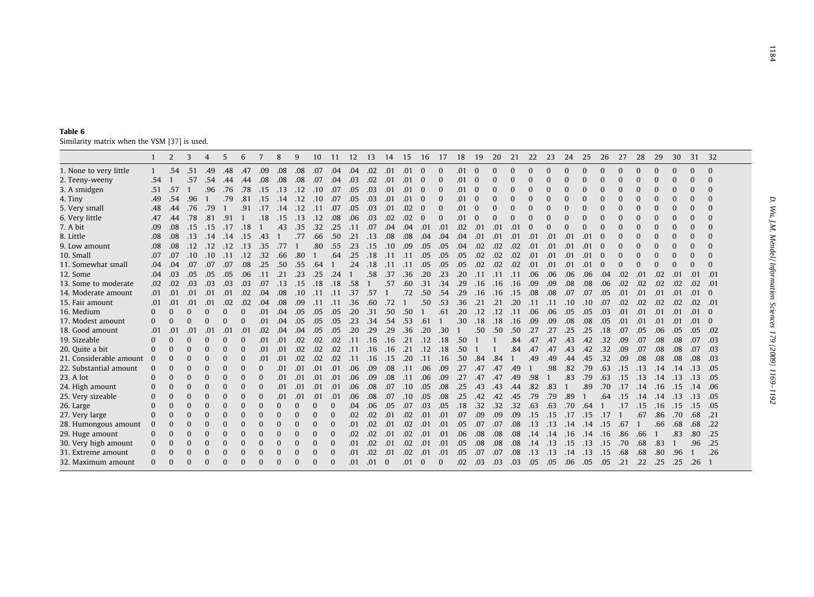<span id="page-15-0"></span>

| Table 6                                      |  |
|----------------------------------------------|--|
| Similarity matrix when the VSM [37] is used. |  |

|                         | $\mathbf{1}$ | $\overline{2}$ | 3        | $\overline{4}$ | 5            | 6        | 7        | 8        | 9        | 10           | 11          | 12  | 13  | 14       | 15  | 16           | 17       | 18  | 19       | 20       | 21       | 22       | 23          | 24       | 25       | 26       | 27  | 28  | 29  | 30         | 31       | 32           |
|-------------------------|--------------|----------------|----------|----------------|--------------|----------|----------|----------|----------|--------------|-------------|-----|-----|----------|-----|--------------|----------|-----|----------|----------|----------|----------|-------------|----------|----------|----------|-----|-----|-----|------------|----------|--------------|
| 1. None to very little  | $\mathbf{1}$ | .54            | .51      | .49            | .48          | .47      | .09      | .08      | .08      | .07          | .04         | .04 | .02 | .01      | .01 | $\Omega$     | $\Omega$ | .01 | $\Omega$ | $\Omega$ | $\Omega$ |          | $\mathbf 0$ | $\Omega$ | $\Omega$ | 0        |     |     |     | $\Omega$   | $\Omega$ | $\Omega$     |
| 2. Teeny-weeny          | .54          |                | .57      | .54            | .44          | .44      | .08      | .08      | .08      | .07          | .04         | .03 | .02 | .01      | .01 |              | $\Omega$ | .01 | $\Omega$ |          |          |          | $\Omega$    | $\Omega$ | $\Omega$ | 0        |     |     |     | 0          | $\Omega$ | $\Omega$     |
| 3. A smidgen            | .51          | .57            |          | .96            | .76          | .78      | .15      | .13      | .12      | .10          | .07         | .05 | .03 | .01      | .01 | $\Omega$     | $\Omega$ | .01 | $\Omega$ |          | 0        | $\Omega$ | $\Omega$    | $\Omega$ | $\Omega$ | 0        |     |     |     | 0          | $\Omega$ | $\Omega$     |
| 4. Tiny                 | .49          | .54            | .96      |                | .79          | .81      | .15      | .14      | .12      | .10          | .07         | .05 | .03 | .01      | .01 | $\Omega$     | $\Omega$ | .01 | $\Omega$ |          |          |          | $\Omega$    | $\Omega$ | $\Omega$ | 0        |     |     |     | $\sqrt{ }$ | $\Omega$ | $\Omega$     |
| 5. Very small           | .48          | .44            | .76      | .79            |              | .91      | .17      | .14      | .12      | .11          | .07         | .05 | .03 | .01      | .02 |              | $\Omega$ | .01 | $\Omega$ |          |          |          |             | $\Omega$ | $\Omega$ | 0        |     |     |     | $\sqrt{ }$ |          | $\Omega$     |
| 6. Very little          | .47          | .44            | .78      | .81            | $.9^{\circ}$ |          | .18      | .15      | .13      | .12          | .08         | .06 | .03 | .02      | .02 | $\mathbf{0}$ | $\Omega$ | .01 | $\Omega$ |          | $\Omega$ | $\Omega$ | $\sqrt{ }$  | $\Omega$ | $\Omega$ | 0        |     |     |     | $\sqrt{ }$ | n        | $\Omega$     |
| 7. A bit                | .09          | .08            | .15      | .15            | .17          | .18      |          | .43      | .35      | .32          | .25         | .11 | .07 | .04      | .04 | .01          | .01      | .02 | .01      | .01      | .01      | $\Omega$ | $\sqrt{ }$  | $\Omega$ | $\Omega$ | $\Omega$ |     |     |     | $\sqrt{ }$ | $\Omega$ | $\Omega$     |
| 8. Little               | .08          | .08            | .13      | .14            | .14          | .15      | .43      |          | .77      | .66          | .50         | .21 | .13 | .08      | .08 | .04          | .04      | .04 | .01      | .01      | .01      | .01      | .01         | .01      | .01      |          |     |     |     | $\Omega$   |          | $\Omega$     |
| 9. Low amount           | .08          | .08            | .12      | .12            | .12          | .13      | .35      | .77      |          | .80          | .55         | .23 | .15 | .10      | .09 | .05          | .05      | .04 | .02      | .02      | .02      | .01      | .01         | .01      | .01      | $\Omega$ |     |     |     | $\Omega$   | $\Omega$ | $\Omega$     |
| 10. Small               | .07          | .07            | .10      | .10            | .11          | .12      | .32      | .66      | .80      |              | .64         | .25 | .18 | .11      | .11 | .05          | .05      | .05 | .02      | .02      | .02      | .01      | .01         | .01      | .01      | $\Omega$ |     |     |     | $\Omega$   | $\Omega$ | $\Omega$     |
| 11. Somewhat small      | .04          | .04            | .07      | .07            | .07          | .08      | .25      | .50      | .55      | .64          |             | .24 | .18 | .11      |     | .05          | .05      | .05 | .02      | .02      | .02      | .01      | .01         | .01      | .01      |          |     |     |     | $\Omega$   |          | $\Omega$     |
| 12. Some                | .04          | .03            | .05      | .05            | .05          | .06      | .11      | .21      | .23      | .25          | .24         |     | .58 | .37      | .36 | .20          | .23      | .20 | .11      | .11      | .11      | .06      | .06         | .06      | .06      | .04      | .02 | .01 | .02 | .01        | .01      | .01          |
| 13. Some to moderate    | .02          | .02            | .03      | .03            | .03          | .03      | .07      | .13      | .15      | .18          | .18         | .58 |     | .57      | .60 | .31          | .34      | .29 | .16      | .16      | .16      | .09      | .09         | .08      | .08      | .06      | .02 | .02 | .02 | .02        | .02      | .01          |
| 14. Moderate amount     | .01          | .01            | .01      | .01            | .01          | .02      | .04      | .08      | .10      | .11          | .11         | .37 | .57 |          | .72 | .50          | .54      | .29 | .16      | .16      | .15      | .08      | .08         | .07      | .07      | .05      | .01 | .01 | .01 | .01        | .01      | $\mathbf{0}$ |
| 15. Fair amount         | .01          | .01            | .01      | .01            | .02          | .02      | .04      | .08      | .09      | .11          | .11         | .36 | .60 | .72      |     | .50          | .53      | .36 | .21      | .21      | .20      | .11      | .11         | .10      | .10      | .07      | .02 | .02 | .02 | .02        | .02      | .01          |
| 16. Medium              | $\Omega$     | $\Omega$       | $\Omega$ | $\Omega$       |              |          | .01      | .04      | .05      | .05          | .05         | .20 | .31 | .50      | .50 |              | .61      | .20 | .12      | .12      | .11      | .06      | .06         | .05      | .05      | .03      | .01 | .01 | .01 | .01        | .01      | $\Omega$     |
| 17. Modest amount       | $\Omega$     | $\Omega$       | $\Omega$ |                |              |          | .01      | .04      | .05      | .05          | .05         | .23 | .34 | .54      | .53 | .61          |          | .30 | .18      | .18      | .16      | .09      | .09         | .08      | .08      | .05      | .01 | .01 | .01 | .01        | .01      | $\mathbf{0}$ |
| 18. Good amount         | .01          | .01            | .01      | .01            | .01          | .01      | .02      | .04      | .04      | .05          | .05         | .20 | .29 | .29      | .36 | 20           | .30      |     | .50      | .50      | .50      | .27      | .27         | .25      | .25      | .18      | .07 | .05 | .06 | .05        | .05      | .02          |
| 19. Sizeable            | $\Omega$     | $\Omega$       | $\Omega$ | $\Omega$       | $\Omega$     | $\Omega$ | .01      | .01      | .02      | .02          | .02         | .11 | .16 | .16      | .21 | .12          | .18      | .50 |          |          | .84      | .47      | .47         | .43      | .42      | .32      | .09 | .07 | .08 | .08        | .07      | .03          |
| 20. Quite a bit         | $\Omega$     | $\Omega$       | $\Omega$ | 0              |              |          | .01      | .01      | .02      | .02          | .02         | .11 | .16 | .16      | .21 | .12          | .18      | .50 |          |          | .84      | .47      | .47         | .43      | .42      | .32      | .09 | .07 | .08 | .08        | .07      | .03          |
| 21. Considerable amount | $\Omega$     | $\Omega$       | $\Omega$ | 0              |              |          | .01      | .01      | .02      | .02          | .02         | .11 | .16 | .15      | .20 | .11          | .16      | .50 | .84      | .84      |          | .49      | .49         | .44      | .45      | .32      | .09 | .08 | .08 | .08        | .08      | .03          |
| 22. Substantial amount  | $\Omega$     | $\Omega$       | $\Omega$ | $\Omega$       |              |          |          | .01      | .01      | .01          | .01         | .06 | .09 | .08      | .11 | .06          | .09      | .27 | .47      | .47      | .49      |          | .98         | .82      | .79      | .63      | .15 | .13 | .14 | .14        | .13      | .05          |
| 23. A lot               | $\Omega$     | $\Omega$       | $\Omega$ | 0              |              |          |          | .01      | .01      | .01          | .01         | .06 | .09 | .08      | .11 | .06          | .09      | .27 | .47      | .47      | .49      | .98      |             | .83      | .79      | .63      | .15 | .13 | .14 | .13        | .13      | .05          |
| 24. High amount         | $\Omega$     | $\Omega$       | $\Omega$ | $\Omega$       |              | $\Omega$ |          | .01      | .01      | .01          | .01         | .06 | .08 | .07      | .10 | .05          | .08      | .25 | .43      | .43      | .44      | .82      | .83         |          | .89      | .70      | .17 | .14 | .16 | .15        | .14      | .06          |
| 25. Very sizeable       | $\Omega$     | $\Omega$       | $\Omega$ | $\Omega$       | 0            | $\Omega$ | $\bf{0}$ | .01      | .01      | .01          | .01         | .06 | .08 | .07      | .10 | .05          | .08      | .25 | .42      | .42      | .45      | .79      | .79         | .89      |          | .64      | .15 | .14 | .14 | .13        | .13      | .05          |
| 26. Large               | $\Omega$     | $\Omega$       | $\Omega$ | $\Omega$       | 0            | $\Omega$ | $\Omega$ | $\Omega$ | $\Omega$ | $\Omega$     | 0           | .04 | .06 | .05      | .07 | .03          | .05      | .18 | .32      | .32      | .32      | .63      | .63         | .70      | .64      |          | .17 | .15 | .16 | .15        | .15      | .05          |
| 27. Very large          | $\Omega$     | $\Omega$       | $\Omega$ | 0              |              |          |          | $\Omega$ | $\Omega$ | $\Omega$     | 0           | .02 | .02 | .01      | .02 | .01          | .01      | .07 | .09      | .09      | .09      | .15      | .15         | .17      | .15      | .17      |     | .67 | .86 | .70        | .68      | .21          |
| 28. Humongous amount    | $\mathbf{0}$ | $\Omega$       | $\Omega$ | $\Omega$       |              | $\Omega$ | $\Omega$ | $\Omega$ | $\Omega$ | $\Omega$     | $\Omega$    | .01 | .02 | .01      | .02 | .01          | .01      | .05 | .07      | .07      | .08      | .13      | .13         | .14      | .14      | .15      | .67 |     | .66 | .68        | .68      | .22          |
| 29. Huge amount         | $\mathbf{0}$ | $\Omega$       | $\Omega$ | $\Omega$       |              |          |          | $\Omega$ | $\Omega$ | $\Omega$     | $\mathbf 0$ | .02 | .02 | .01      | .02 | .01          | .01      | .06 | .08      | .08      | .08      | .14      | .14         | .16      | .14      | .16      | .86 | .66 |     | .83        | .80      | .25          |
| 30. Very high amount    | $\bf{0}$     | $\Omega$       | $\Omega$ | 0              |              | $\Omega$ |          | $\Omega$ | $\Omega$ | $\Omega$     | $\Omega$    | .01 | .02 | .01      | .02 | .01          | .01      | .05 | .08      | .08      | .08      | .14      | .13         | .15      | .13      | .15      | .70 | .68 | .83 |            | .96      | .25          |
| 31. Extreme amount      | $\mathbf{0}$ | $\Omega$       | $\Omega$ | $\Omega$       |              |          |          | $\Omega$ | $\Omega$ | $\mathbf{0}$ | $\Omega$    | .01 | .02 | .01      | .02 | .01          | .01      | .05 | .07      | .07      | .08      | .13      | .13         | .14      | .13      | .15      | .68 | .68 | .80 | .96        |          | .26          |
| 32. Maximum amount      | $\Omega$     | $\Omega$       | $\Omega$ | $\Omega$       |              |          |          | $\Omega$ |          | $\Omega$     | $\Omega$    | .01 | .01 | $\Omega$ | .01 | $\Omega$     | $\Omega$ | .02 | .03      | .03      | .03      | .05      | .05         | .06      | .05      | .05      | .21 | .22 | .25 | .25        | .26      |              |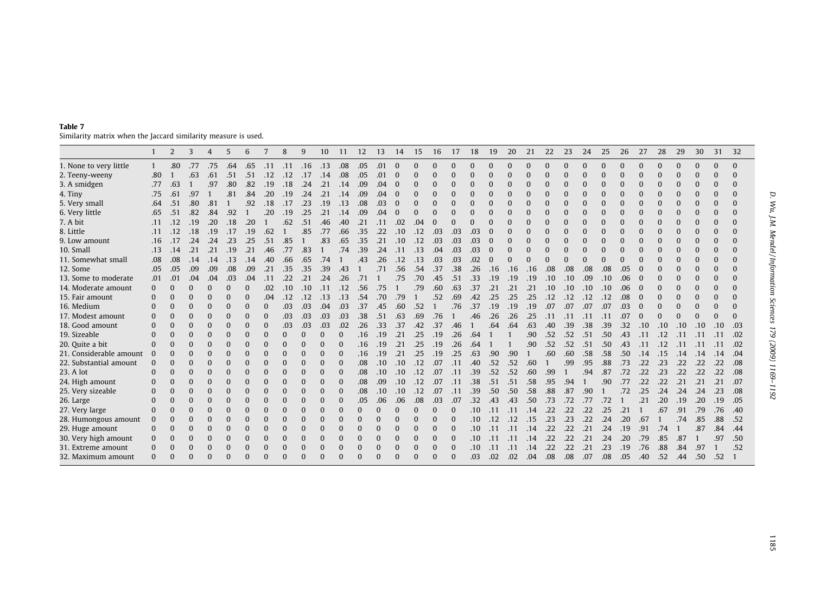<span id="page-16-0"></span>

| Table 7                                                        |  |  |  |  |
|----------------------------------------------------------------|--|--|--|--|
| Similarity matrix when the Jaccard similarity measure is used. |  |  |  |  |

|                         | $\mathbf{1}$ | 2            | 3        | $\overline{4}$ | 5        | 6        |          | 8              | 9        | 10             | 11       | 12       | 13       | 14         | 15  | 16       | 17       | 18       | 19       | 20       | 21       | 22       | 23       | 24       | 25             | 26           | 27           | 28           | 29           | 30       | 31       | 32           |
|-------------------------|--------------|--------------|----------|----------------|----------|----------|----------|----------------|----------|----------------|----------|----------|----------|------------|-----|----------|----------|----------|----------|----------|----------|----------|----------|----------|----------------|--------------|--------------|--------------|--------------|----------|----------|--------------|
| 1. None to very little  | 1            | .80          | .77      | .75            | .64      | .65      | .11      | .11            | .16      | .13            | .08      | .05      | .01      | $\Omega$   | O   | $\Omega$ | $\Omega$ | $\Omega$ | $\Omega$ | $\Omega$ | $\Omega$ | $\Omega$ | $\Omega$ | $\Omega$ | $\mathbf{0}$   | $\mathbf{0}$ | $\mathbf{0}$ | $\mathbf{0}$ | $\mathbf{0}$ | $\Omega$ | $\Omega$ | $\mathbf{0}$ |
| 2. Teeny-weeny          | .80          |              | .63      | .61            | .51      | .51      | .12      | .12            | .17      | .14            | .08      | .05      | .01      |            |     |          |          |          |          |          |          |          |          |          |                |              |              |              |              |          |          | $\Omega$     |
| 3. A smidgen            | .77          | .63          |          | .97            | .80      | .82      | .19      | .18            | .24      | .21            | .14      | .09      | .04      |            |     |          |          |          |          |          |          |          |          |          |                |              |              |              |              |          |          | $\Omega$     |
| 4. Tiny                 | .75          | .61          | .97      |                | .81      | .84      | .20      | .19            | .24      | .21            | .14      | .09      | .04      |            |     |          |          |          |          |          |          |          |          |          |                |              |              |              |              |          |          | $\Omega$     |
| 5. Very small           | .64          | .51          | .80      | .81            |          | .92      | .18      | .17            | .23      | .19            | .13      | .08      | .03      | $\sqrt{ }$ |     |          |          |          |          |          |          |          |          |          |                |              |              | $\Omega$     |              |          |          | $\Omega$     |
| 6. Very little          | .65          | .51          | .82      | .84            | .92      |          | .20      | .19            | .25      | .21            | .14      | .09      | .04      |            |     |          |          |          |          |          |          |          |          |          |                |              | 0            | $\Omega$     |              |          |          | $\Omega$     |
| 7. A bit                | .11          | .12          | .19      | .20            | .18      | .20      |          | .62            | .51      | .46            | .40      | .21      | .11      | .02        | .04 |          |          |          |          |          |          |          |          |          |                |              |              |              |              |          |          | $\Omega$     |
| 8. Little               | .11          | .12          | .18      | .19            | .17      | .19      | .62      |                | .85      | .77            | .66      | .35      | .22      | .10        | .12 | .03      | .03      | .03      |          |          |          |          |          |          |                |              |              |              |              |          |          | $\Omega$     |
| 9. Low amount           | .16          | .17          | .24      | .24            | .23      | .25      | .51      | .85            |          | .83            | .65      | .35      | .21      | .10        | .12 | .03      | .03      | .03      |          |          |          |          |          |          |                |              |              |              |              |          |          | $\Omega$     |
| 10. Small               | .13          | .14          | .21      | .21            | .19      | .21      | .46      | .77            | .83      | $\overline{1}$ | .74      | .39      | .24      | .11        | .13 | .04      | .03      | .03      | $\Omega$ |          |          |          |          |          |                | $\Omega$     | $\Omega$     | $\Omega$     | $\Omega$     | $\Omega$ |          | $\mathbf{0}$ |
| 11. Somewhat small      | .08          | .08          | .14      | .14            | .13      | .14      | .40      | .66            | .65      | .74            |          | .43      | .26      | .12        | .13 | .03      | .03      | .02      |          |          |          |          |          |          |                |              |              |              |              |          |          | $\Omega$     |
| 12. Some                | .05          | .05          | .09      | .09            | .08      | .09      | .21      | .35            | .35      | .39            | .43      |          | .71      | .56        | .54 | .37      | .38      | .26      | .16      | .16      | .16      | .08      | .08      | .08      | .08            | .05          |              |              |              |          |          | $\Omega$     |
| 13. Some to moderate    | .01          | .01          | .04      | .04            | .03      | .04      | .11      | .22            | .21      | .24            | .26      | .71      |          | .75        | .70 | .45      | .51      | .33      | .19      | .19      | .19      | .10      | .10      | .09      | .10            | .06          |              |              |              |          |          | $\Omega$     |
| 14. Moderate amount     | $\mathbf{0}$ | $\mathbf{0}$ | $\Omega$ | $\Omega$       | $\Omega$ | $\Omega$ | .02      | .10            | .10      | .11            | .12      | .56      | .75      |            | .79 | .60      | .63      | .37      | .21      | .21      | .21      | .10      | .10      | .10      | .10            | .06          |              |              |              |          |          | $\Omega$     |
| 15. Fair amount         | $\Omega$     | $\Omega$     | $\Omega$ | $\Omega$       | $\Omega$ | $\Omega$ | .04      | .12            | .12      | .13            | .13      | .54      | .70      | .79        |     | 52       | .69      | .42      | .25      | .25      | .25      | .12      | .12      | .12      | .12            | .08          |              |              |              |          |          | $\Omega$     |
| 16. Medium              | $\Omega$     | $\Omega$     | $\Omega$ | $\Omega$       | 0        | $\Omega$ | 0        | .03            | .03      | .04            | .03      | .37      | .45      | .60        | .52 |          | .76      | .37      | .19      | .19      | .19      | .07      | .07      | .07      | .07            | .03          |              |              |              |          |          | $\Omega$     |
| 17. Modest amount       | $\Omega$     |              |          |                |          |          | O        | .03            | .03      | .03            | .03      | .38      | .51      | .63        | .69 | .76      |          | .46      | .26      | .26      | .25      | .11      | .11      | .11      | .11            | .07          |              |              |              |          |          | $\Omega$     |
| 18. Good amount         | $\Omega$     | $\Omega$     | $\Omega$ | $\Omega$       | $\Omega$ | $\Omega$ | 0        | .03            | .03      | .03            | .02      | 26       | .33      | .37        | .42 | .37      | .46      |          | .64      | .64      | .63      | .40      | .39      | .38      | .39            | .32          | .10          | .10          | .10          |          | .10      | .03          |
| 19. Sizeable            | $\Omega$     | $\Omega$     | $\Omega$ | $\Omega$       | $\Omega$ | $\Omega$ | $\Omega$ | $\Omega$       | $\Omega$ | $\Omega$       | $\Omega$ | .16      | .19      | .21        | .25 | .19      | .26      | .64      |          |          | .90      | .52      | .52      | .51      | .50            | .43          | .11          | .12          |              |          |          | .02          |
| 20. Quite a bit         | $\Omega$     | $\Omega$     | $\Omega$ | $\Omega$       | $\Omega$ | $\Omega$ | $\Omega$ | ſ              |          | $\sqrt{ }$     | $\Omega$ | .16      | .19      | .21        | .25 | .19      | .26      | .64      |          |          | .90      | .52      | .52      | .51      | .50            | .43          | .11          | .12          | .11          | .11      | .11      | .02          |
| 21. Considerable amount |              |              | $\Omega$ | $\Omega$       | $\Omega$ | $\Omega$ | 0        |                |          | 0              | $\Omega$ | .16      | .19      | .21        | .25 | .19      | .25      | .63      | .90      | .90      |          | .60      | .60      | .58      | .58            | .50          | .14          | .15          | .14          | .14      | .14      | .04          |
| 22. Substantial amount  | $\Omega$     | $\Omega$     | $\Omega$ | $\Omega$       | $\Omega$ | $\Omega$ | $\Omega$ | ſ              | $\Omega$ | $\Omega$       | $\Omega$ | .08      | .10      | .10        | .12 | .07      | .11      | .40      | .52      | .52      | .60      |          | .99      | .95      | .88            | .73          | .22          | .23          | .22          | .22      | .22      | .08          |
| 23. A lot               | $\Omega$     | $\Omega$     | $\Omega$ | $\Omega$       | $\Omega$ | $\Omega$ | $\Omega$ | $\Omega$       | $\Omega$ | $\Omega$       | $\Omega$ | .08      | .10      | .10        | .12 | .07      | .11      | .39      | .52      | .52      | .60      | .99      |          | .94      | .87            | .72          | .22          | .23          | .22          | .22      | .22      | .08          |
| 24. High amount         | $\Omega$     | $\Omega$     | $\Omega$ | $\Omega$       | $\Omega$ | $\Omega$ | $\Omega$ | $\Omega$       | $\Omega$ | $\Omega$       | $\Omega$ | .08      | .09      | .10        | .12 | .07      | .11      | .38      | .51      | .51      | .58      | .95      | .94      |          | .90            | .77          | .22          | .22          | .21          | .21      | .21      | .07          |
| 25. Very sizeable       | $\Omega$     | $\Omega$     | $\Omega$ | $\Omega$       | $\Omega$ | $\Omega$ | $\Omega$ | $\Omega$       | $\Omega$ | $\Omega$       | $\Omega$ | .08      | .10      | .10        | .12 | .07      | .11      | .39      | .50      | .50      | .58      | .88      | .87      | .90      | $\overline{1}$ | .72          | .25          | .24          | .24          | .24      | .23      | .08          |
| 26. Large               |              | $\Omega$     | $\Omega$ | $\Omega$       | $\Omega$ | $\Omega$ | 0        |                |          |                | $\Omega$ | .05      | .06      | .06        | .08 | .03      | .07      | 32       | .43      | .43      | .50      | .73      | .72      | .77      | .72            |              | .21          | .20          | .19          | .20      | .19      | .05          |
| 27. Very large          |              |              |          |                | $\Omega$ |          |          |                |          | ſ              | $\Omega$ | $\Omega$ | $\Omega$ |            |     |          | $\Omega$ | .10      | 11       | .11      | .14      | .22      | .22      | .22      | .25            | .21          |              | .67          | .91          | .79      | .76      | .40          |
| 28. Humongous amount    | $\bf{0}$     | $\Omega$     | $\Omega$ | $\Omega$       | $\Omega$ | $\Omega$ | $\Omega$ | $\Omega$       | $\Omega$ | $\Omega$       | $\Omega$ | $\Omega$ |          |            |     |          |          | .10      | .12      | .12      | .15      | .23      | .23      | .22      | .24            | .20          | .67          |              | .74          | .85      | .88      | .52          |
| 29. Huge amount         | $\Omega$     | $\Omega$     | $\Omega$ | $\Omega$       | $\Omega$ | $\Omega$ | $\Omega$ | $\overline{0}$ |          |                |          |          |          |            |     |          | $\Omega$ | .10      | .11      | .11      | .14      | .22      | .22      | .21      | .24            | .19          | .91          | .74          |              | .87      | .84      | .44          |
| 30. Very high amount    | $\Omega$     | $\Omega$     | $\Omega$ | $\Omega$       | $\Omega$ | $\Omega$ | $\Omega$ |                |          |                |          |          |          |            |     |          | $\Omega$ | .10      | .11      | .11      | .14      | .22      | .22      | .21      | .24            | .20          | .79          | .85          | .87          |          | .97      | .50          |
| 31. Extreme amount      | $\Omega$     |              |          |                |          |          |          |                |          |                |          |          |          |            |     |          |          | .10      |          |          | .14      | .22      | .22      | .21      | .23            | .19          | .76          | .88          | .84          | .97      |          | .52          |
| 32. Maximum amount      | $\Omega$     | $\Omega$     |          |                |          |          |          |                |          |                |          |          |          |            |     |          | $\Omega$ | .03      | .02      | .02      | .04      | .08      | .08      | .07      | .08            | .05          | .40          | .52          | .44          | .50      | .52      |              |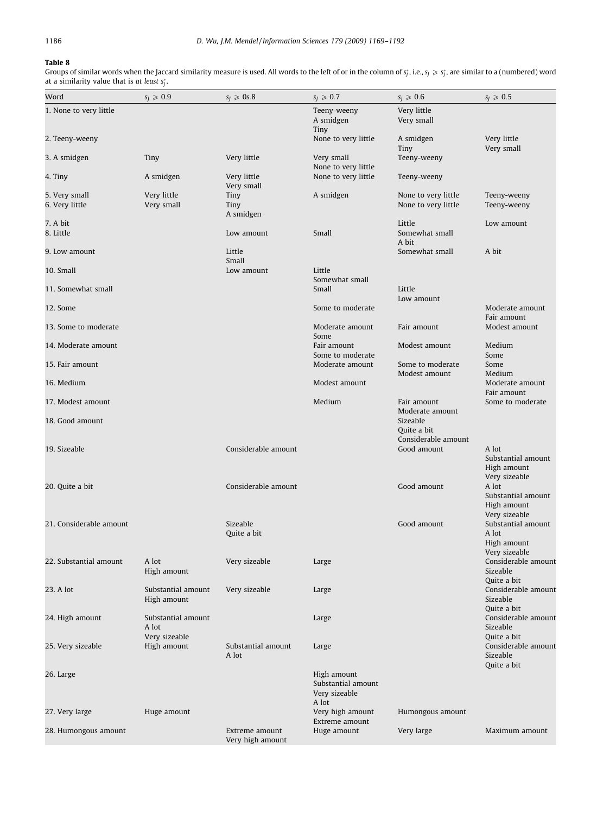<span id="page-17-0"></span>Groups of similar words when the Jaccard similarity measure is used. All words to the left of or in the column of sj, i.e., s<sub>J</sub>  $\geq$  s<sub>j</sub>, are similar to a (numbered) word<br>at a similarity value that is *at least s*j.

| Word                            | $s_J \geqslant 0.9$                          | $s_J \ge 0s.8$                     | $s_J \ge 0.7$                                               | $s_J \ge 0.6$                                  | $s_I \ge 0.5$                                               |
|---------------------------------|----------------------------------------------|------------------------------------|-------------------------------------------------------------|------------------------------------------------|-------------------------------------------------------------|
| 1. None to very little          |                                              |                                    | Teeny-weeny<br>A smidgen                                    | Very little<br>Very small                      |                                                             |
| 2. Teeny-weeny                  |                                              |                                    | Tiny<br>None to very little                                 | A smidgen<br>Tiny                              | Very little<br>Very small                                   |
| 3. A smidgen                    | Tiny                                         | Very little                        | Very small<br>None to very little                           | Teeny-weeny                                    |                                                             |
| 4. Tiny                         | A smidgen                                    | Very little<br>Very small          | None to very little                                         | Teeny-weeny                                    |                                                             |
| 5. Very small<br>6. Very little | Very little<br>Very small                    | Tiny<br>Tiny<br>A smidgen          | A smidgen                                                   | None to very little<br>None to very little     | Teeny-weeny<br>Teeny-weeny                                  |
| 7. A bit<br>8. Little           |                                              | Low amount                         | Small                                                       | Little<br>Somewhat small<br>A bit              | Low amount                                                  |
| 9. Low amount                   |                                              | Little<br>Small                    |                                                             | Somewhat small                                 | A bit                                                       |
| 10. Small                       |                                              | Low amount                         | Little<br>Somewhat small                                    |                                                |                                                             |
| 11. Somewhat small              |                                              |                                    | Small                                                       | Little<br>Low amount                           |                                                             |
| 12. Some                        |                                              |                                    | Some to moderate                                            |                                                | Moderate amount<br>Fair amount                              |
| 13. Some to moderate            |                                              |                                    | Moderate amount<br>Some                                     | Fair amount                                    | Modest amount                                               |
| 14. Moderate amount             |                                              |                                    | Fair amount<br>Some to moderate                             | Modest amount                                  | Medium<br>Some                                              |
| 15. Fair amount                 |                                              |                                    | Moderate amount                                             | Some to moderate<br>Modest amount              | Some<br>Medium                                              |
| 16. Medium                      |                                              |                                    | Modest amount                                               |                                                | Moderate amount<br>Fair amount                              |
| 17. Modest amount               |                                              |                                    | Medium                                                      | Fair amount<br>Moderate amount                 | Some to moderate                                            |
| 18. Good amount                 |                                              |                                    |                                                             | Sizeable<br>Quite a bit<br>Considerable amount |                                                             |
| 19. Sizeable                    |                                              | Considerable amount                |                                                             | Good amount                                    | A lot<br>Substantial amount<br>High amount<br>Very sizeable |
| 20. Quite a bit                 |                                              | Considerable amount                |                                                             | Good amount                                    | A lot<br>Substantial amount<br>High amount<br>Very sizeable |
| 21. Considerable amount         |                                              | Sizeable<br>Quite a bit            |                                                             | Good amount                                    | Substantial amount<br>A lot<br>High amount<br>Very sizeable |
| 22. Substantial amount          | A lot<br>High amount                         | Very sizeable                      | Large                                                       |                                                | Considerable amount<br>Sizeable<br>Quite a bit              |
| 23. A lot                       | Substantial amount<br>High amount            | Very sizeable                      | Large                                                       |                                                | Considerable amount<br>Sizeable<br>Quite a bit              |
| 24. High amount                 | Substantial amount<br>A lot<br>Very sizeable |                                    | Large                                                       |                                                | Considerable amount<br>Sizeable<br>Quite a bit              |
| 25. Very sizeable               | High amount                                  | Substantial amount<br>A lot        | Large                                                       |                                                | Considerable amount<br>Sizeable<br>Quite a bit              |
| 26. Large                       |                                              |                                    | High amount<br>Substantial amount<br>Very sizeable<br>A lot |                                                |                                                             |
| 27. Very large                  | Huge amount                                  |                                    | Very high amount<br>Extreme amount                          | Humongous amount                               |                                                             |
| 28. Humongous amount            |                                              | Extreme amount<br>Very high amount | Huge amount                                                 | Very large                                     | Maximum amount                                              |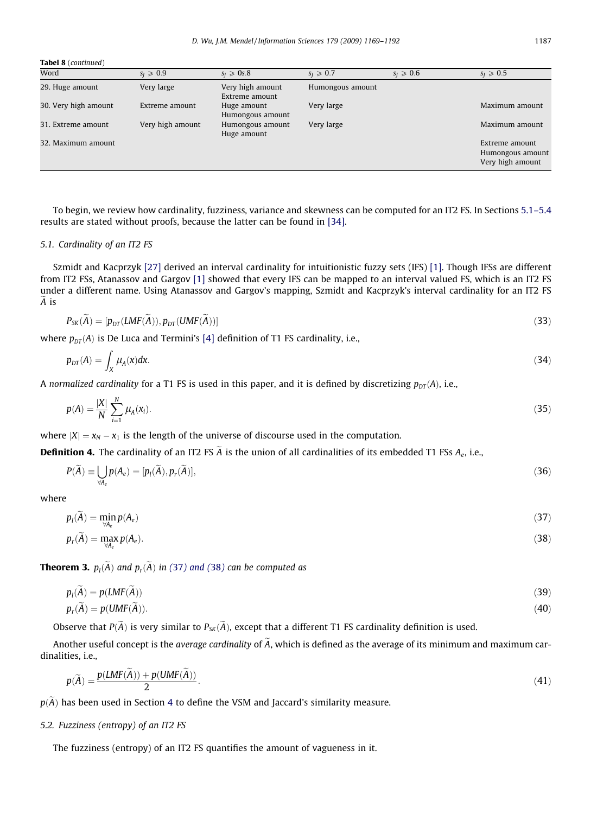<span id="page-18-0"></span>

| <b>Tabel 8</b> (continued) |                     |                                    |                     |                     |                                                        |
|----------------------------|---------------------|------------------------------------|---------------------|---------------------|--------------------------------------------------------|
| Word                       | $s_i \geqslant 0.9$ | $s_i \ge 0s.8$                     | $s_l \geqslant 0.7$ | $s_I \geqslant 0.6$ | $s_l \geqslant 0.5$                                    |
| 29. Huge amount            | Very large          | Very high amount<br>Extreme amount | Humongous amount    |                     |                                                        |
| 30. Very high amount       | Extreme amount      | Huge amount<br>Humongous amount    | Very large          |                     | Maximum amount                                         |
| 31. Extreme amount         | Very high amount    | Humongous amount<br>Huge amount    | Very large          |                     | Maximum amount                                         |
| 32. Maximum amount         |                     |                                    |                     |                     | Extreme amount<br>Humongous amount<br>Very high amount |

To begin, we review how cardinality, fuzziness, variance and skewness can be computed for an IT2 FS. In Sections 5.1–5.4 results are stated without proofs, because the latter can be found in [\[34\]](#page-23-0).

#### 5.1. Cardinality of an IT2 FS

Szmidt and Kacprzyk [\[27\]](#page-22-0) derived an interval cardinality for intuitionistic fuzzy sets (IFS) [\[1\].](#page-22-0) Though IFSs are different from IT2 FSs, Atanassov and Gargov [\[1\]](#page-22-0) showed that every IFS can be mapped to an interval valued FS, which is an IT2 FS under a different name. Using Atanassov and Gargov's mapping, Szmidt and Kacprzyk's interval cardinality for an IT2 FS e A is

$$
P_{SK}(\tilde{A}) = [p_{DT}(LMF(\tilde{A})), p_{DT}(UMF(\tilde{A}))]
$$
\n(33)

where  $p_{DT}(A)$  is De Luca and Termini's [\[4\]](#page-22-0) definition of T1 FS cardinality, i.e.,

$$
p_{DT}(A) = \int_X \mu_A(x) dx.
$$
 (34)

A normalized cardinality for a T1 FS is used in this paper, and it is defined by discretizing  $p_{DT}(A)$ , i.e.,

$$
p(A) = \frac{|X|}{N} \sum_{i=1}^{N} \mu_A(x_i).
$$
 (35)

where  $|X| = x_N - x_1$  is the length of the universe of discourse used in the computation.

**Definition 4.** The cardinality of an IT2 FS A is the union of all cardinalities of its embedded T1 FSs  $A_e$ , i.e.,

$$
P(\widetilde{A}) \equiv \bigcup_{\forall A_e} p(A_e) = [p_i(\widetilde{A}), p_r(\widetilde{A})],\tag{36}
$$

where

 $p_l(A) = \min_{\forall A_e}$  $p(A_e)$  (37)

$$
p_r(A) = \max_{\forall A_e} p(A_e). \tag{38}
$$

**Theorem 3.**  $p_l(A)$  and  $p_r(A)$  in (37) and (38) can be computed as

$$
p_t(\widetilde{A}) = p(LMF(\widetilde{A}))
$$
\n
$$
p_r(\widetilde{A}) = p(UMF(\widetilde{A})).
$$
\n(39)

Observe that  $P(A)$  is very similar to  $P_{SK}(A)$ , except that a different T1 FS cardinality definition is used.

Another useful concept is the *average cardinality* of A, which is defined as the average of its minimum and maximum cardinalities, i.e.,

$$
p(\widetilde{A}) = \frac{p(LMF(\widetilde{A})) + p(UMF(\widetilde{A}))}{2}.
$$
\n(41)

 $p(A)$  has been used in Section 4 to define the VSM and Jaccard's similarity measure.

# 5.2. Fuzziness (entropy) of an IT2 FS

The fuzziness (entropy) of an IT2 FS quantifies the amount of vagueness in it.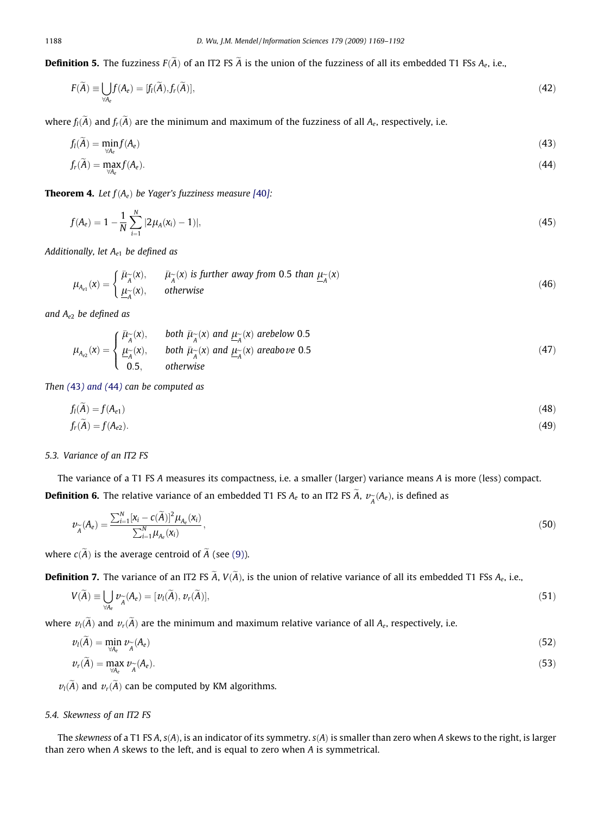**Definition 5.** The fuzziness  $F(A)$  of an IT2 FS A is the union of the fuzziness of all its embedded T1 FSs  $A_e$ , i.e.,

$$
F(\widetilde{A}) \equiv \bigcup_{\forall A_e} f(A_e) = [f_l(\widetilde{A}), f_r(\widetilde{A})],\tag{42}
$$

where  $f_i(A)$  and  $f_r(A)$  are the minimum and maximum of the fuzziness of all  $A_e$ , respectively, i.e.

$$
f_l(A) = \min_{\forall A_e} f(A_e) \tag{43}
$$

$$
f_r(A) = \max_{\forall A_e} f(A_e). \tag{44}
$$

**Theorem 4.** Let  $f(A_e)$  be Yager's fuzziness measure [[40](#page-23-0)]:

$$
f(A_e) = 1 - \frac{1}{N} \sum_{i=1}^{N} |2\mu_A(x_i) - 1)|,
$$
\n(45)

Additionally, let  $A_{e1}$  be defined as

$$
\mu_{A_{e1}}(x) = \begin{cases} \bar{\mu}_{\widetilde{A}}(x), & \bar{\mu}_{\widetilde{A}}(x) \text{ is further away from 0.5 than } \underline{\mu}_{\widetilde{A}}(x) \\ \underline{\mu}_{\widetilde{A}}(x), & \text{otherwise} \end{cases}
$$
(46)

and  $A_{e2}$  be defined as

$$
\mu_{A_{e2}}(x) = \begin{cases} \bar{\mu}_{\widetilde{A}}(x), & \text{both } \bar{\mu}_{\widetilde{A}}(x) \text{ and } \underline{\mu}_{\widetilde{A}}(x) \text{ are} \text{below 0.5} \\ \underline{\mu}_{\widetilde{A}}(x), & \text{both } \bar{\mu}_{\widetilde{A}}(x) \text{ and } \underline{\mu}_{\widetilde{A}}(x) \text{ are} \text{above 0.5} \\ 0.5, & \text{otherwise} \end{cases}
$$
(47)

Then (43) and (44) can be computed as

$$
f_{I}(\widetilde{A}) = f(A_{e1})
$$
\n
$$
f_{I}(\widetilde{A}) = f(A_{e2}).
$$
\n(48)

#### 5.3. Variance of an IT2 FS

The variance of a T1 FS A measures its compactness, i.e. a smaller (larger) variance means A is more (less) compact. **Definition 6.** The relative variance of an embedded T1 FS  $A_e$  to an IT2 FS  $\widetilde{A}$ ,  $\nu_{\widetilde{A}}(A_e)$ , is defined as

$$
\nu_{\widetilde{A}}(A_e) = \frac{\sum_{i=1}^{N} [x_i - c(\widetilde{A})]^2 \mu_{A_e}(x_i)}{\sum_{i=1}^{N} \mu_{A_e}(x_i)},
$$
\n(50)

where  $c(A)$  is the average centroid of A (see [\(9\)\)](#page-5-0).

**Definition 7.** The variance of an IT2 FS A,  $V(A)$ , is the union of relative variance of all its embedded T1 FSs  $A_e$ , i.e.,

$$
V(\widetilde{A}) \equiv \bigcup_{\forall A_e} \nu_{\widetilde{A}}(A_e) = [\nu_I(\widetilde{A}), \nu_r(\widetilde{A})],\tag{51}
$$

where  $v_l(\widetilde{A})$  and  $v_r(\widetilde{A})$  are the minimum and maximum relative variance of all  $A_e$ , respectively, i.e.

$$
\nu_{l}(\widetilde{A}) = \min_{\forall A_e} \nu_{\widetilde{A}}(A_e)
$$
\n
$$
\nu_{r}(\widetilde{A}) = \max_{\forall A_e} \nu_{\widetilde{A}}(A_e).
$$
\n(52)

 $v_l(\widetilde{A})$  and  $v_r(\widetilde{A})$  can be computed by KM algorithms.

## 5.4. Skewness of an IT2 FS

The skewness of a T1 FS A,  $s(A)$ , is an indicator of its symmetry.  $s(A)$  is smaller than zero when A skews to the right, is larger than zero when A skews to the left, and is equal to zero when A is symmetrical.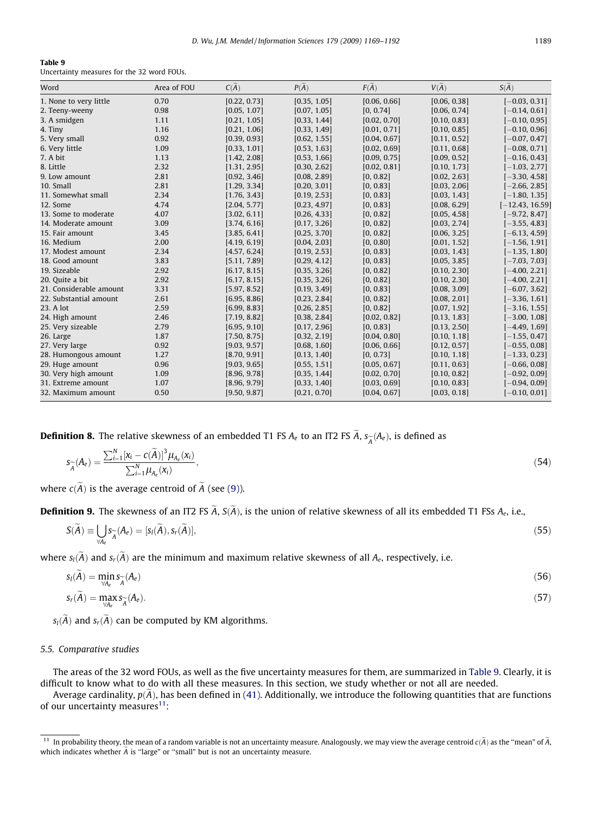| Table 9                                    |  |  |  |
|--------------------------------------------|--|--|--|
| Uncertainty measures for the 32 word FOUs. |  |  |  |

| Word                    | Area of FOU | $C(\widetilde{A})$ | $P(\widetilde{A})$ | $F(\widetilde{A})$ | $V(\widetilde{A})$ | $S(\widetilde{A})$ |
|-------------------------|-------------|--------------------|--------------------|--------------------|--------------------|--------------------|
| 1. None to very little  | 0.70        | [0.22, 0.73]       | [0.35, 1.05]       | [0.06, 0.66]       | [0.06, 0.38]       | $[-0.03, 0.31]$    |
| 2. Teeny-weeny          | 0.98        | [0.05, 1.07]       | [0.07, 1.05]       | [0, 0.74]          | [0.06, 0.74]       | $[-0.14, 0.61]$    |
| 3. A smidgen            | 1.11        | [0.21, 1.05]       | [0.33, 1.44]       | [0.02, 0.70]       | [0.10, 0.83]       | $[-0.10, 0.95]$    |
| 4. Tiny                 | 1.16        | [0.21, 1.06]       | [0.33, 1.49]       | [0.01, 0.71]       | [0.10, 0.85]       | $[-0.10, 0.96]$    |
| 5. Very small           | 0.92        | [0.39, 0.93]       | [0.62, 1.55]       | [0.04, 0.67]       | [0.11, 0.52]       | $[-0.07, 0.47]$    |
| 6. Very little          | 1.09        | [0.33, 1.01]       | [0.53, 1.63]       | [0.02, 0.69]       | [0.11, 0.68]       | $[-0.08, 0.71]$    |
| 7. A bit                | 1.13        | [1.42, 2.08]       | [0.53, 1.66]       | [0.09, 0.75]       | [0.09, 0.52]       | $[-0.16, 0.43]$    |
| 8. Little               | 2.32        | [1.31, 2.95]       | [0.30, 2.62]       | [0.02, 0.81]       | [0.10, 1.73]       | $[-1.03, 2.77]$    |
| 9. Low amount           | 2.81        | [0.92, 3.46]       | [0.08, 2.89]       | [0, 0.82]          | [0.02, 2.63]       | $[-3.30, 4.58]$    |
| 10. Small               | 2.81        | [1.29, 3.34]       | [0.20, 3.01]       | [0, 0.83]          | [0.03, 2.06]       | $[-2.66, 2.85]$    |
| 11. Somewhat small      | 2.34        | [1.76, 3.43]       | [0.19, 2.53]       | [0, 0.83]          | [0.03, 1.43]       | $[-1.80, 1.35]$    |
| 12. Some                | 4.74        | [2.04, 5.77]       | [0.23, 4.97]       | [0, 0.83]          | [0.08, 6.29]       | $[-12.43, 16.59]$  |
| 13. Some to moderate    | 4.07        | [3.02, 6.11]       | [0.26, 4.33]       | [0, 0.82]          | [0.05, 4.58]       | $[-9.72, 8.47]$    |
| 14. Moderate amount     | 3.09        | [3.74, 6.16]       | [0.17, 3.26]       | [0, 0.82]          | [0.03, 2.74]       | $[-3.55, 4.83]$    |
| 15. Fair amount         | 3.45        | [3.85, 6.41]       | [0.25, 3.70]       | [0, 0.82]          | [0.06, 3.25]       | $[-6.13, 4.59]$    |
| 16. Medium              | 2.00        | [4.19, 6.19]       | [0.04, 2.03]       | [0, 0.80]          | [0.01, 1.52]       | $[-1.56, 1.91]$    |
| 17. Modest amount       | 2.34        | [4.57, 6.24]       | [0.19, 2.53]       | [0, 0.83]          | [0.03, 1.43]       | $[-1.35, 1.80]$    |
| 18. Good amount         | 3.83        | [5.11, 7.89]       | [0.29, 4.12]       | [0, 0.83]          | [0.05, 3.85]       | $[-7.03, 7.03]$    |
| 19. Sizeable            | 2.92        | [6.17, 8.15]       | [0.35, 3.26]       | [0, 0.82]          | [0.10, 2.30]       | $[-4.00, 2.21]$    |
| 20. Ouite a bit         | 2.92        | [6.17, 8.15]       | [0.35, 3.26]       | [0, 0.82]          | [0.10, 2.30]       | $[-4.00, 2.21]$    |
| 21. Considerable amount | 3.31        | [5.97, 8.52]       | [0.19, 3.49]       | [0, 0.83]          | [0.08, 3.09]       | $[-6.07, 3.62]$    |
| 22. Substantial amount  | 2.61        | [6.95, 8.86]       | [0.23, 2.84]       | [0, 0.82]          | [0.08, 2.01]       | $[-3.36, 1.61]$    |
| 23. A lot               | 2.59        | [6.99, 8.83]       | [0.26, 2.85]       | [0, 0.82]          | [0.07, 1.92]       | $[-3.16, 1.55]$    |
| 24. High amount         | 2.46        | [7.19, 8.82]       | [0.38, 2.84]       | [0.02, 0.82]       | [0.13, 1.83]       | $[-3.00, 1.08]$    |
| 25. Very sizeable       | 2.79        | [6.95, 9.10]       | [0.17, 2.96]       | [0, 0.83]          | [0.13, 2.50]       | $[-4.49, 1.69]$    |
| 26. Large               | 1.87        | [7.50, 8.75]       | [0.32, 2.19]       | [0.04, 0.80]       | [0.10, 1.18]       | $[-1.55, 0.47]$    |
| 27. Very large          | 0.92        | [9.03, 9.57]       | [0.68, 1.60]       | [0.06, 0.66]       | [0.12, 0.57]       | $[-0.55, 0.08]$    |
| 28. Humongous amount    | 1.27        | [8.70, 9.91]       | [0.13, 1.40]       | [0, 0.73]          | [0.10, 1.18]       | $[-1.33, 0.23]$    |
| 29. Huge amount         | 0.96        | [9.03, 9.65]       | [0.55, 1.51]       | [0.05, 0.67]       | [0.11, 0.63]       | $[-0.66, 0.08]$    |
| 30. Very high amount    | 1.09        | [8.96, 9.78]       | [0.35, 1.44]       | [0.02, 0.70]       | [0.10, 0.82]       | $[-0.92, 0.09]$    |
| 31. Extreme amount      | 1.07        | [8.96, 9.79]       | [0.33, 1.40]       | [0.03, 0.69]       | [0.10, 0.83]       | $[-0.94, 0.09]$    |
| 32. Maximum amount      | 0.50        | [9.50, 9.87]       | [0.21, 0.70]       | [0.04, 0.67]       | [0.03, 0.18]       | $[-0.10, 0.01]$    |

**Definition 8.** The relative skewness of an embedded T1 FS  $A_e$  to an IT2 FS  $A$ ,  $s_{\widetilde{A}}(A_e)$ , is defined as

$$
s_{\widetilde{A}}(A_e) = \frac{\sum_{i=1}^{N} [x_i - c(\widetilde{A})]^3 \mu_{A_e}(x_i)}{\sum_{i=1}^{N} \mu_{A_e}(x_i)},
$$
(54)

where  $c(A)$  is the average centroid of A (see [\(9\)](#page-5-0)).

**Definition 9.** The skewness of an IT2 FS A, S(A), is the union of relative skewness of all its embedded T1 FSs  $A_e$ , i.e.,

$$
S(\widetilde{A}) \equiv \bigcup_{\forall A_e} s_{\widetilde{A}}(A_e) = [s_I(\widetilde{A}), s_r(\widetilde{A})],\tag{55}
$$

where  $s_l(A)$  and  $s_r(A)$  are the minimum and maximum relative skewness of all  $A_e$ , respectively, i.e.

$$
s_l(A) = \min_{\forall A_e} s_{\widetilde{A}}(A_e) \tag{56}
$$

$$
s_r(A) = \max_{\forall A_e} s_{\widetilde{A}}(A_e). \tag{57}
$$

 $s_l(A)$  and  $s_r(A)$  can be computed by KM algorithms.

## 5.5. Comparative studies

The areas of the 32 word FOUs, as well as the five uncertainty measures for them, are summarized in Table 9. Clearly, it is difficult to know what to do with all these measures. In this section, we study whether or not all are needed.

Average cardinality,  $p(A)$ , has been defined in [\(41\)](#page-18-0). Additionally, we introduce the following quantities that are functions of our uncertainty measures $11$ :

 $^{11}$  In probability theory, the mean of a random variable is not an uncertainty measure. Analogously, we may view the average centroid  $c(\widetilde{A})$  as the "mean" of  $\widetilde{A}$ , which indicates whether A is "large" or "small" but is not an uncertainty measure.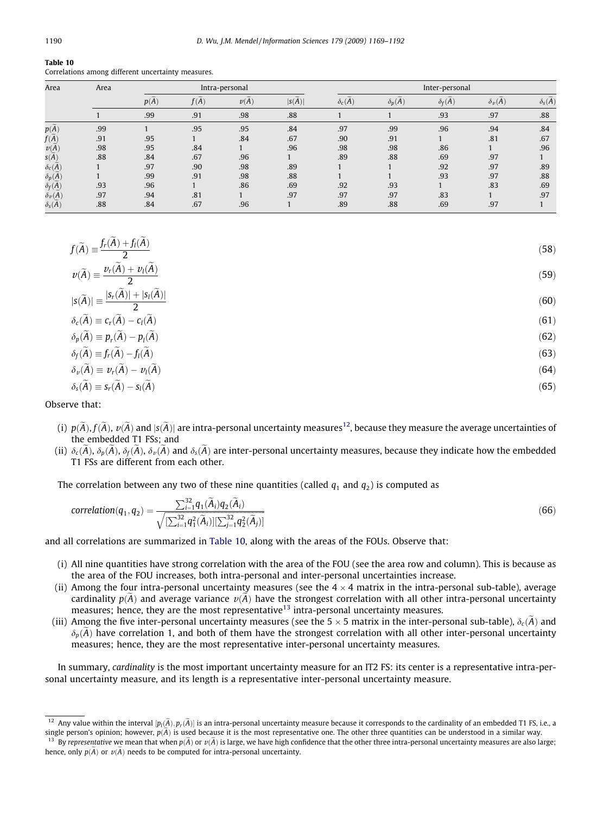Correlations among different uncertainty measures.

| Area                | Area |      | Intra-personal |          |      | Inter-personal |               |               |                           |                                  |
|---------------------|------|------|----------------|----------|------|----------------|---------------|---------------|---------------------------|----------------------------------|
|                     |      | p(A) | f(A)           | $\nu(A)$ | s(A) | $\delta_c(A)$  | $\delta_p(A)$ | $\delta_f(A)$ | $\delta_{\nu}(\tilde{A})$ | $\delta_{\rm S}(\tilde{\bm{A}})$ |
|                     |      | .99  | .91            | .98      | .88  |                |               | .93           | .97                       | .88                              |
| p(A)                | .99  |      | .95            | .95      | .84  | .97            | .99           | .96           | .94                       | .84                              |
| f(A)                | .91  | .95  |                | .84      | .67  | .90            | .91           |               | .81                       | .67                              |
| $\nu(A)$            | .98  | .95  | .84            |          | .96  | .98            | .98           | .86           |                           | .96                              |
| s(A)                | .88  | .84  | .67            | .96      |      | .89            | .88           | .69           | .97                       |                                  |
| $\delta_c(A)$       |      | .97  | .90            | .98      | .89  |                |               | .92           | .97                       | .89                              |
| $\delta_p(A)$       |      | .99  | .91            | .98      | .88  |                |               | .93           | .97                       | .88                              |
| $\delta_f(A)$       | .93  | .96  |                | .86      | .69  | .92            | .93           |               | .83                       | .69                              |
| $\delta_{v}(A)$     | .97  | .94  | .81            |          | .97  | .97            | .97           | .83           |                           | .97                              |
| $\delta_{\rm s}(A)$ | .88  | .84  | .67            | .96      |      | .89            | .88           | .69           | .97                       |                                  |

| $f(\widetilde{A}) \equiv \frac{f_r(\widetilde{A}) + f_l(\widetilde{A})}{2}$       | (58) |
|-----------------------------------------------------------------------------------|------|
| $v(\widetilde{A}) \equiv \frac{v_r(\widetilde{A}) + v_l(\widetilde{A})}{2}$       | (59) |
| $ s(\widetilde{A})  \equiv \frac{ s_r(\widetilde{A})  +  s_l(\widetilde{A}) }{2}$ | (60) |
| $\delta_c(\widetilde{A}) \equiv c_r(\widetilde{A}) - c_l(\widetilde{A})$          | (61) |
| $\delta_p(\widetilde{A}) \equiv p_r(\widetilde{A}) - p_l(\widetilde{A})$          | (62) |
| $\delta_f(\widetilde{A}) \equiv f_r(\widetilde{A}) - f_l(\widetilde{A})$          | (63) |
| $\delta_{\nu}(\tilde{A}) \equiv \nu_r(\tilde{A}) - \nu_l(\tilde{A})$              | (64) |

$$
\delta_{s}(\widetilde{A}) \equiv s_{r}(\widetilde{A}) - s_{l}(\widetilde{A}) \tag{65}
$$

Observe that:

- (i)  $p(\widetilde{A}),f(\widetilde{A}),\,v(\widetilde{A})$  and  $|s(\widetilde{A})|$  are intra-personal uncertainty measures $^{12}$ , because they measure the average uncertainties of the embedded T1 FSs; and
- (ii)  $\delta_c(A)$ ,  $\delta_p(A)$ ,  $\delta_f(A)$ ,  $\delta_v(A)$  and  $\delta_s(A)$  are inter-personal uncertainty measures, because they indicate how the embedded T1 FSs are different from each other.

The correlation between any two of these nine quantities (called  $q_1$  and  $q_2$ ) is computed as

$$
correlation(q_1, q_2) = \frac{\sum_{i=1}^{32} q_1(\widetilde{A}_i) q_2(\widetilde{A}_i)}{\sqrt{\left[\sum_{i=1}^{32} q_1^2(\widetilde{A}_i)\right] \left[\sum_{j=1}^{32} q_2^2(\widetilde{A}_j)\right]}}
$$
(66)

and all correlations are summarized in Table 10, along with the areas of the FOUs. Observe that:

- (i) All nine quantities have strong correlation with the area of the FOU (see the area row and column). This is because as the area of the FOU increases, both intra-personal and inter-personal uncertainties increase.
- (ii) Among the four intra-personal uncertainty measures (see the  $4 \times 4$  matrix in the intra-personal sub-table), average cardinality  $p(\widetilde{A})$  and average variance  $v(\widetilde{A})$  have the strongest correlation with all other intra-personal uncertainty  $m$ easures; hence, they are the most representative<sup>13</sup> intra-personal uncertainty measures.
- (iii) Among the five inter-personal uncertainty measures (see the 5  $\times$  5 matrix in the inter-personal sub-table),  $\delta_c(A)$  and  $\delta_p(A)$  have correlation 1, and both of them have the strongest correlation with all other inter-personal uncertainty measures; hence, they are the most representative inter-personal uncertainty measures.

In summary, cardinality is the most important uncertainty measure for an IT2 FS: its center is a representative intra-personal uncertainty measure, and its length is a representative inter-personal uncertainty measure.

<sup>&</sup>lt;sup>12</sup> Any value within the interval [p<sub>l</sub> $(\widetilde{A})$ , p<sub>r</sub> $(\widetilde{A})$ ] is an intra-personal uncertainty measure because it corresponds to the cardinality of an embedded T1 FS, i.e., a

single person's opinion; however,  $p(A)$  is used because it is the most representative one. The other three quantities can be understood in a similar way. <sup>13</sup> By representative we mean that when  $p(\widetilde{A})$  or  $v(\widetilde{A})$  is large, we have high confidence that the other three intra-personal uncertainty measures are also large; hence, only  $p(A)$  or  $v(A)$  needs to be computed for intra-personal uncertainty.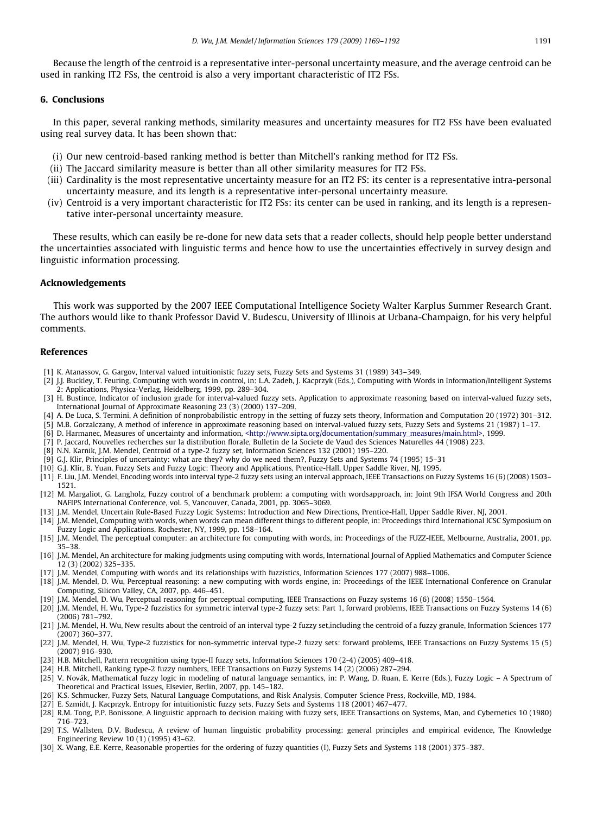<span id="page-22-0"></span>Because the length of the centroid is a representative inter-personal uncertainty measure, and the average centroid can be used in ranking IT2 FSs, the centroid is also a very important characteristic of IT2 FSs.

## 6. Conclusions

In this paper, several ranking methods, similarity measures and uncertainty measures for IT2 FSs have been evaluated using real survey data. It has been shown that:

- (i) Our new centroid-based ranking method is better than Mitchell's ranking method for IT2 FSs.
- (ii) The Jaccard similarity measure is better than all other similarity measures for IT2 FSs.
- (iii) Cardinality is the most representative uncertainty measure for an IT2 FS: its center is a representative intra-personal uncertainty measure, and its length is a representative inter-personal uncertainty measure.
- (iv) Centroid is a very important characteristic for IT2 FSs: its center can be used in ranking, and its length is a representative inter-personal uncertainty measure.

These results, which can easily be re-done for new data sets that a reader collects, should help people better understand the uncertainties associated with linguistic terms and hence how to use the uncertainties effectively in survey design and linguistic information processing.

#### Acknowledgements

This work was supported by the 2007 IEEE Computational Intelligence Society Walter Karplus Summer Research Grant. The authors would like to thank Professor David V. Budescu, University of Illinois at Urbana-Champaign, for his very helpful comments.

#### References

- [1] K. Atanassov, G. Gargov, Interval valued intuitionistic fuzzy sets, Fuzzy Sets and Systems 31 (1989) 343–349.
- [2] J.J. Buckley, T. Feuring, Computing with words in control, in: L.A. Zadeh, J. Kacprzyk (Eds.), Computing with Words in Information/Intelligent Systems 2: Applications, Physica-Verlag, Heidelberg, 1999, pp. 289–304.
- [3] H. Bustince, Indicator of inclusion grade for interval-valued fuzzy sets. Application to approximate reasoning based on interval-valued fuzzy sets, International Journal of Approximate Reasoning 23 (3) (2000) 137–209.
- [4] A. De Luca, S. Termini, A definition of nonprobabilistic entropy in the setting of fuzzy sets theory, Information and Computation 20 (1972) 301–312.
- [5] M.B. Gorzalczany, A method of inference in approximate reasoning based on interval-valued fuzzy sets, Fuzzy Sets and Systems 21 (1987) 1–17.
- [6] D. Harmanec, Measures of uncertainty and information, [<http://www.sipta.org/documentation/summary\\_measures/main.html>](http://www.sipta.org/documentation/summary_measures/main.html), 1999.
- [7] P. Jaccard, Nouvelles recherches sur la distribution florale, Bulletin de la Societe de Vaud des Sciences Naturelles 44 (1908) 223.
- [8] N.N. Karnik, J.M. Mendel, Centroid of a type-2 fuzzy set, Information Sciences 132 (2001) 195–220.
- [9] G.J. Klir, Principles of uncertainty: what are they? why do we need them?, Fuzzy Sets and Systems 74 (1995) 15–31
- [10] G.J. Klir, B. Yuan, Fuzzy Sets and Fuzzy Logic: Theory and Applications, Prentice-Hall, Upper Saddle River, NJ, 1995.
- [11] F. Liu, J.M. Mendel, Encoding words into interval type-2 fuzzy sets using an interval approach, IEEE Transactions on Fuzzy Systems 16 (6) (2008) 1503– 1521.
- [12] M. Margaliot, G. Langholz, Fuzzy control of a benchmark problem: a computing with wordsapproach, in: Joint 9th IFSA World Congress and 20th NAFIPS International Conference, vol. 5, Vancouver, Canada, 2001, pp. 3065–3069.
- [13] J.M. Mendel, Uncertain Rule-Based Fuzzy Logic Systems: Introduction and New Directions, Prentice-Hall, Upper Saddle River, NJ, 2001.
- [14] J.M. Mendel, Computing with words, when words can mean different things to different people, in: Proceedings third International ICSC Symposium on Fuzzy Logic and Applications, Rochester, NY, 1999, pp. 158–164.
- [15] J.M. Mendel, The perceptual computer: an architecture for computing with words, in: Proceedings of the FUZZ-IEEE, Melbourne, Australia, 2001, pp. 35–38.
- [16] J.M. Mendel, An architecture for making judgments using computing with words, International Journal of Applied Mathematics and Computer Science 12 (3) (2002) 325–335.
- [17] J.M. Mendel, Computing with words and its relationships with fuzzistics, Information Sciences 177 (2007) 988–1006.
- [18] J.M. Mendel, D. Wu, Perceptual reasoning: a new computing with words engine, in: Proceedings of the IEEE International Conference on Granular Computing, Silicon Valley, CA, 2007, pp. 446–451.
- [19] J.M. Mendel, D. Wu, Perceptual reasoning for perceptual computing, IEEE Transactions on Fuzzy systems 16 (6) (2008) 1550-1564.
- [20] J.M. Mendel, H. Wu, Type-2 fuzzistics for symmetric interval type-2 fuzzy sets: Part 1, forward problems, IEEE Transactions on Fuzzy Systems 14 (6) (2006) 781–792.
- [21] J.M. Mendel, H. Wu, New results about the centroid of an interval type-2 fuzzy set,including the centroid of a fuzzy granule, Information Sciences 177 (2007) 360–377.
- [22] J.M. Mendel, H. Wu, Type-2 fuzzistics for non-symmetric interval type-2 fuzzy sets: forward problems, IEEE Transactions on Fuzzy Systems 15 (5) (2007) 916–930.
- [23] H.B. Mitchell, Pattern recognition using type-II fuzzy sets, Information Sciences 170 (2-4) (2005) 409-418.
- [24] H.B. Mitchell, Ranking type-2 fuzzy numbers, IEEE Transactions on Fuzzy Systems 14 (2) (2006) 287–294.
- [25] V. Novák, Mathematical fuzzy logic in modeling of natural language semantics, in: P. Wang, D. Ruan, E. Kerre (Eds.), Fuzzy Logic A Spectrum of Theoretical and Practical Issues, Elsevier, Berlin, 2007, pp. 145–182.
- [26] K.S. Schmucker, Fuzzy Sets, Natural Language Computations, and Risk Analysis, Computer Science Press, Rockville, MD, 1984.
- [27] E. Szmidt, J. Kacprzyk, Entropy for intuitionistic fuzzy sets, Fuzzy Sets and Systems 118 (2001) 467–477.
- [28] R.M. Tong, P.P. Bonissone, A linguistic approach to decision making with fuzzy sets, IEEE Transactions on Systems, Man, and Cybernetics 10 (1980) 716–723.
- [29] T.S. Wallsten, D.V. Budescu, A review of human linguistic probability processing: general principles and empirical evidence, The Knowledge Engineering Review 10 (1) (1995) 43–62.
- [30] X. Wang, E.E. Kerre, Reasonable properties for the ordering of fuzzy quantities (I), Fuzzy Sets and Systems 118 (2001) 375–387.